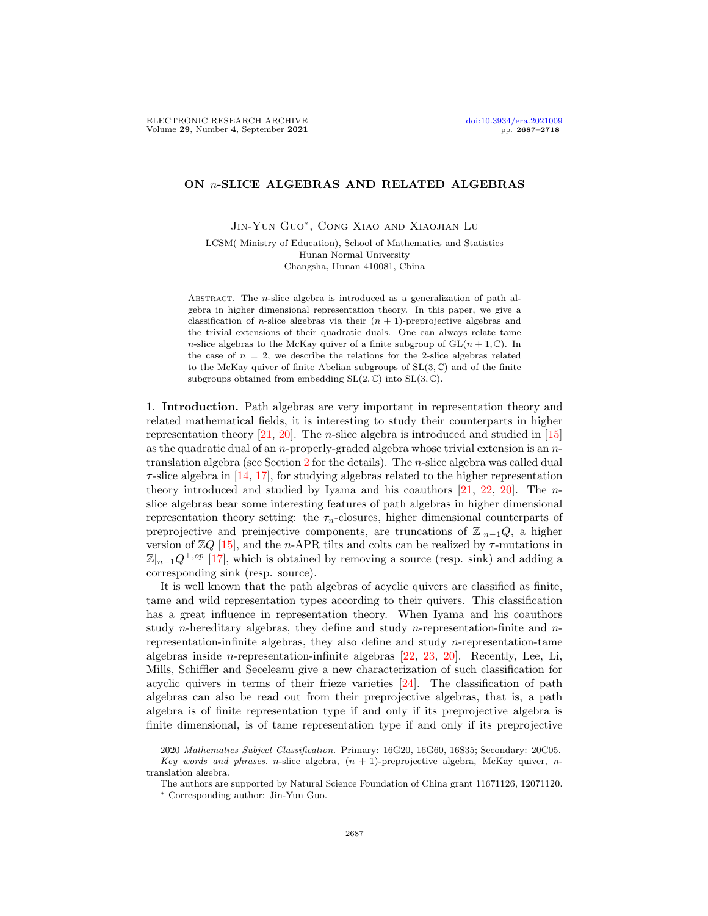## <span id="page-0-0"></span>ON n-SLICE ALGEBRAS AND RELATED ALGEBRAS

Jin-Yun Guo<sup>∗</sup>, Cong Xiao and Xiaojian Lu

LCSM( Ministry of Education), School of Mathematics and Statistics Hunan Normal University Changsha, Hunan 410081, China

ABSTRACT. The  $n$ -slice algebra is introduced as a generalization of path algebra in higher dimensional representation theory. In this paper, we give a classification of *n*-slice algebras via their  $(n + 1)$ -preprojective algebras and the trivial extensions of their quadratic duals. One can always relate tame n-slice algebras to the McKay quiver of a finite subgroup of  $GL(n + 1, \mathbb{C})$ . In the case of  $n = 2$ , we describe the relations for the 2-slice algebras related to the McKay quiver of finite Abelian subgroups of  $SL(3, \mathbb{C})$  and of the finite subgroups obtained from embedding  $SL(2,\mathbb{C})$  into  $SL(3,\mathbb{C})$ .

1. Introduction. Path algebras are very important in representation theory and related mathematical fields, it is interesting to study their counterparts in higher representation theory [\[21,](#page-30-0) [20\]](#page-30-1). The *n*-slice algebra is introduced and studied in [\[15\]](#page-30-2) as the quadratic dual of an n-properly-graded algebra whose trivial extension is an  $n$ translation algebra (see Section [2](#page-2-0) for the details). The n-slice algebra was called dual  $\tau$ -slice algebra in [\[14,](#page-30-3) [17\]](#page-30-4), for studying algebras related to the higher representation theory introduced and studied by Iyama and his coauthors  $[21, 22, 20]$  $[21, 22, 20]$  $[21, 22, 20]$  $[21, 22, 20]$ . The *n*slice algebras bear some interesting features of path algebras in higher dimensional representation theory setting: the  $\tau_n$ -closures, higher dimensional counterparts of preprojective and preinjective components, are truncations of  $\mathbb{Z}|_{n-1}Q$ , a higher version of  $\mathbb{Z}Q$  [\[15\]](#page-30-2), and the n-APR tilts and colts can be realized by  $\tau$ -mutations in  $\mathbb{Z}|_{n-1}Q^{\perp,op}$  [\[17\]](#page-30-4), which is obtained by removing a source (resp. sink) and adding a corresponding sink (resp. source).

It is well known that the path algebras of acyclic quivers are classified as finite, tame and wild representation types according to their quivers. This classification has a great influence in representation theory. When Iyama and his coauthors study *n*-hereditary algebras, they define and study *n*-representation-finite and *n*representation-infinite algebras, they also define and study  $n$ -representation-tame algebras inside n-representation-infinite algebras [\[22,](#page-30-5) [23,](#page-31-0) [20\]](#page-30-1). Recently, Lee, Li, Mills, Schiffler and Seceleanu give a new characterization of such classification for acyclic quivers in terms of their frieze varieties [\[24\]](#page-31-1). The classification of path algebras can also be read out from their preprojective algebras, that is, a path algebra is of finite representation type if and only if its preprojective algebra is finite dimensional, is of tame representation type if and only if its preprojective

<sup>2020</sup> Mathematics Subject Classification. Primary: 16G20, 16G60, 16S35; Secondary: 20C05. Key words and phrases. n-slice algebra,  $(n + 1)$ -preprojective algebra, McKay quiver, ntranslation algebra.

The authors are supported by Natural Science Foundation of China grant 11671126, 12071120.

<sup>∗</sup> Corresponding author: Jin-Yun Guo.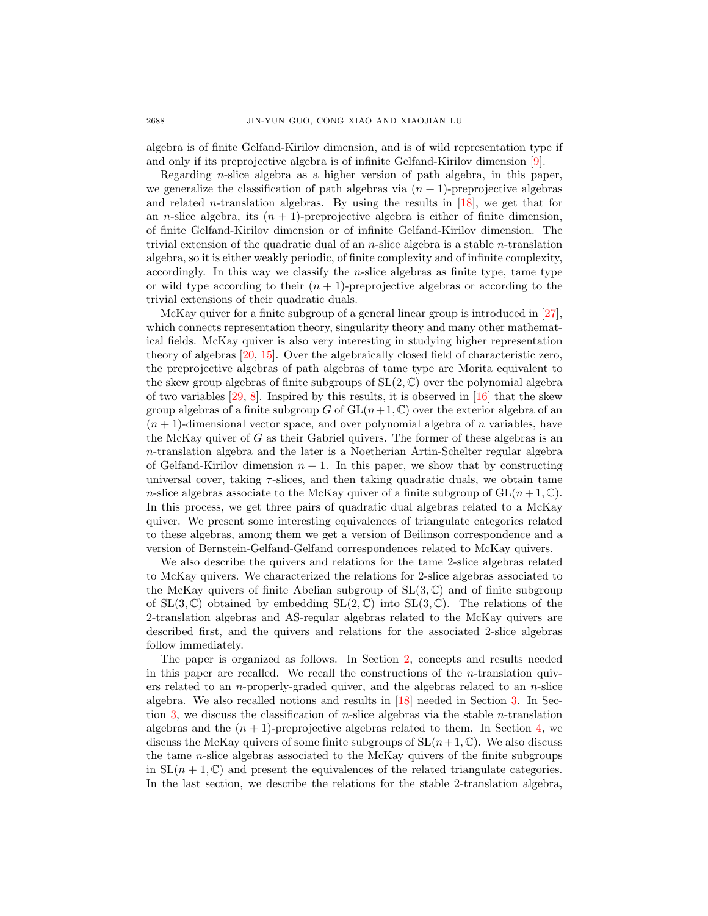algebra is of finite Gelfand-Kirilov dimension, and is of wild representation type if and only if its preprojective algebra is of infinite Gelfand-Kirilov dimension [\[9\]](#page-30-6).

Regarding n-slice algebra as a higher version of path algebra, in this paper, we generalize the classification of path algebras via  $(n + 1)$ -preprojective algebras and related *n*-translation algebras. By using the results in  $[18]$ , we get that for an *n*-slice algebra, its  $(n + 1)$ -preprojective algebra is either of finite dimension, of finite Gelfand-Kirilov dimension or of infinite Gelfand-Kirilov dimension. The trivial extension of the quadratic dual of an n-slice algebra is a stable n-translation algebra, so it is either weakly periodic, of finite complexity and of infinite complexity, accordingly. In this way we classify the  $n$ -slice algebras as finite type, tame type or wild type according to their  $(n + 1)$ -preprojective algebras or according to the trivial extensions of their quadratic duals.

McKay quiver for a finite subgroup of a general linear group is introduced in [\[27\]](#page-31-2), which connects representation theory, singularity theory and many other mathematical fields. McKay quiver is also very interesting in studying higher representation theory of algebras [\[20,](#page-30-1) [15\]](#page-30-2). Over the algebraically closed field of characteristic zero, the preprojective algebras of path algebras of tame type are Morita equivalent to the skew group algebras of finite subgroups of  $SL(2,\mathbb{C})$  over the polynomial algebra of two variables  $[29, 8]$  $[29, 8]$ . Inspired by this results, it is observed in  $[16]$  that the skew group algebras of a finite subgroup G of  $GL(n+1,\mathbb{C})$  over the exterior algebra of an  $(n + 1)$ -dimensional vector space, and over polynomial algebra of n variables, have the McKay quiver of  $G$  as their Gabriel quivers. The former of these algebras is an n-translation algebra and the later is a Noetherian Artin-Schelter regular algebra of Gelfand-Kirilov dimension  $n + 1$ . In this paper, we show that by constructing universal cover, taking  $\tau$ -slices, and then taking quadratic duals, we obtain tame n-slice algebras associate to the McKay quiver of a finite subgroup of  $GL(n+1,\mathbb{C})$ . In this process, we get three pairs of quadratic dual algebras related to a McKay quiver. We present some interesting equivalences of triangulate categories related to these algebras, among them we get a version of Beilinson correspondence and a version of Bernstein-Gelfand-Gelfand correspondences related to McKay quivers.

We also describe the quivers and relations for the tame 2-slice algebras related to McKay quivers. We characterized the relations for 2-slice algebras associated to the McKay quivers of finite Abelian subgroup of  $SL(3,\mathbb{C})$  and of finite subgroup of  $SL(3,\mathbb{C})$  obtained by embedding  $SL(2,\mathbb{C})$  into  $SL(3,\mathbb{C})$ . The relations of the 2-translation algebras and AS-regular algebras related to the McKay quivers are described first, and the quivers and relations for the associated 2-slice algebras follow immediately.

The paper is organized as follows. In Section [2,](#page-2-0) concepts and results needed in this paper are recalled. We recall the constructions of the *n*-translation quivers related to an *n*-properly-graded quiver, and the algebras related to an *n*-slice algebra. We also recalled notions and results in [\[18\]](#page-30-7) needed in Section [3.](#page-9-0) In Sec-tion [3,](#page-9-0) we discuss the classification of *n*-slice algebras via the stable *n*-translation algebras and the  $(n + 1)$ -preprojective algebras related to them. In Section [4,](#page-11-0) we discuss the McKay quivers of some finite subgroups of  $SL(n+1, \mathbb{C})$ . We also discuss the tame n-slice algebras associated to the McKay quivers of the finite subgroups in  $SL(n + 1, \mathbb{C})$  and present the equivalences of the related triangulate categories. In the last section, we describe the relations for the stable 2-translation algebra,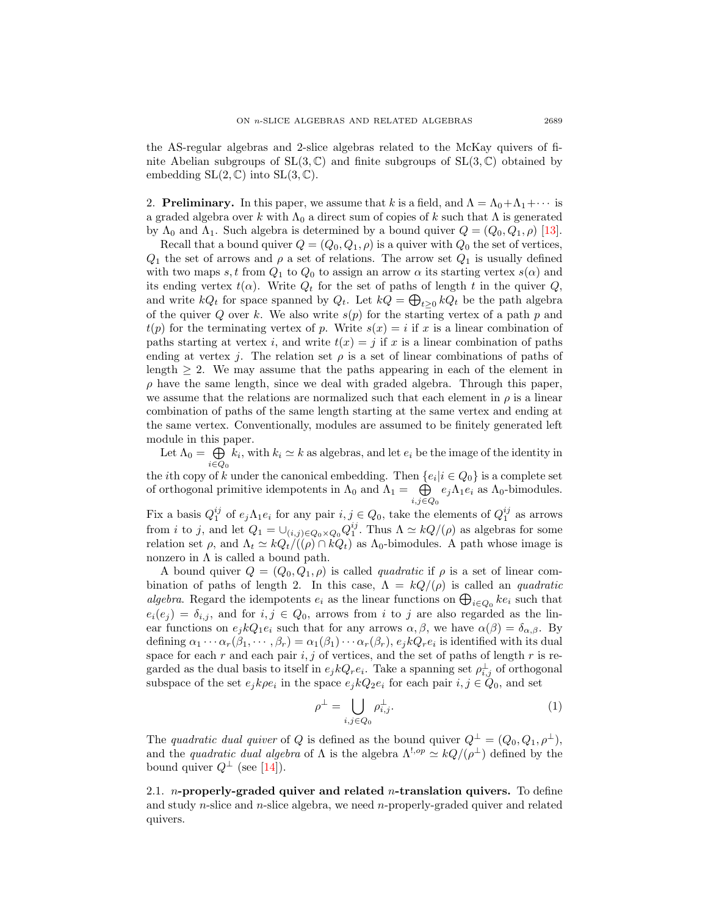the AS-regular algebras and 2-slice algebras related to the McKay quivers of finite Abelian subgroups of  $SL(3, \mathbb{C})$  and finite subgroups of  $SL(3, \mathbb{C})$  obtained by embedding  $SL(2, \mathbb{C})$  into  $SL(3, \mathbb{C})$ .

<span id="page-2-0"></span>2. **Preliminary.** In this paper, we assume that k is a field, and  $\Lambda = \Lambda_0 + \Lambda_1 + \cdots$  is a graded algebra over k with  $\Lambda_0$  a direct sum of copies of k such that  $\Lambda$  is generated by  $\Lambda_0$  and  $\Lambda_1$ . Such algebra is determined by a bound quiver  $Q = (Q_0, Q_1, \rho)$  [\[13\]](#page-30-10).

Recall that a bound quiver  $Q = (Q_0, Q_1, \rho)$  is a quiver with  $Q_0$  the set of vertices,  $Q_1$  the set of arrows and  $\rho$  a set of relations. The arrow set  $Q_1$  is usually defined with two maps s, t from  $Q_1$  to  $Q_0$  to assign an arrow  $\alpha$  its starting vertex  $s(\alpha)$  and its ending vertex  $t(\alpha)$ . Write  $Q_t$  for the set of paths of length t in the quiver  $Q$ , and write  $kQ_t$  for space spanned by  $Q_t$ . Let  $kQ = \bigoplus_{t \geq 0} kQ_t$  be the path algebra of the quiver Q over k. We also write  $s(p)$  for the starting vertex of a path p and  $t(p)$  for the terminating vertex of p. Write  $s(x) = i$  if x is a linear combination of paths starting at vertex i, and write  $t(x) = j$  if x is a linear combination of paths ending at vertex j. The relation set  $\rho$  is a set of linear combinations of paths of length  $\geq 2$ . We may assume that the paths appearing in each of the element in  $\rho$  have the same length, since we deal with graded algebra. Through this paper, we assume that the relations are normalized such that each element in  $\rho$  is a linear combination of paths of the same length starting at the same vertex and ending at the same vertex. Conventionally, modules are assumed to be finitely generated left module in this paper.

Let  $\Lambda_0 = \bigoplus k_i$ , with  $k_i \simeq k$  as algebras, and let  $e_i$  be the image of the identity in  $i \in Q_0$ the *i*th copy of k under the canonical embedding. Then  $\{e_i | i \in Q_0\}$  is a complete set

of orthogonal primitive idempotents in  $\Lambda_0$  and  $\Lambda_1 = \oplus$  $\bigoplus_{i,j\in Q_0} e_j\Lambda_1e_i$  as  $\Lambda_0$ -bimodules.

Fix a basis  $Q_1^{ij}$  of  $e_j \Lambda_1 e_i$  for any pair  $i, j \in Q_0$ , take the elements of  $Q_1^{ij}$  as arrows from *i* to *j*, and let  $Q_1 = \bigcup_{(i,j)\in Q_0\times Q_0} Q_1^{ij}$ . Thus  $\Lambda \simeq kQ/(\rho)$  as algebras for some relation set  $\rho$ , and  $\Lambda_t \simeq kQ_t/((\rho) \cap kQ_t)$  as  $\Lambda_0$ -bimodules. A path whose image is nonzero in  $\Lambda$  is called a bound path.

A bound quiver  $Q = (Q_0, Q_1, \rho)$  is called *quadratic* if  $\rho$  is a set of linear combination of paths of length 2. In this case,  $\Lambda = kQ/(\rho)$  is called an *quadratic* algebra. Regard the idempotents  $e_i$  as the linear functions on  $\bigoplus_{i\in Q_0} ke_i$  such that  $e_i(e_j) = \delta_{i,j}$ , and for  $i, j \in Q_0$ , arrows from i to j are also regarded as the linear functions on  $e_j kQ_1 e_i$  such that for any arrows  $\alpha, \beta$ , we have  $\alpha(\beta) = \delta_{\alpha,\beta}$ . By defining  $\alpha_1 \cdots \alpha_r (\beta_1, \cdots, \beta_r) = \alpha_1(\beta_1) \cdots \alpha_r(\beta_r), e_j k Q_r e_i$  is identified with its dual space for each r and each pair  $i, j$  of vertices, and the set of paths of length r is regarded as the dual basis to itself in  $e_j kQ_r e_i$ . Take a spanning set  $\rho_{i,j}^{\perp}$  of orthogonal subspace of the set  $e_j k \rho e_i$  in the space  $e_j k Q_2 e_i$  for each pair  $i, j \in Q_0$ , and set

$$
\rho^{\perp} = \bigcup_{i,j \in Q_0} \rho_{i,j}^{\perp}.
$$
\n(1)

The quadratic dual quiver of Q is defined as the bound quiver  $Q^{\perp} = (Q_0, Q_1, \rho^{\perp}),$ and the *quadratic dual algebra* of  $\Lambda$  is the algebra  $\Lambda^{!,op} \simeq kQ/(\rho^{\perp})$  defined by the bound quiver  $Q^{\perp}$  (see [\[14\]](#page-30-3)).

2.1. *n*-properly-graded quiver and related *n*-translation quivers. To define and study n-slice and n-slice algebra, we need n-properly-graded quiver and related quivers.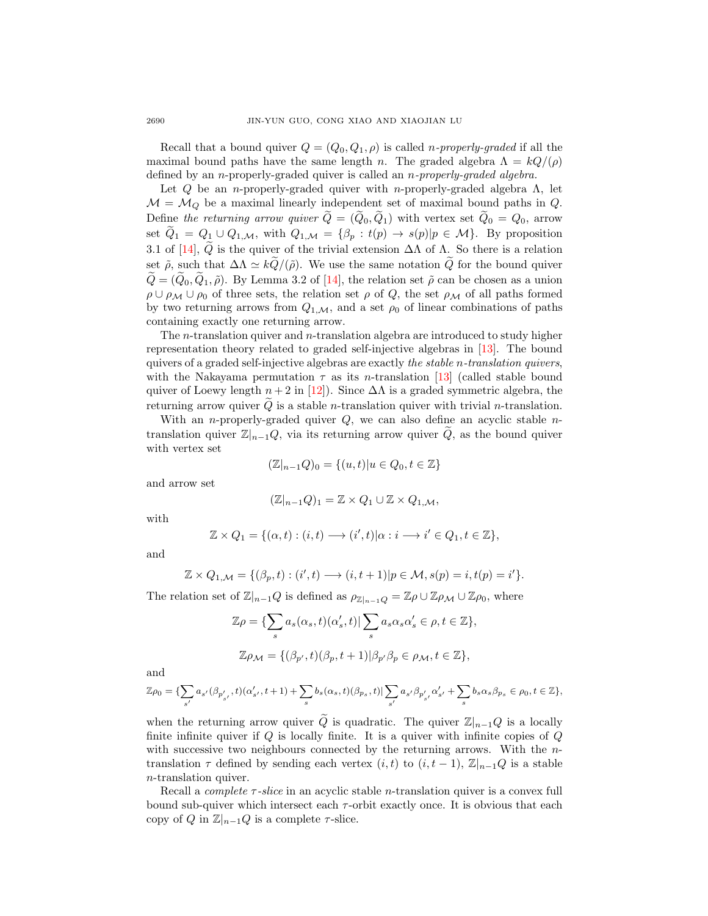Recall that a bound quiver  $Q = (Q_0, Q_1, \rho)$  is called *n-properly-graded* if all the maximal bound paths have the same length n. The graded algebra  $\Lambda = kQ/(\rho)$ defined by an *n*-properly-graded quiver is called an *n-properly-graded algebra*.

Let  $Q$  be an *n*-properly-graded quiver with *n*-properly-graded algebra  $\Lambda$ , let  $M = M_Q$  be a maximal linearly independent set of maximal bound paths in Q. Define the returning arrow quiver  $\tilde{Q} = (\tilde{Q}_0, \tilde{Q}_1)$  with vertex set  $\tilde{Q}_0 = Q_0$ , arrow set  $\widetilde{Q}_1 = Q_1 \cup Q_{1,\mathcal{M}}$ , with  $Q_{1,\mathcal{M}} = {\beta_p : t(p) \rightarrow s(p)|p \in \mathcal{M}}$ . By proposition 3.1 of [\[14\]](#page-30-3),  $\tilde{Q}$  is the quiver of the trivial extension  $\Delta\Lambda$  of  $\Lambda$ . So there is a relation set  $\tilde{\rho}$ , such that  $\Delta \Lambda \simeq k\tilde{Q}/(\tilde{\rho})$ . We use the same notation  $\tilde{Q}$  for the bound quiver  $\widetilde{Q}=(\widetilde{Q}_0,\widetilde{Q}_1,\widetilde{\rho})$ . By Lemma 3.2 of [\[14\]](#page-30-3), the relation set  $\widetilde{\rho}$  can be chosen as a union  $\rho \cup \rho_M \cup \rho_0$  of three sets, the relation set  $\rho$  of Q, the set  $\rho_M$  of all paths formed by two returning arrows from  $Q_{1,\mathcal{M}}$ , and a set  $\rho_0$  of linear combinations of paths containing exactly one returning arrow.

The n-translation quiver and n-translation algebra are introduced to study higher representation theory related to graded self-injective algebras in [\[13\]](#page-30-10). The bound quivers of a graded self-injective algebras are exactly the stable n-translation quivers, with the Nakayama permutation  $\tau$  as its *n*-translation [\[13\]](#page-30-10) (called stable bound quiver of Loewy length  $n + 2$  in [\[12\]](#page-30-11)). Since  $\Delta\Lambda$  is a graded symmetric algebra, the returning arrow quiver  $Q$  is a stable *n*-translation quiver with trivial *n*-translation.

With an *n*-properly-graded quiver  $Q$ , we can also define an acyclic stable *n*translation quiver  $\mathbb{Z}|_{n-1}Q$ , via its returning arrow quiver Q, as the bound quiver with vertex set

$$
(\mathbb{Z}|_{n-1}Q)_0 = \{(u,t)|u \in Q_0, t \in \mathbb{Z}\}\
$$

and arrow set

$$
(\mathbb{Z}|_{n-1}Q)_1 = \mathbb{Z} \times Q_1 \cup \mathbb{Z} \times Q_{1,\mathcal{M}},
$$

with

$$
\mathbb{Z} \times Q_1 = \{(\alpha, t) : (i, t) \longrightarrow (i', t) | \alpha : i \longrightarrow i' \in Q_1, t \in \mathbb{Z}\},\
$$

and

$$
\mathbb{Z} \times Q_{1,\mathcal{M}} = \{(\beta_p, t) : (i', t) \longrightarrow (i, t+1)|p \in \mathcal{M}, s(p) = i, t(p) = i'\}.
$$

The relation set of  $\mathbb{Z}_{n-1}Q$  is defined as  $\rho_{\mathbb{Z}_{n-1}Q} = \mathbb{Z}\rho \cup \mathbb{Z}\rho_{\mathcal{M}} \cup \mathbb{Z}\rho_0$ , where

$$
\mathbb{Z}\rho = \{\sum_{s} a_{s}(\alpha_{s}, t)(\alpha'_{s}, t)| \sum_{s} a_{s}\alpha_{s}\alpha'_{s} \in \rho, t \in \mathbb{Z}\},
$$
  

$$
\mathbb{Z}\rho_{\mathcal{M}} = \{(\beta_{p'}, t)(\beta_{p}, t+1)| \beta_{p'}\beta_{p} \in \rho_{\mathcal{M}}, t \in \mathbb{Z}\},
$$

and

$$
\mathbb{Z}\rho_0 = \{\sum_{s'} a_{s'}(\beta_{p'_{s'}}, t)(\alpha'_{s'}, t+1) + \sum_s b_s(\alpha_s, t)(\beta_{p_s}, t)| \sum_{s'} a_{s'}\beta_{p'_{s'}}\alpha'_{s'} + \sum_s b_s \alpha_s \beta_{p_s} \in \rho_0, t \in \mathbb{Z}\},\
$$

when the returning arrow quiver  $\tilde{Q}$  is quadratic. The quiver  $\mathbb{Z}|_{n-1}Q$  is a locally finite infinite quiver if  $Q$  is locally finite. It is a quiver with infinite copies of  $Q$ with successive two neighbours connected by the returning arrows. With the  $n$ translation  $\tau$  defined by sending each vertex  $(i, t)$  to  $(i, t - 1)$ ,  $\mathbb{Z}|_{n-1}Q$  is a stable n-translation quiver.

Recall a *complete*  $\tau$ -slice in an acyclic stable *n*-translation quiver is a convex full bound sub-quiver which intersect each  $\tau$ -orbit exactly once. It is obvious that each copy of Q in  $\mathbb{Z}|_{n-1}Q$  is a complete  $\tau$ -slice.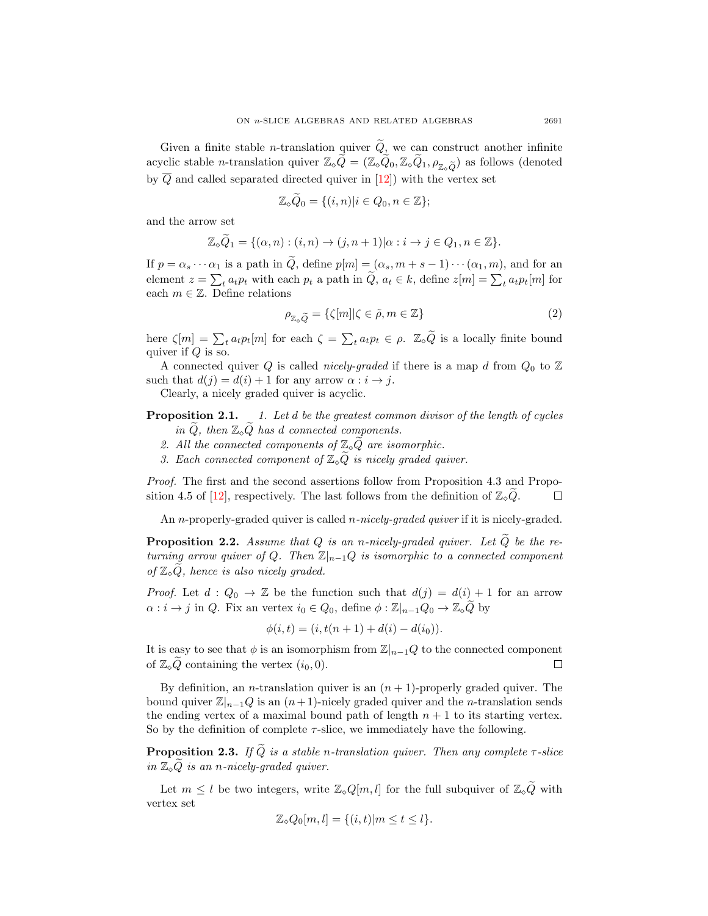Given a finite stable *n*-translation quiver  $\tilde{Q}$ , we can construct another infinite acyclic stable *n*-translation quiver  $\mathbb{Z}_{\infty}\widetilde{Q} = (\mathbb{Z}_{\infty}\widetilde{Q}_0, \mathbb{Z}_{\infty}\widetilde{Q}_1, \rho_{\mathbb{Z}_{\infty}\widetilde{Q}})$  as follows (denoted by  $\overline{Q}$  and called separated directed quiver in [\[12\]](#page-30-11)) with the vertex set

$$
\mathbb{Z}_{\diamond}\widetilde{Q}_0 = \{(i,n)|i \in Q_0, n \in \mathbb{Z}\};
$$

and the arrow set

$$
\mathbb{Z}_{\circ}\widetilde{Q}_1 = \{(\alpha, n) : (i, n) \to (j, n+1)|\alpha : i \to j \in Q_1, n \in \mathbb{Z}\}.
$$

If  $p = \alpha_s \cdots \alpha_1$  is a path in  $\tilde{Q}$ , define  $p[m] = (\alpha_s, m+s-1) \cdots (\alpha_1, m)$ , and for an element  $z = \sum_{t} a_t p_t$  with each  $p_t$  a path in  $Q, a_t \in k$ , define  $z[m] = \sum_{t} a_t p_t[m]$  for each  $m \in \mathbb{Z}$ . Define relations

<span id="page-4-0"></span>
$$
\rho_{\mathbb{Z}_\circ \widetilde{Q}} = \{ \zeta[m] | \zeta \in \widetilde{\rho}, m \in \mathbb{Z} \}
$$
\n(2)

here  $\zeta[m] = \sum_t a_t p_t[m]$  for each  $\zeta = \sum_t a_t p_t \in \rho$ .  $\mathbb{Z}_\infty \widetilde{Q}$  is a locally finite bound quiver if  $Q$  is so.

A connected quiver Q is called *nicely-graded* if there is a map d from  $Q_0$  to  $\mathbb{Z}$ such that  $d(j) = d(i) + 1$  for any arrow  $\alpha : i \rightarrow j$ .

Clearly, a nicely graded quiver is acyclic.

# **Proposition 2.1.** 1. Let d be the greatest common divisor of the length of cycles in  $\widetilde{Q}$ , then  $\mathbb{Z}_{\diamond}\widetilde{Q}$  has d connected components.

- 2. All the connected components of  $\mathbb{Z}_\diamond \widetilde{Q}$  are isomorphic.
- 3. Each connected component of  $\mathbb{Z}_p\widetilde{Q}$  is nicely graded quiver.

Proof. The first and the second assertions follow from Proposition 4.3 and Propo-sition 4.5 of [\[12\]](#page-30-11), respectively. The last follows from the definition of  $\mathbb{Z}_9\widetilde{Q}$ .  $\Box$ 

An *n*-properly-graded quiver is called *n*-nicely-graded quiver if it is nicely-graded.

**Proposition 2.2.** Assume that Q is an n-nicely-graded quiver. Let  $\widetilde{Q}$  be the returning arrow quiver of Q. Then  $\mathbb{Z}|_{n-1}Q$  is isomorphic to a connected component of  $\mathbb{Z}_{\diamond} Q$ , hence is also nicely graded.

*Proof.* Let  $d: Q_0 \to \mathbb{Z}$  be the function such that  $d(j) = d(i) + 1$  for an arrow  $\alpha : i \to j$  in Q. Fix an vertex  $i_0 \in Q_0$ , define  $\phi : \mathbb{Z}_{n-1}Q_0 \to \mathbb{Z}_{\diamond}Q$  by

$$
\phi(i,t) = (i, t(n+1) + d(i) - d(i_0)).
$$

It is easy to see that  $\phi$  is an isomorphism from  $\mathbb{Z}|_{n-1}Q$  to the connected component of  $\mathbb{Z}_\infty\widetilde{Q}$  containing the vertex  $(i_0, 0)$ .  $\Box$ 

By definition, an *n*-translation quiver is an  $(n + 1)$ -properly graded quiver. The bound quiver  $\mathbb{Z}|_{n-1}Q$  is an  $(n+1)$ -nicely graded quiver and the *n*-translation sends the ending vertex of a maximal bound path of length  $n + 1$  to its starting vertex. So by the definition of complete  $\tau$ -slice, we immediately have the following.

**Proposition 2.3.** If  $\tilde{Q}$  is a stable n-translation quiver. Then any complete  $\tau$ -slice in  $\mathbb{Z}_\diamond \widetilde{Q}$  is an n-nicely-graded quiver.

Let  $m \leq l$  be two integers, write  $\mathbb{Z}_{\diamond}Q[m, l]$  for the full subquiver of  $\mathbb{Z}_{\diamond}\widetilde{Q}$  with vertex set

$$
\mathbb{Z}_{\diamond} Q_0[m, l] = \{(i, t) | m \le t \le l\}.
$$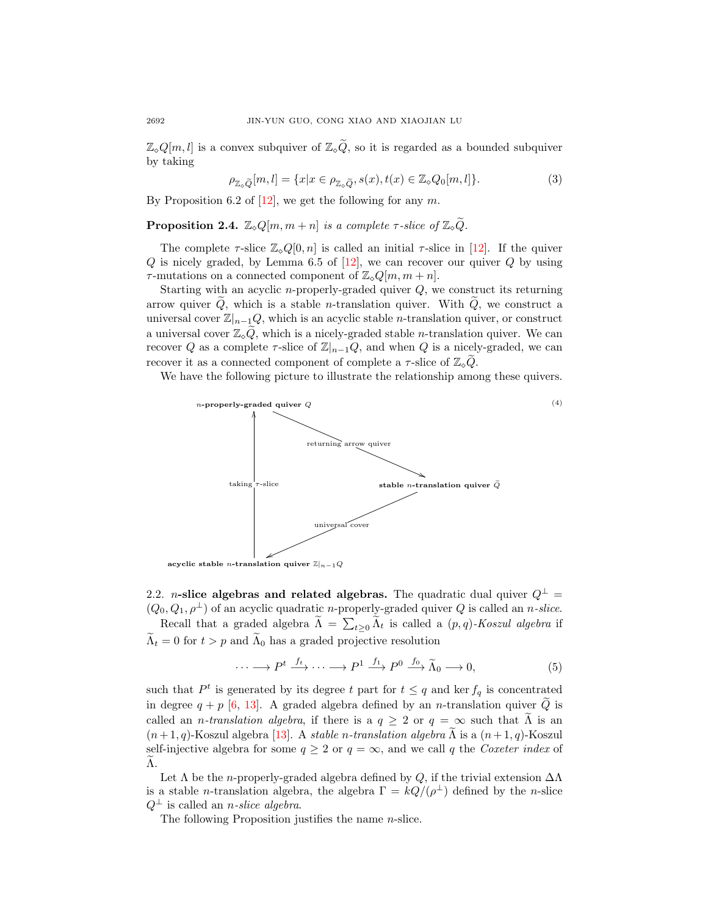$\mathbb{Z}_{\diamond}Q[m,l]$  is a convex subquiver of  $\mathbb{Z}_{\diamond}\widetilde{Q}$ , so it is regarded as a bounded subquiver by taking

$$
\rho_{\mathbb{Z}_\circ\widetilde{Q}}[m,l] = \{x|x \in \rho_{\mathbb{Z}_\circ\widetilde{Q}}, s(x), t(x) \in \mathbb{Z}_\circ Q_0[m,l]\}.
$$
\n(3)

By Proposition 6.2 of  $[12]$ , we get the following for any m.

**Proposition 2.4.**  $\mathbb{Z}_{\diamond} Q[m, m+n]$  is a complete  $\tau$ -slice of  $\mathbb{Z}_{\diamond} \widetilde{Q}$ .

The complete  $\tau$ -slice  $\mathbb{Z}_{\diamond}Q[0,n]$  is called an initial  $\tau$ -slice in [\[12\]](#page-30-11). If the quiver  $Q$  is nicely graded, by Lemma 6.5 of [\[12\]](#page-30-11), we can recover our quiver  $Q$  by using  $\tau$ -mutations on a connected component of  $\mathbb{Z}_{\diamond}Q[m,m+n].$ 

Starting with an acyclic *n*-properly-graded quiver  $Q$ , we construct its returning arrow quiver  $\tilde{Q}$ , which is a stable *n*-translation quiver. With  $\tilde{Q}$ , we construct a universal cover  $\mathbb{Z}|_{n-1}Q$ , which is an acyclic stable *n*-translation quiver, or construct a universal cover  $\mathbb{Z}_{\diamond}Q$ , which is a nicely-graded stable *n*-translation quiver. We can recover Q as a complete  $\tau$ -slice of  $\mathbb{Z}_{n-1}Q$ , and when Q is a nicely-graded, we can recover it as a connected component of complete a  $\tau$ -slice of  $\mathbb{Z}_\circ Q$ .

We have the following picture to illustrate the relationship among these quivers.

(4)

<span id="page-5-0"></span>

2.2. *n*-slice algebras and related algebras. The quadratic dual quiver  $Q^{\perp}$  =

 $(Q_0, Q_1, \rho^{\perp})$  of an acyclic quadratic *n*-properly-graded quiver Q is called an *n*-slice. Recall that a graded algebra  $\Lambda = \sum_{t\geq 0} \Lambda_t$  is called a  $(p, q)$ -Koszul algebra if  $\widetilde{\Lambda}_t = 0$  for  $t > p$  and  $\widetilde{\Lambda}_0$  has a graded projective resolution

<span id="page-5-1"></span>
$$
\cdots \longrightarrow P^t \xrightarrow{f_t} \cdots \longrightarrow P^1 \xrightarrow{f_1} P^0 \xrightarrow{f_0} \widetilde{\Lambda}_0 \longrightarrow 0,
$$
\n
$$
(5)
$$

such that  $P<sup>t</sup>$  is generated by its degree t part for  $t \leq q$  and ker  $f_q$  is concentrated in degree  $q + p$  [\[6,](#page-30-12) [13\]](#page-30-10). A graded algebra defined by an *n*-translation quiver  $\tilde{Q}$  is called an *n*-translation algebra, if there is a  $q \geq 2$  or  $q = \infty$  such that  $\tilde{\Lambda}$  is an  $(n+1, q)$ -Koszul algebra [\[13\]](#page-30-10). A stable n-translation algebra  $\Lambda$  is a  $(n+1, q)$ -Koszul self-injective algebra for some  $q \ge 2$  or  $q = \infty$ , and we call q the Coxeter index of  $\Lambda$ .

Let  $\Lambda$  be the *n*-properly-graded algebra defined by Q, if the trivial extension  $\Delta\Lambda$ is a stable *n*-translation algebra, the algebra  $\Gamma = kQ/(\rho^{\perp})$  defined by the *n*-slice  $Q^{\perp}$  is called an *n*-slice algebra.

The following Proposition justifies the name  $n$ -slice.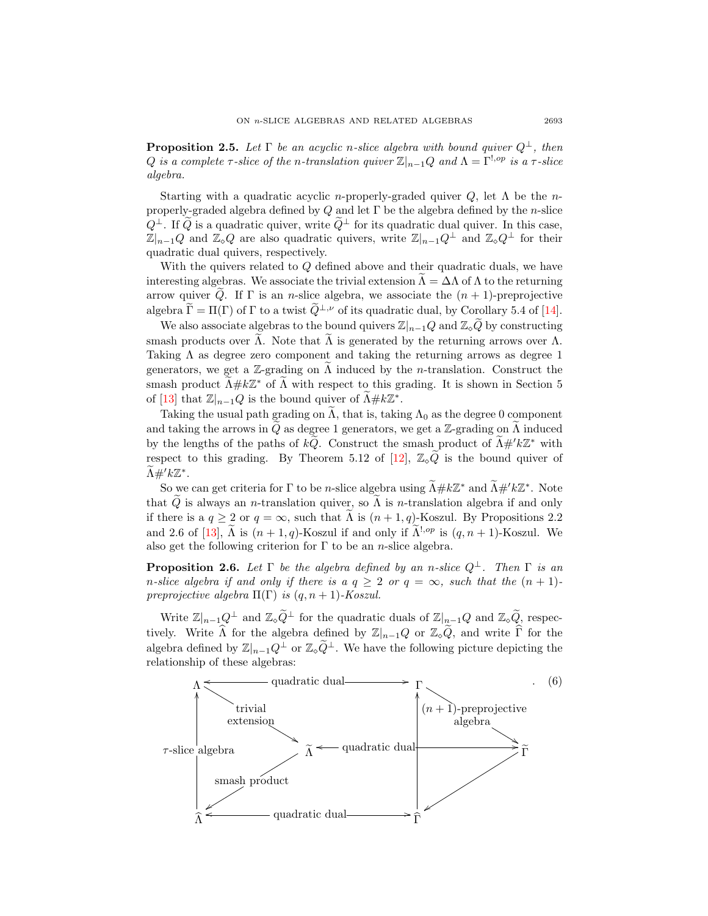**Proposition 2.5.** Let  $\Gamma$  be an acyclic n-slice algebra with bound quiver  $Q^{\perp}$ , then Q is a complete  $\tau$ -slice of the n-translation quiver  $\mathbb{Z}|_{n-1}Q$  and  $\Lambda = \Gamma^{!,op}$  is a  $\tau$ -slice algebra.

Starting with a quadratic acyclic *n*-properly-graded quiver  $Q$ , let  $\Lambda$  be the *n*properly-graded algebra defined by Q and let  $\Gamma$  be the algebra defined by the n-slice  $Q^{\perp}$ . If  $\tilde{Q}$  is a quadratic quiver, write  $\tilde{Q}^{\perp}$  for its quadratic dual quiver. In this case,  $\mathbb{Z}|_{n-1}Q$  and  $\mathbb{Z}_{\diamond}Q$  are also quadratic quivers, write  $\mathbb{Z}|_{n-1}Q^{\perp}$  and  $\mathbb{Z}_{\diamond}Q^{\perp}$  for their quadratic dual quivers, respectively.

With the quivers related to  $Q$  defined above and their quadratic duals, we have interesting algebras. We associate the trivial extension  $\Lambda = \Delta \Lambda$  of  $\Lambda$  to the returning arrow quiver  $\tilde{Q}$ . If  $\Gamma$  is an *n*-slice algebra, we associate the  $(n + 1)$ -preprojective algebra  $\widetilde{\Gamma} = \Pi(\Gamma)$  of  $\Gamma$  to a twist  $\widetilde{Q}^{\perp,\nu}$  of its quadratic dual, by Corollary 5.4 of [\[14\]](#page-30-3).

We also associate algebras to the bound quivers  $\mathbb{Z}|_{n-1}Q$  and  $\mathbb{Z}_{\diamond}\widetilde{Q}$  by constructing smash products over  $\Lambda$ . Note that  $\Lambda$  is generated by the returning arrows over  $\Lambda$ . Taking  $\Lambda$  as degree zero component and taking the returning arrows as degree 1 generators, we get a  $\mathbb{Z}$ -grading on  $\Lambda$  induced by the *n*-translation. Construct the smash product  $\widetilde{\Lambda} \# k \mathbb{Z}^*$  of  $\widetilde{\Lambda}$  with respect to this grading. It is shown in Section 5 of [\[13\]](#page-30-10) that  $\mathbb{Z}_{n-1}Q$  is the bound quiver of  $\widetilde{\Lambda} \# k \mathbb{Z}^*$ .

Taking the usual path grading on  $\Lambda$ , that is, taking  $\Lambda_0$  as the degree 0 component and taking the arrows in Q as degree 1 generators, we get a Z-grading on  $\Lambda$  induced by the lengths of the paths of  $k\tilde{Q}$ . Construct the smash product of  $\tilde{\Lambda}$ #' $k\mathbb{Z}^*$  with respect to this grading. By Theorem 5.12 of [\[12\]](#page-30-11),  $\mathbb{Z}_9 \widetilde{Q}$  is the bound quiver of  $\widetilde{\Lambda} \#^{\prime} k \mathbb{Z}^{*}.$ 

So we can get criteria for  $\Gamma$  to be *n*-slice algebra using  $\widetilde{\Lambda} \# k \mathbb{Z}^*$  and  $\widetilde{\Lambda} \# 'k \mathbb{Z}^*$ . Note that Q is always an n-translation quiver, so  $\Lambda$  is n-translation algebra if and only if there is a  $q \ge 2$  or  $q = \infty$ , such that  $\Lambda$  is  $(n + 1, q)$ -Koszul. By Propositions 2.2 and 2.6 of [\[13\]](#page-30-10),  $\tilde{\Lambda}$  is  $(n+1,q)$ -Koszul if and only if  $\tilde{\Lambda}^{1,op}$  is  $(q, n+1)$ -Koszul. We also get the following criterion for  $\Gamma$  to be an *n*-slice algebra.

**Proposition 2.6.** Let  $\Gamma$  be the algebra defined by an n-slice  $Q^{\perp}$ . Then  $\Gamma$  is an n-slice algebra if and only if there is a  $q \geq 2$  or  $q = \infty$ , such that the  $(n + 1)$ preprojective algebra  $\Pi(\Gamma)$  is  $(q, n + 1)$ -Koszul.

Write  $\mathbb{Z}|_{n-1}Q^{\perp}$  and  $\mathbb{Z}_{\circ}\widetilde{Q}^{\perp}$  for the quadratic duals of  $\mathbb{Z}|_{n-1}Q$  and  $\mathbb{Z}_{\circ}\widetilde{Q}$ , respectively. Write  $\widehat{\Lambda}$  for the algebra defined by  $\mathbb{Z}|_{n-1}Q$  or  $\mathbb{Z}_{\diamond}\widetilde{Q}$ , and write  $\widehat{\Gamma}$  for the algebra defined by  $\mathbb{Z}_{n-1}Q^{\perp}$  or  $\mathbb{Z}_{\infty}\tilde{Q}^{\perp}$ . We have the following picture depicting the relationship of these algebras:

<span id="page-6-0"></span>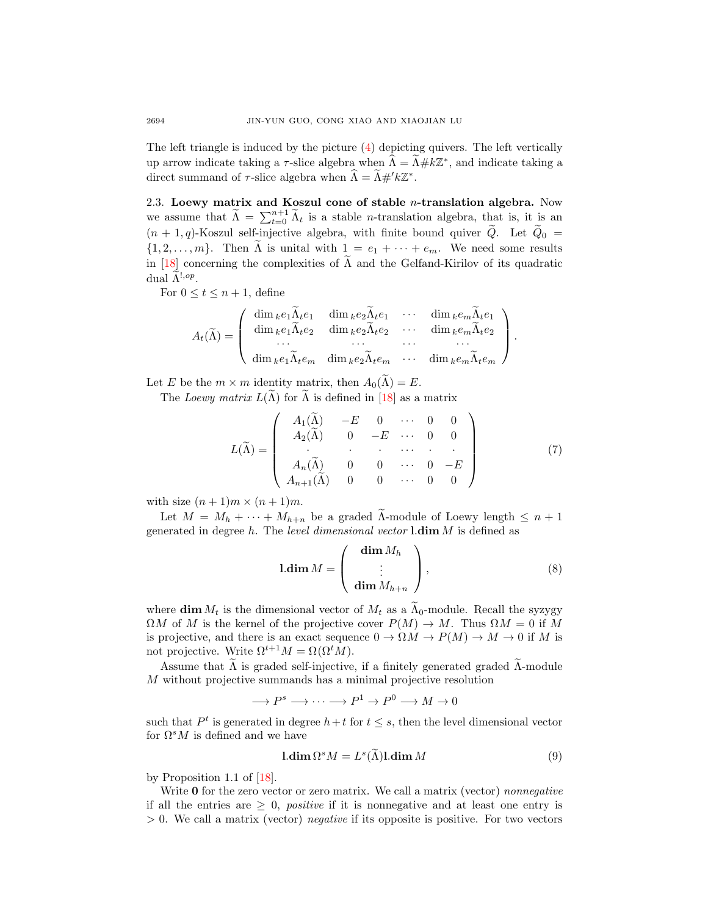The left triangle is induced by the picture  $(4)$  depicting quivers. The left vertically up arrow indicate taking a  $\tau$ -slice algebra when  $\widehat{\Lambda} = \widetilde{\Lambda} \# k \mathbb{Z}^*$ , and indicate taking a direct summand of  $\tau$ -slice algebra when  $\widehat{\Lambda} = \widetilde{\Lambda} \#^{\prime} k \mathbb{Z}^*$ .

2.3. Loewy matrix and Koszul cone of stable  $n$ -translation algebra. Now we assume that  $\tilde{\Lambda} = \sum_{t=0}^{n+1} \tilde{\Lambda}_t$  is a stable *n*-translation algebra, that is, it is an  $(n + 1, q)$ -Koszul self-injective algebra, with finite bound quiver  $\ddot{Q}$ . Let  $\ddot{Q}_0$  =  $\{1, 2, \ldots, m\}$ . Then  $\tilde{\Lambda}$  is unital with  $1 = e_1 + \cdots + e_m$ . We need some results in [\[18\]](#page-30-7) concerning the complexities of  $\Lambda$  and the Gelfand-Kirilov of its quadratic dual  $\tilde{\Lambda}^{!,op}.$ 

For  $0 \le t \le n + 1$ , define

$$
A_t(\widetilde{\Lambda}) = \left( \begin{array}{cccc} \dim_k e_1 \widetilde{\Lambda}_t e_1 & \dim_k e_2 \widetilde{\Lambda}_t e_1 & \cdots & \dim_k e_m \widetilde{\Lambda}_t e_1 \\ \dim_k e_1 \widetilde{\Lambda}_t e_2 & \dim_k e_2 \widetilde{\Lambda}_t e_2 & \cdots & \dim_k e_m \widetilde{\Lambda}_t e_2 \\ \cdots & \cdots & \cdots & \cdots \\ \dim_k e_1 \widetilde{\Lambda}_t e_m & \dim_k e_2 \widetilde{\Lambda}_t e_m & \cdots & \dim_k e_m \widetilde{\Lambda}_t e_m \end{array} \right).
$$

Let E be the  $m \times m$  identity matrix, then  $A_0(\widetilde{\Lambda}) = E$ .

The Loewy matrix  $L(\Lambda)$  for  $\Lambda$  is defined in [[18\]](#page-30-7) as a matrix

$$
L(\widetilde{\Lambda}) = \left(\begin{array}{cccccc} A_1(\widetilde{\Lambda}) & -E & 0 & \cdots & 0 & 0 \\ A_2(\widetilde{\Lambda}) & 0 & -E & \cdots & 0 & 0 \\ \cdot & \cdot & \cdot & \cdots & \cdot & \cdot \\ A_n(\widetilde{\Lambda}) & 0 & 0 & \cdots & 0 & -E \\ A_{n+1}(\widetilde{\Lambda}) & 0 & 0 & \cdots & 0 & 0 \end{array}\right) \tag{7}
$$

with size  $(n+1)m \times (n+1)m$ .

Let  $M = M_h + \cdots + M_{h+n}$  be a graded  $\tilde{\Lambda}$ -module of Loewy length  $\leq n+1$ generated in degree h. The level dimensional vector  $\lambda$  dim M is defined as

$$
1.\dim M = \begin{pmatrix} \dim M_h \\ \vdots \\ \dim M_{h+n} \end{pmatrix},
$$
\n(8)

where  $\dim M_t$  is the dimensional vector of  $M_t$  as a  $\Lambda_0$ -module. Recall the syzygy  $\Omega M$  of M is the kernel of the projective cover  $P(M) \to M$ . Thus  $\Omega M = 0$  if M is projective, and there is an exact sequence  $0 \to \Omega M \to P(M) \to M \to 0$  if M is not projective. Write  $\Omega^{t+1}M = \Omega(\Omega^tM)$ .

Assume that  $\Lambda$  is graded self-injective, if a finitely generated graded  $\Lambda$ -module M without projective summands has a minimal projective resolution

 $\longrightarrow P^s \longrightarrow \cdots \longrightarrow P^1 \longrightarrow P^0 \longrightarrow M \longrightarrow 0$ 

such that  $P<sup>t</sup>$  is generated in degree  $h+t$  for  $t \leq s$ , then the level dimensional vector for  $\Omega^s M$  is defined and we have

<span id="page-7-0"></span>
$$
1. \dim \Omega^s M = L^s(\widetilde{\Lambda}) 1. \dim M \tag{9}
$$

by Proposition 1.1 of [\[18\]](#page-30-7).

Write  $\bf{0}$  for the zero vector or zero matrix. We call a matrix (vector) nonnegative if all the entries are  $\geq 0$ , *positive* if it is nonnegative and at least one entry is  $> 0$ . We call a matrix (vector) *negative* if its opposite is positive. For two vectors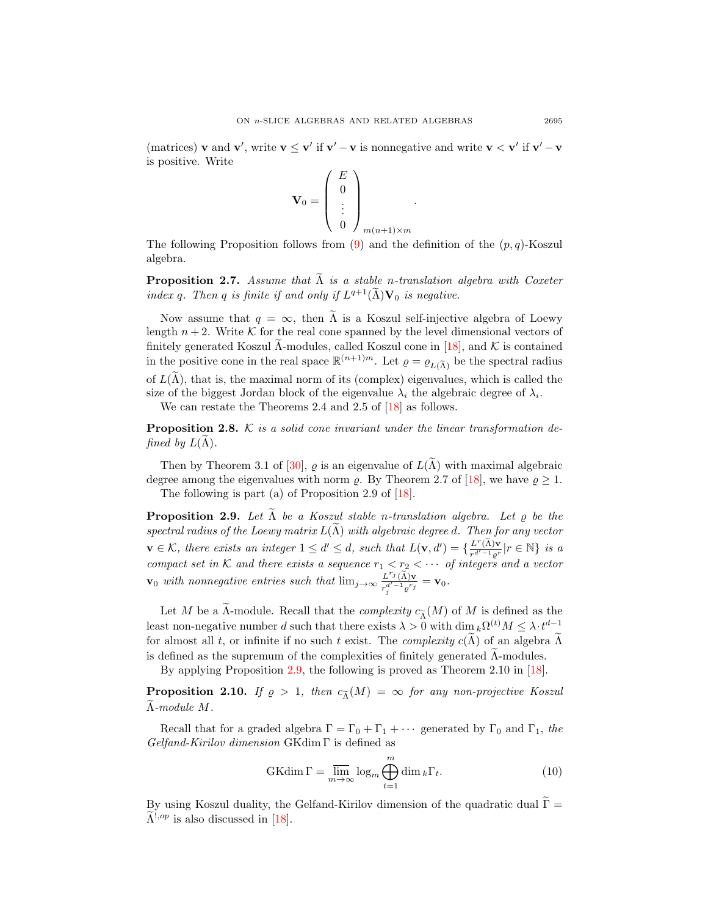(matrices) **v** and **v'**, write  $\mathbf{v} \leq \mathbf{v}'$  if  $\mathbf{v}' - \mathbf{v}$  is nonnegative and write  $\mathbf{v} < \mathbf{v}'$  if  $\mathbf{v}' - \mathbf{v}$ is positive. Write

.

$$
\mathbf{V}_0 = \left( \begin{array}{c} E \\ 0 \\ \vdots \\ 0 \end{array} \right)_{m(n+1)\times m}
$$

The following Proposition follows from  $(9)$  and the definition of the  $(p, q)$ -Koszul algebra.

<span id="page-8-1"></span>**Proposition 2.7.** Assume that  $\widetilde{\Lambda}$  is a stable n-translation algebra with Coxeter index q. Then q is finite if and only if  $L^{q+1}(\tilde{\Lambda})\mathbf{V}_0$  is negative.

Now assume that  $q = \infty$ , then  $\tilde{\Lambda}$  is a Koszul self-injective algebra of Loewy length  $n + 2$ . Write K for the real cone spanned by the level dimensional vectors of finitely generated Koszul Λ-modules, called Koszul cone in [[18\]](#page-30-7), and  $K$  is contained in the positive cone in the real space  $\mathbb{R}^{(n+1)m}$ . Let  $\varrho = \varrho_{L(\tilde{\Lambda})}$  be the spectral radius of  $L(\tilde{\Lambda})$ , that is, the maximal norm of its (complex) eigenvalues, which is called the size of the biggest Jordan block of the eigenvalue  $\lambda_i$  the algebraic degree of  $\lambda_i$ .

We can restate the Theorems 2.4 and 2.5 of [\[18\]](#page-30-7) as follows.

<span id="page-8-2"></span>**Proposition 2.8.** K is a solid cone invariant under the linear transformation defined by  $L(\Lambda)$ .

Then by Theorem 3.1 of [\[30\]](#page-31-4),  $\rho$  is an eigenvalue of  $L(\tilde{\Lambda})$  with maximal algebraic degree among the eigenvalues with norm  $\rho$ . By Theorem 2.7 of [\[18\]](#page-30-7), we have  $\rho \geq 1$ . The following is part (a) of Proposition 2.9 of [\[18\]](#page-30-7).

<span id="page-8-0"></span>**Proposition 2.9.** Let  $\Lambda$  be a Koszul stable n-translation algebra. Let  $\rho$  be the spectral radius of the Loewy matrix  $L(\tilde{\Lambda})$  with algebraic degree d. Then for any vector  $\mathbf{v} \in \mathcal{K}$ , there exists an integer  $1 \leq d' \leq d$ , such that  $L(\mathbf{v}, d') = \{\frac{L^r(\tilde{\Lambda})\mathbf{v}}{r^{d'-1}e^r} | r \in \mathbb{N}\}\$ is a compact set in K and there exists a sequence  $r_1 < r_2 < \cdots$  of integers and a vector  $\mathbf{v}_0$  with nonnegative entries such that  $\lim_{j\to\infty}\frac{L^{r_j}(\tilde{\Lambda})\mathbf{v}}{r_j^{d'-1}\cdot e^{r_j}}=\mathbf{v}_0.$ 

Let M be a  $\widetilde{\Lambda}$ -module. Recall that the *complexity*  $c_{\widetilde{\Lambda}}(M)$  of M is defined as the least non-negative number d such that there exists  $\lambda > 0$  with  $\dim_k \Omega^{(t)} M \leq \lambda \cdot t^{d-1}$ for almost all t, or infinite if no such t exist. The *complexity*  $c(\tilde{\Lambda})$  of an algebra  $\tilde{\Lambda}$ is defined as the supremum of the complexities of finitely generated  $\widetilde{\Lambda}$ -modules.

By applying Proposition [2.9,](#page-8-0) the following is proved as Theorem 2.10 in [\[18\]](#page-30-7).

<span id="page-8-3"></span>**Proposition 2.10.** If  $\varrho > 1$ , then  $c_{\tilde{\Lambda}}(M) = \infty$  for any non-projective Koszul  $\widetilde{\Lambda}$ -module  $M$ .

Recall that for a graded algebra  $\Gamma = \Gamma_0 + \Gamma_1 + \cdots$  generated by  $\Gamma_0$  and  $\Gamma_1$ , the Gelfand-Kirilov dimension GKdim Γ is defined as

$$
\text{GKdim}\,\Gamma = \overline{\lim}_{m \to \infty} \log_m \bigoplus_{t=1}^m \dim_k \Gamma_t. \tag{10}
$$

By using Koszul duality, the Gelfand-Kirilov dimension of the quadratic dual  $\widetilde{\Gamma} =$  $\widetilde{\Lambda}^{1,op}$  is also discussed in [\[18\]](#page-30-7).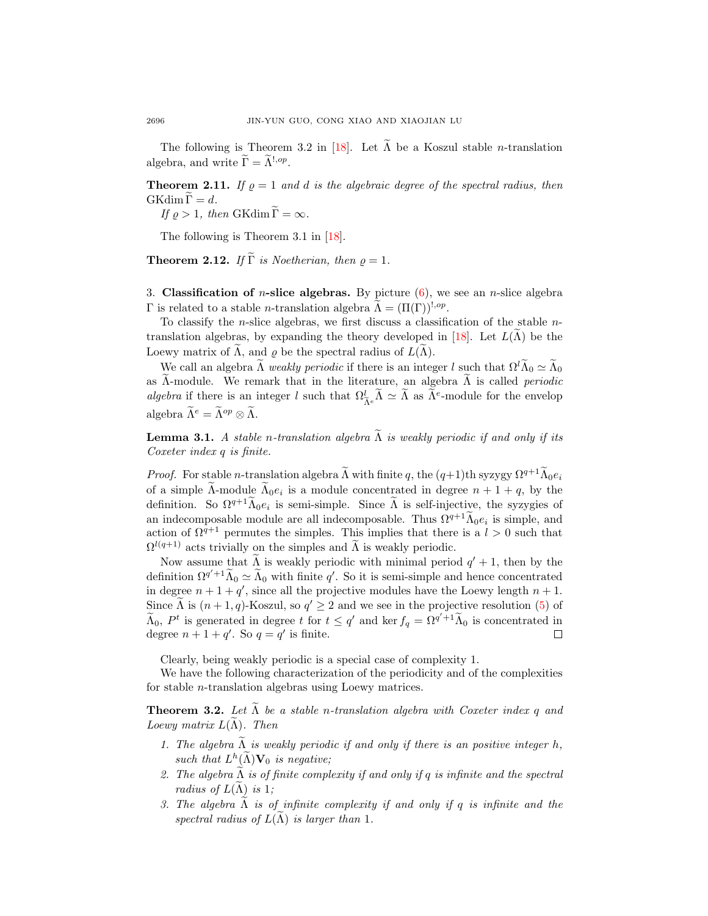The following is Theorem 3.2 in [\[18\]](#page-30-7). Let  $\tilde{\Lambda}$  be a Koszul stable *n*-translation algebra, and write  $\widetilde{\Gamma} = \widetilde{\Lambda}^{!, op}.$ 

<span id="page-9-2"></span>**Theorem 2.11.** If  $\rho = 1$  and d is the algebraic degree of the spectral radius, then  $GKdim \Gamma = d.$ 

If  $\varrho > 1$ , then GKdim  $\widetilde{\Gamma} = \infty$ .

The following is Theorem 3.1 in [\[18\]](#page-30-7).

<span id="page-9-4"></span>**Theorem 2.12.** If  $\widetilde{\Gamma}$  is Noetherian, then  $\rho = 1$ .

<span id="page-9-0"></span>3. Classification of *n*-slice algebras. By picture  $(6)$ , we see an *n*-slice algebra Γ is related to a stable *n*-translation algebra  $\tilde{\Lambda} = (\Pi(\Gamma))^{!, op}$ .

To classify the n-slice algebras, we first discuss a classification of the stable n-translation algebras, by expanding the theory developed in [\[18\]](#page-30-7). Let  $L(\tilde{\Lambda})$  be the Loewy matrix of  $\Lambda$ , and  $\rho$  be the spectral radius of  $L(\Lambda)$ .

We call an algebra  $\tilde{\Lambda}$  weakly periodic if there is an integer l such that  $\Omega^l \tilde{\Lambda}_0 \simeq \tilde{\Lambda}_0$ as  $\tilde{\Lambda}$ -module. We remark that in the literature, an algebra  $\tilde{\Lambda}$  is called *periodic* algebra if there is an integer l such that  $\Omega_{\tilde{\Lambda}^e}^l \tilde{\Lambda} \simeq \tilde{\Lambda}$  as  $\tilde{\Lambda}^e$ -module for the envelop algebra  $\widetilde{\Lambda}^e = \widetilde{\Lambda}^{op} \otimes \widetilde{\Lambda}$ .

<span id="page-9-1"></span>**Lemma 3.1.** A stable n-translation algebra  $\tilde{\Lambda}$  is weakly periodic if and only if its Coxeter index q is finite.

*Proof.* For stable n-translation algebra  $\tilde{\Lambda}$  with finite q, the  $(q+1)$ th syzygy  $\Omega^{q+1}\tilde{\Lambda}_0e_i$ of a simple  $\Lambda$ -module  $\Lambda_0e_i$  is a module concentrated in degree  $n+1+q$ , by the definition. So  $\Omega^{q+1}\tilde{\Lambda}_0e_i$  is semi-simple. Since  $\tilde{\Lambda}$  is self-injective, the syzygies of an indecomposable module are all indecomposable. Thus  $\Omega^{q+1} \tilde{\Lambda}_0 e_i$  is simple, and action of  $\Omega^{q+1}$  permutes the simples. This implies that there is a  $l > 0$  such that  $\Omega^{l(q+1)}$  acts trivially on the simples and  $\widetilde{\Lambda}$  is weakly periodic.

Now assume that  $\tilde{\Lambda}$  is weakly periodic with minimal period  $q' + 1$ , then by the definition  $\Omega^{q'+1}\widetilde{\Lambda}_0 \simeq \widetilde{\Lambda}_0$  with finite q'. So it is semi-simple and hence concentrated in degree  $n + 1 + q'$ , since all the projective modules have the Loewy length  $n + 1$ . Since  $\widetilde{\Lambda}$  is  $(n+1, q)$ -Koszul, so  $q' \geq 2$  and we see in the projective resolution [\(5\)](#page-5-1) of  $\widetilde{\Lambda}_0$ ,  $P^t$  is generated in degree t for  $t \leq q'$  and ker  $f_q = \Omega^{q'+1} \widetilde{\Lambda}_0$  is concentrated in degree  $n + 1 + q'$ . So  $q = q'$  is finite.

Clearly, being weakly periodic is a special case of complexity 1.

We have the following characterization of the periodicity and of the complexities for stable n-translation algebras using Loewy matrices.

<span id="page-9-3"></span>**Theorem 3.2.** Let  $\widetilde{\Lambda}$  be a stable n-translation algebra with Coxeter index q and Loewy matrix  $L(\widetilde{\Lambda})$ . Then

- 1. The algebra  $\tilde{\Lambda}$  is weakly periodic if and only if there is an positive integer h, such that  $L^h(\widetilde{\Lambda})\mathbf{V}_0$  is negative;
- 2. The algebra  $\Lambda$  is of finite complexity if and only if q is infinite and the spectral radius of  $L(\Lambda)$  is 1;
- 3. The algebra  $\tilde{\Lambda}$  is of infinite complexity if and only if q is infinite and the spectral radius of  $L(\Lambda)$  is larger than 1.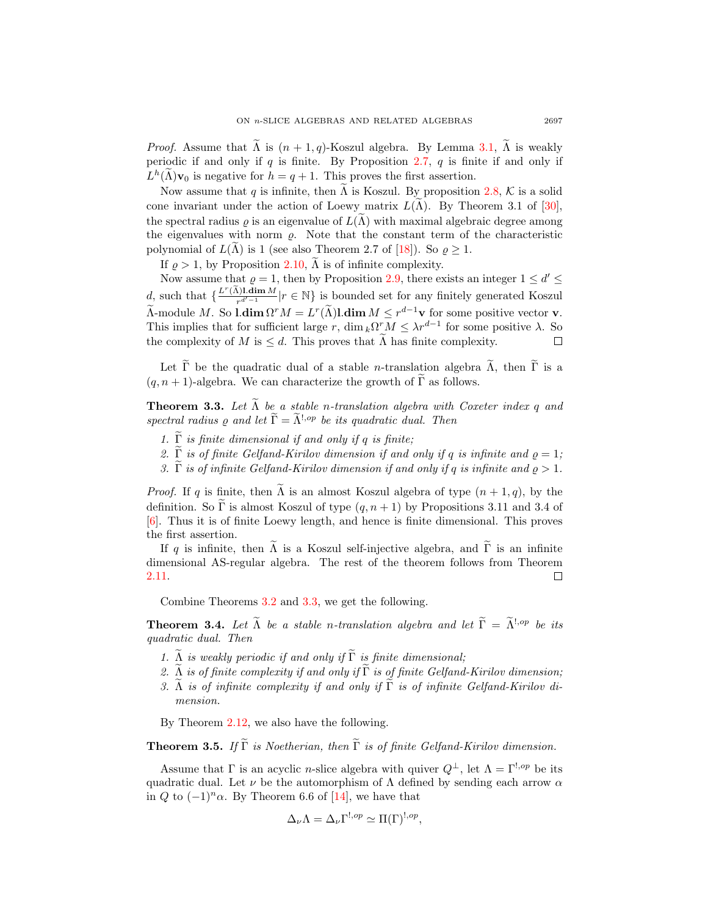*Proof.* Assume that  $\widetilde{\Lambda}$  is  $(n + 1, q)$ -Koszul algebra. By Lemma [3.1,](#page-9-1)  $\widetilde{\Lambda}$  is weakly periodic if and only if  $q$  is finite. By Proposition [2.7,](#page-8-1)  $q$  is finite if and only if  $L^h(\tilde{\Lambda})\mathbf{v}_0$  is negative for  $h = q + 1$ . This proves the first assertion.

Now assume that q is infinite, then  $\Lambda$  is Koszul. By proposition [2.8,](#page-8-2) K is a solid cone invariant under the action of Loewy matrix  $L(\Lambda)$ . By Theorem 3.1 of [[30\]](#page-31-4), the spectral radius  $\rho$  is an eigenvalue of  $L(\Lambda)$  with maximal algebraic degree among the eigenvalues with norm  $\rho$ . Note that the constant term of the characteristic polynomial of  $L(\Lambda)$  is 1 (see also Theorem 2.7 of [[18\]](#page-30-7)). So  $\rho \geq 1$ .

If  $\rho > 1$ , by Proposition [2.10,](#page-8-3)  $\Lambda$  is of infinite complexity.

Now assume that  $\rho = 1$ , then by Proposition [2.9,](#page-8-0) there exists an integer  $1 \le d' \le$ d, such that  $\{\frac{L^r(\tilde{\Lambda})! \dim M}{r^{d'-1}} | r \in \mathbb{N}\}\$ is bounded set for any finitely generated Koszul  $\Lambda$ -module M. So  $\text{ldim }\Omega^r M = L^r(\tilde{\Lambda})\text{ldim }M \leq r^{d-1}\mathbf{v}$  for some positive vector  $\mathbf{v}$ . This implies that for sufficient large r, dim  $_k\Omega^r M \leq \lambda r^{d-1}$  for some positive  $\lambda$ . So the complexity of M is  $\leq d$ . This proves that  $\Lambda$  has finite complexity.  $\Box$ 

Let  $\Gamma$  be the quadratic dual of a stable *n*-translation algebra  $\Lambda$ , then  $\Gamma$  is a  $(q, n+1)$ -algebra. We can characterize the growth of  $\tilde{\Gamma}$  as follows.

<span id="page-10-0"></span>**Theorem 3.3.** Let  $\tilde{\Lambda}$  be a stable n-translation algebra with Coxeter index q and spectral radius  $\rho$  and let  $\widetilde{\Gamma} = \widetilde{\Lambda}^{!,op}$  be its quadratic dual. Then

- 1.  $\widetilde{\Gamma}$  is finite dimensional if and only if q is finite;
- 2.  $\widetilde{\Gamma}$  is of finite Gelfand-Kirilov dimension if and only if q is infinite and  $\rho = 1$ ;
- 3. Γ is of infinite Gelfand-Kirilov dimension if and only if q is infinite and  $\rho > 1$ .

*Proof.* If q is finite, then  $\tilde{\Lambda}$  is an almost Koszul algebra of type  $(n+1,q)$ , by the definition. So Γ is almost Koszul of type  $(q, n + 1)$  by Propositions 3.11 and 3.4 of [\[6\]](#page-30-12). Thus it is of finite Loewy length, and hence is finite dimensional. This proves the first assertion.

If q is infinite, then  $\tilde{\Lambda}$  is a Koszul self-injective algebra, and  $\tilde{\Gamma}$  is an infinite dimensional AS-regular algebra. The rest of the theorem follows from Theorem [2.11.](#page-9-2) П

Combine Theorems [3.2](#page-9-3) and [3.3,](#page-10-0) we get the following.

<span id="page-10-1"></span>**Theorem 3.4.** Let  $\widetilde{\Lambda}$  be a stable n-translation algebra and let  $\widetilde{\Gamma} = \widetilde{\Lambda}^{!,op}$  be its quadratic dual. Then

- 1.  $\widetilde{\Lambda}$  is weakly periodic if and only if  $\widetilde{\Gamma}$  is finite dimensional;
- 2. A is of finite complexity if and only if  $\widetilde{\Gamma}$  is of finite Gelfand-Kirilov dimension;
- 3. Λ is of infinite complexity if and only if  $\overline{\Gamma}$  is of infinite Gelfand-Kirilov dimension.

By Theorem [2.12,](#page-9-4) we also have the following.

**Theorem 3.5.** If  $\widetilde{\Gamma}$  is Noetherian, then  $\widetilde{\Gamma}$  is of finite Gelfand-Kirilov dimension.

Assume that  $\Gamma$  is an acyclic *n*-slice algebra with quiver  $Q^{\perp}$ , let  $\Lambda = \Gamma^{!,op}$  be its quadratic dual. Let  $\nu$  be the automorphism of  $\Lambda$  defined by sending each arrow  $\alpha$ in Q to  $(-1)^n \alpha$ . By Theorem 6.6 of [\[14\]](#page-30-3), we have that

$$
\Delta_{\nu}\Lambda = \Delta_{\nu}\Gamma^{!,op} \simeq \Pi(\Gamma)^{!,op},
$$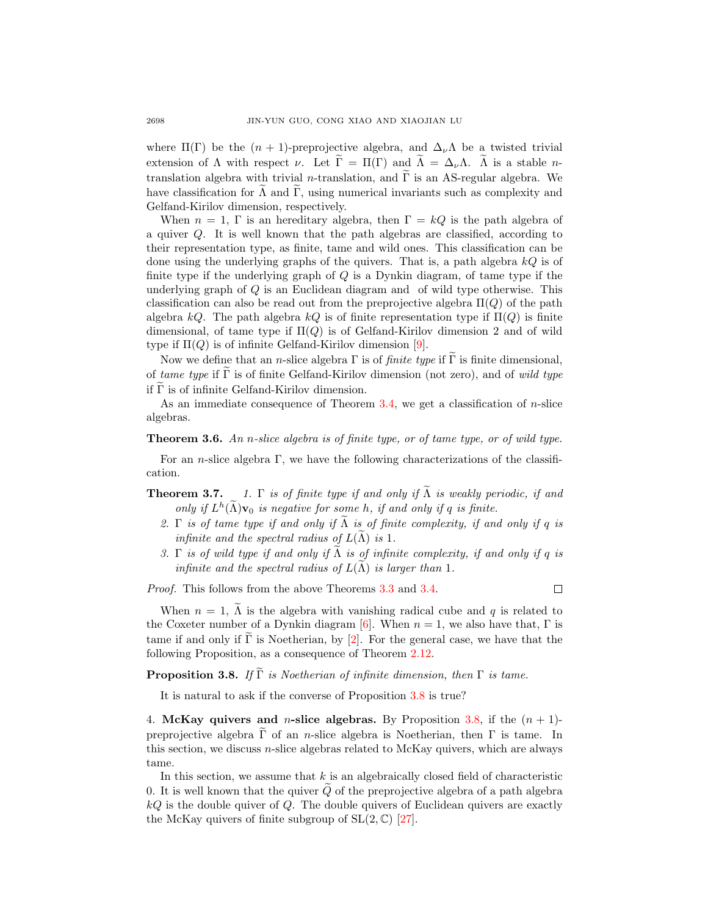where  $\Pi(\Gamma)$  be the  $(n + 1)$ -preprojective algebra, and  $\Delta_{\nu} \Lambda$  be a twisted trivial extension of  $\Lambda$  with respect  $\nu$ . Let  $\widetilde{\Gamma} = \Pi(\Gamma)$  and  $\widetilde{\Lambda} = \Delta_{\nu} \Lambda$ .  $\widetilde{\Lambda}$  is a stable *n*translation algebra with trivial n-translation, and  $\Gamma$  is an AS-regular algebra. We have classification for  $\Lambda$  and  $\Gamma$ , using numerical invariants such as complexity and Gelfand-Kirilov dimension, respectively.

When  $n = 1$ , Γ is an hereditary algebra, then  $\Gamma = kQ$  is the path algebra of a quiver Q. It is well known that the path algebras are classified, according to their representation type, as finite, tame and wild ones. This classification can be done using the underlying graphs of the quivers. That is, a path algebra  $kQ$  is of finite type if the underlying graph of Q is a Dynkin diagram, of tame type if the underlying graph of Q is an Euclidean diagram and of wild type otherwise. This classification can also be read out from the preprojective algebra  $\Pi(Q)$  of the path algebra kQ. The path algebra kQ is of finite representation type if  $\Pi(Q)$  is finite dimensional, of tame type if  $\Pi(Q)$  is of Gelfand-Kirilov dimension 2 and of wild type if  $\Pi(Q)$  is of infinite Gelfand-Kirilov dimension [\[9\]](#page-30-6).

Now we define that an *n*-slice algebra  $\Gamma$  is of *finite type* if  $\widetilde{\Gamma}$  is finite dimensional, of tame type if  $\tilde{\Gamma}$  is of finite Gelfand-Kirilov dimension (not zero), and of wild type if  $\widetilde{\Gamma}$  is of infinite Gelfand-Kirilov dimension.

As an immediate consequence of Theorem [3.4,](#page-10-1) we get a classification of  $n$ -slice algebras.

### Theorem 3.6. An n-slice algebra is of finite type, or of tame type, or of wild type.

For an *n*-slice algebra  $\Gamma$ , we have the following characterizations of the classification.

- **Theorem 3.7.** 1. Γ is of finite type if and only if  $\widetilde{\Lambda}$  is weakly periodic, if and only if  $L^h(\tilde{\Lambda})$  v<sub>0</sub> is negative for some h, if and only if q is finite.
	- 2. Γ is of tame type if and only if  $\Lambda$  is of finite complexity, if and only if q is infinite and the spectral radius of  $L(\Lambda)$  is 1.
	- 3. Γ is of wild type if and only if  $\Lambda$  is of infinite complexity, if and only if q is infinite and the spectral radius of  $L(\Lambda)$  is larger than 1.

Proof. This follows from the above Theorems [3.3](#page-10-0) and [3.4.](#page-10-1)

 $\Box$ 

When  $n = 1$ ,  $\tilde{\Lambda}$  is the algebra with vanishing radical cube and q is related to the Coxeter number of a Dynkin diagram [\[6\]](#page-30-12). When  $n = 1$ , we also have that,  $\Gamma$  is tame if and only if  $\Gamma$  is Noetherian, by [[2\]](#page-30-13). For the general case, we have that the following Proposition, as a consequence of Theorem [2.12.](#page-9-4)

<span id="page-11-1"></span>**Proposition 3.8.** If  $\widetilde{\Gamma}$  is Noetherian of infinite dimension, then  $\Gamma$  is tame.

It is natural to ask if the converse of Proposition [3.8](#page-11-1) is true?

<span id="page-11-0"></span>4. McKay quivers and *n*-slice algebras. By Proposition [3.8,](#page-11-1) if the  $(n + 1)$ preprojective algebra Γ of an n-slice algebra is Noetherian, then Γ is tame. In this section, we discuss  $n$ -slice algebras related to McKay quivers, which are always tame.

In this section, we assume that  $k$  is an algebraically closed field of characteristic 0. It is well known that the quiver  $\tilde{Q}$  of the preprojective algebra of a path algebra  $kQ$  is the double quiver of  $Q$ . The double quivers of Euclidean quivers are exactly the McKay quivers of finite subgroup of  $SL(2,\mathbb{C})$  [\[27\]](#page-31-2).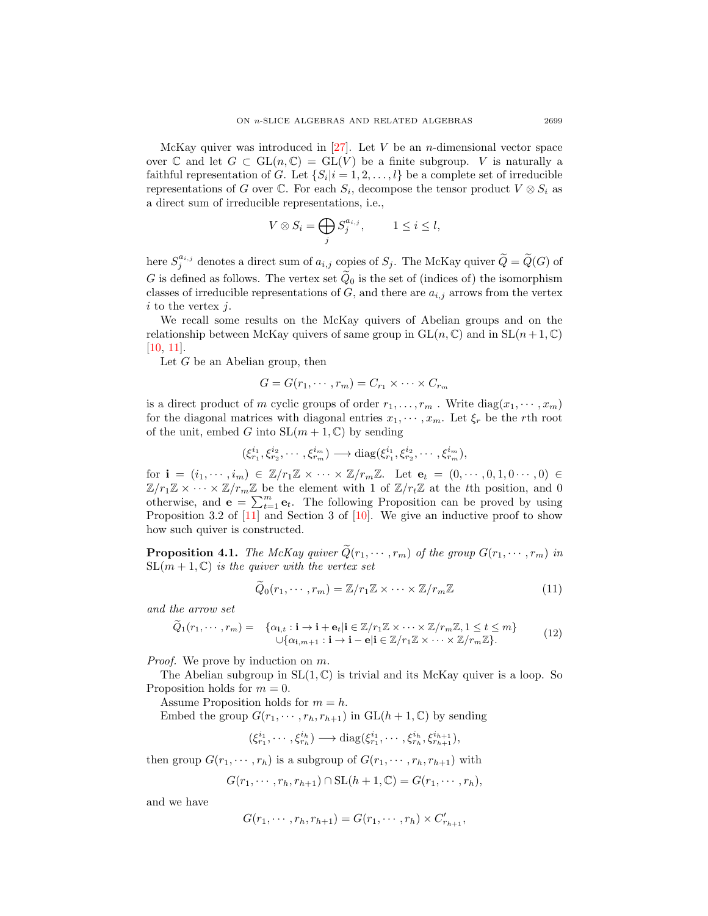McKay quiver was introduced in  $[27]$ . Let V be an *n*-dimensional vector space over C and let  $G \subset GL(n, \mathbb{C}) = GL(V)$  be a finite subgroup. V is naturally a faithful representation of G. Let  $\{S_i | i = 1, 2, ..., l\}$  be a complete set of irreducible representations of G over  $\mathbb C$ . For each  $S_i$ , decompose the tensor product  $V \otimes S_i$  as a direct sum of irreducible representations, i.e.,

$$
V \otimes S_i = \bigoplus_j S_j^{a_{i,j}}, \qquad 1 \le i \le l,
$$

here  $S_j^{a_{i,j}}$  denotes a direct sum of  $a_{i,j}$  copies of  $S_j$ . The McKay quiver  $\widetilde{Q} = \widetilde{Q}(G)$  of G is defined as follows. The vertex set  $\tilde{Q}_0$  is the set of (indices of) the isomorphism classes of irreducible representations of  $G$ , and there are  $a_{i,j}$  arrows from the vertex  $i$  to the vertex  $j$ .

We recall some results on the McKay quivers of Abelian groups and on the relationship between McKay quivers of same group in  $GL(n, \mathbb{C})$  and in  $SL(n+1, \mathbb{C})$ [\[10,](#page-30-14) [11\]](#page-30-15).

Let  $G$  be an Abelian group, then

$$
G = G(r_1, \dots, r_m) = C_{r_1} \times \dots \times C_{r_m}
$$

is a direct product of m cyclic groups of order  $r_1, \ldots, r_m$ . Write  $diag(x_1, \cdots, x_m)$ for the diagonal matrices with diagonal entries  $x_1, \dots, x_m$ . Let  $\xi_r$  be the rth root of the unit, embed G into  $SL(m + 1, \mathbb{C})$  by sending

$$
(\xi_{r_1}^{i_1}, \xi_{r_2}^{i_2}, \cdots, \xi_{r_m}^{i_m}) \longrightarrow \text{diag}(\xi_{r_1}^{i_1}, \xi_{r_2}^{i_2}, \cdots, \xi_{r_m}^{i_m}),
$$

for  $\mathbf{i} = (i_1, \dots, i_m) \in \mathbb{Z}/r_1\mathbb{Z} \times \dots \times \mathbb{Z}/r_m\mathbb{Z}$ . Let  $\mathbf{e}_t = (0, \dots, 0, 1, 0 \dots, 0) \in$  $\mathbb{Z}/r_1\mathbb{Z} \times \cdots \times \mathbb{Z}/r_m\mathbb{Z}$  be the element with 1 of  $\mathbb{Z}/r_t\mathbb{Z}$  at the tth position, and 0 otherwise, and  $\mathbf{e} = \sum_{t=1}^{m} \mathbf{e}_t$ . The following Proposition can be proved by using Proposition 3.2 of  $[11]$  and Section 3 of  $[10]$ . We give an inductive proof to show how such quiver is constructed.

<span id="page-12-0"></span>**Proposition 4.1.** The McKay quiver  $\tilde{Q}(r_1, \dots, r_m)$  of the group  $G(r_1, \dots, r_m)$  in  $SL(m+1,\mathbb{C})$  is the quiver with the vertex set

$$
\widetilde{Q}_0(r_1, \cdots, r_m) = \mathbb{Z}/r_1\mathbb{Z} \times \cdots \times \mathbb{Z}/r_m\mathbb{Z}
$$
\n(11)

and the arrow set

$$
\widetilde{Q}_1(r_1,\dots,r_m) = \{ \alpha_{i,t} : \mathbf{i} \to \mathbf{i} + \mathbf{e}_t | \mathbf{i} \in \mathbb{Z}/r_1\mathbb{Z} \times \dots \times \mathbb{Z}/r_m\mathbb{Z}, 1 \le t \le m \}
$$
\n
$$
\cup \{ \alpha_{i,m+1} : \mathbf{i} \to \mathbf{i} - \mathbf{e} | \mathbf{i} \in \mathbb{Z}/r_1\mathbb{Z} \times \dots \times \mathbb{Z}/r_m\mathbb{Z} \}. \tag{12}
$$

Proof. We prove by induction on m.

The Abelian subgroup in  $SL(1, \mathbb{C})$  is trivial and its McKay quiver is a loop. So Proposition holds for  $m = 0$ .

Assume Proposition holds for  $m = h$ .

Embed the group  $G(r_1, \dots, r_h, r_{h+1})$  in  $GL(h+1, \mathbb{C})$  by sending

$$
(\xi_{r_1}^{i_1},\cdots,\xi_{r_h}^{i_h})\longrightarrow \mathrm{diag}(\xi_{r_1}^{i_1},\cdots,\xi_{r_h}^{i_h},\xi_{r_{h+1}}^{i_{h+1}}),
$$

then group  $G(r_1, \dots, r_h)$  is a subgroup of  $G(r_1, \dots, r_h, r_{h+1})$  with

$$
G(r_1,\cdots,r_h,r_{h+1})\cap \mathrm{SL}(h+1,\mathbb{C})=G(r_1,\cdots,r_h),
$$

and we have

$$
G(r_1, \cdots, r_h, r_{h+1}) = G(r_1, \cdots, r_h) \times C'_{r_{h+1}},
$$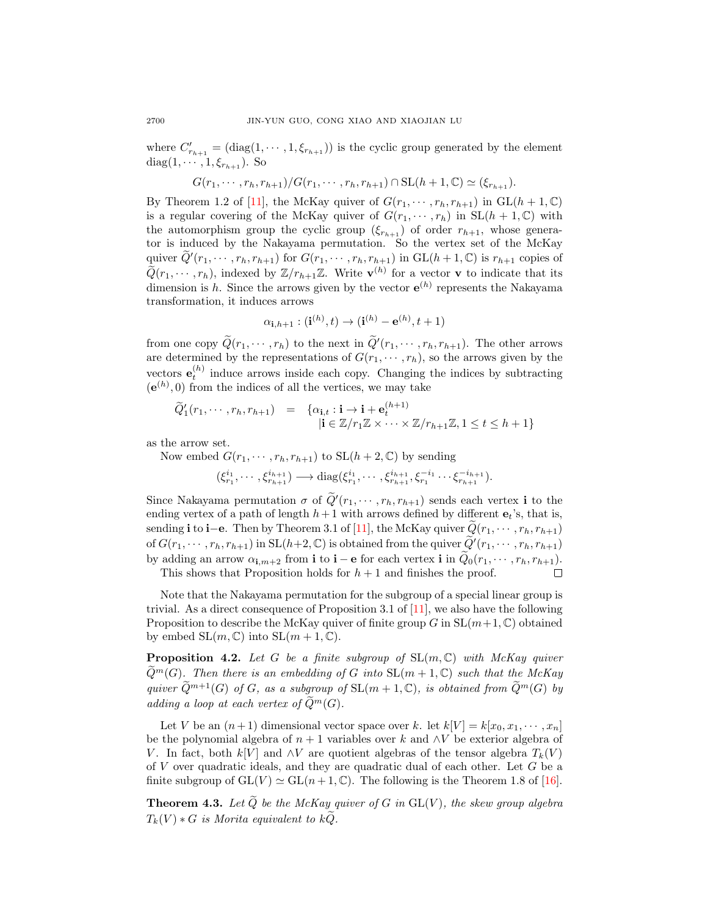where  $C'_{r_{h+1}} = (\text{diag}(1, \dots, 1, \xi_{r_{h+1}}))$  is the cyclic group generated by the element diag( $1, \dots, 1, \xi_{r_{h+1}}$ ). So

$$
G(r_1, \cdots, r_h, r_{h+1})/G(r_1, \cdots, r_h, r_{h+1}) \cap SL(h+1, \mathbb{C}) \simeq (\xi_{r_{h+1}}).
$$

By Theorem 1.2 of [\[11\]](#page-30-15), the McKay quiver of  $G(r_1, \dots, r_h, r_{h+1})$  in  $GL(h+1, \mathbb{C})$ is a regular covering of the McKay quiver of  $G(r_1, \dots, r_h)$  in  $SL(h + 1, \mathbb{C})$  with the automorphism group the cyclic group  $(\xi_{r_{h+1}})$  of order  $r_{h+1}$ , whose generator is induced by the Nakayama permutation. So the vertex set of the McKay quiver  $\widetilde{Q}'(r_1,\dots,r_h,r_{h+1})$  for  $G(r_1,\dots,r_h,r_{h+1})$  in  $GL(h+1,\mathbb{C})$  is  $r_{h+1}$  copies of  $\widetilde{Q}(r_1,\dots,r_h)$ , indexed by  $\mathbb{Z}/r_{h+1}\mathbb{Z}$ . Write  $\mathbf{v}^{(h)}$  for a vector  $\mathbf{v}$  to indicate that its dimension is h. Since the arrows given by the vector  $e^{(h)}$  represents the Nakayama transformation, it induces arrows

$$
\alpha_{\mathbf{i},h+1} : (\mathbf{i}^{(h)}, t) \to (\mathbf{i}^{(h)} - \mathbf{e}^{(h)}, t+1)
$$

from one copy  $\widetilde{Q}(r_1, \dots, r_h)$  to the next in  $\widetilde{Q}'(r_1, \dots, r_h, r_{h+1})$ . The other arrows are determined by the representations of  $G(r_1, \dots, r_h)$ , so the arrows given by the vectors  $\mathbf{e}_t^{(h)}$  induce arrows inside each copy. Changing the indices by subtracting  $(e^{(h)}, 0)$  from the indices of all the vertices, we may take

$$
\widetilde{Q}'_1(r_1,\dots,r_h,r_{h+1}) = \{ \alpha_{\mathbf{i},t} : \mathbf{i} \to \mathbf{i} + \mathbf{e}_t^{(h+1)} \mid \mathbf{i} \in \mathbb{Z}/r_1\mathbb{Z} \times \dots \times \mathbb{Z}/r_{h+1}\mathbb{Z}, 1 \le t \le h+1 \}
$$

as the arrow set.

Now embed  $G(r_1, \dots, r_h, r_{h+1})$  to  $SL(h+2, \mathbb{C})$  by sending

$$
(\xi_{r_1}^{i_1},\cdots,\xi_{r_{h+1}}^{i_{h+1}}) \longrightarrow \text{diag}(\xi_{r_1}^{i_1},\cdots,\xi_{r_{h+1}}^{i_{h+1}},\xi_{r_1}^{-i_1}\cdots\xi_{r_{h+1}}^{-i_{h+1}}).
$$

Since Nakayama permutation  $\sigma$  of  $\tilde{Q}'(r_1, \dots, r_h, r_{h+1})$  sends each vertex i to the ending vertex of a path of length  $h+1$  with arrows defined by different  $e_t$ 's, that is, sending i to i−e. Then by Theorem 3.1 of [\[11\]](#page-30-15), the McKay quiver  $\tilde{Q}(r_1, \dots, r_h, r_{h+1})$ of  $G(r_1, \dots, r_h, r_{h+1})$  in  $SL(h+2, \mathbb{C})$  is obtained from the quiver  $\widetilde{Q}'(r_1, \dots, r_h, r_{h+1})$ by adding an arrow  $\alpha_{i,m+2}$  from **i** to **i** – **e** for each vertex **i** in  $\ddot{Q}_0(r_1, \dots, r_h, r_{h+1})$ . This shows that Proposition holds for  $h + 1$  and finishes the proof.

Note that the Nakayama permutation for the subgroup of a special linear group is

trivial. As a direct consequence of Proposition 3.1 of  $[11]$ , we also have the following Proposition to describe the McKay quiver of finite group G in  $SL(m+1, \mathbb{C})$  obtained by embed  $SL(m, \mathbb{C})$  into  $SL(m + 1, \mathbb{C})$ .

<span id="page-13-1"></span>**Proposition 4.2.** Let G be a finite subgroup of  $SL(m, \mathbb{C})$  with McKay quiver  $\widetilde{Q}^m(G)$ . Then there is an embedding of G into  $SL(m+1,\mathbb{C})$  such that the McKay quiver  $\widetilde{Q}^{m+1}(G)$  of G, as a subgroup of  $SL(m+1,\mathbb{C})$ , is obtained from  $\widetilde{Q}^m(G)$  by adding a loop at each vertex of  $\widetilde{Q}^m(G)$ .

Let V be an  $(n+1)$  dimensional vector space over k. let  $k[V] = k[x_0, x_1, \dots, x_n]$ be the polynomial algebra of  $n + 1$  variables over k and ∧V be exterior algebra of V. In fact, both k[V] and  $\wedge V$  are quotient algebras of the tensor algebra  $T_k(V)$ of V over quadratic ideals, and they are quadratic dual of each other. Let G be a finite subgroup of  $GL(V) \simeq GL(n+1, \mathbb{C})$ . The following is the Theorem 1.8 of [\[16\]](#page-30-9).

<span id="page-13-0"></span>**Theorem 4.3.** Let  $\tilde{Q}$  be the McKay quiver of G in  $GL(V)$ , the skew group algebra  $T_k(V) * G$  is Morita equivalent to kQ.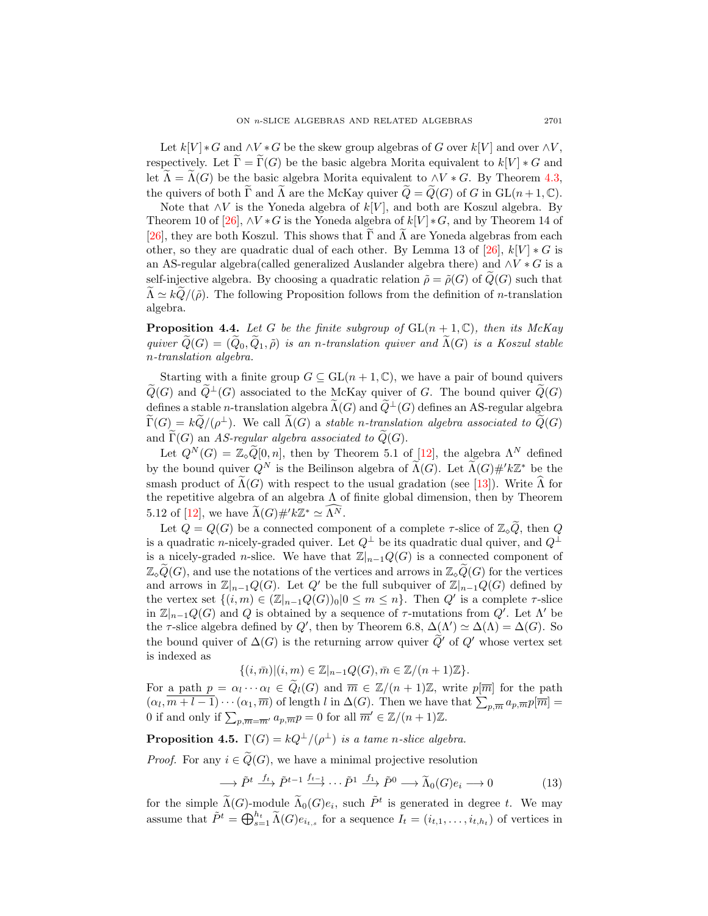Let  $k[V] * G$  and  $\wedge V * G$  be the skew group algebras of G over  $k[V]$  and over  $\wedge V$ , respectively. Let  $\Gamma = \Gamma(G)$  be the basic algebra Morita equivalent to  $k[V] * G$  and let  $\widetilde{\Lambda} = \widetilde{\Lambda}(G)$  be the basic algebra Morita equivalent to  $\wedge V * G$ . By Theorem [4.3,](#page-13-0) the quivers of both  $\widetilde{\Gamma}$  and  $\widetilde{\Lambda}$  are the McKay quiver  $\widetilde{Q} = \widetilde{Q}(G)$  of G in  $GL(n+1,\mathbb{C})$ .

Note that  $\wedge V$  is the Yoneda algebra of  $k[V]$ , and both are Koszul algebra. By Theorem 10 of [\[26\]](#page-31-5),  $\wedge V * G$  is the Yoneda algebra of  $k[V] * G$ , and by Theorem 14 of [\[26\]](#page-31-5), they are both Koszul. This shows that  $\Gamma$  and  $\Lambda$  are Yoneda algebras from each other, so they are quadratic dual of each other. By Lemma 13 of [\[26\]](#page-31-5),  $k[V] * G$  is an AS-regular algebra(called generalized Auslander algebra there) and  $\wedge V * G$  is a self-injective algebra. By choosing a quadratic relation  $\tilde{\rho} = \tilde{\rho}(G)$  of  $\tilde{Q}(G)$  such that  $\Lambda \simeq k\tilde{Q}/(\tilde{\rho})$ . The following Proposition follows from the definition of *n*-translation algebra.

**Proposition 4.4.** Let G be the finite subgroup of  $GL(n + 1, \mathbb{C})$ , then its McKay quiver  $\widetilde{Q}(G) = (\widetilde{Q}_0, \widetilde{Q}_1, \widetilde{\rho})$  is an n-translation quiver and  $\widetilde{\Lambda}(G)$  is a Koszul stable n-translation algebra.

Starting with a finite group  $G \subseteq GL(n + 1, \mathbb{C})$ , we have a pair of bound quivers  $Q(G)$  and  $Q^{\perp}(G)$  associated to the McKay quiver of G. The bound quiver  $Q(G)$ defines a stable *n*-translation algebra  $\widetilde{\Lambda}(G)$  and  $\widetilde{Q}^{\perp}(G)$  defines an AS-regular algebra  $\widetilde{\Gamma}(G) = k\widetilde{Q}/(\rho^{\perp}).$  We call  $\widetilde{\Lambda}(G)$  a stable n-translation algebra associated to  $\widetilde{Q}(G)$ and  $\widetilde{\Gamma}(G)$  an AS-regular algebra associated to  $\widetilde{Q}(G)$ .

Let  $Q^N(G) = \mathbb{Z}_\infty \widetilde{Q}[0,n]$ , then by Theorem 5.1 of [\[12\]](#page-30-11), the algebra  $\Lambda^N$  defined by the bound quiver  $Q^N$  is the Beilinson algebra of  $\widetilde{\Lambda}(G)$ . Let  $\widetilde{\Lambda}(G) \#^{\prime} k \mathbb{Z}^*$  be the smash product of  $\widetilde{\Lambda}(G)$  with respect to the usual gradation (see [\[13\]](#page-30-10)). Write  $\widehat{\Lambda}$  for the repetitive algebra of an algebra  $\Lambda$  of finite global dimension, then by Theorem 5.12 of [\[12\]](#page-30-11), we have  $\widetilde{\Lambda}(G) \#^{\prime} k \mathbb{Z}^* \simeq \widehat{\Lambda^N}$ .

Let  $Q = Q(G)$  be a connected component of a complete  $\tau$ -slice of  $\mathbb{Z}_q\widetilde{Q}$ , then Q is a quadratic n-nicely-graded quiver. Let  $Q^{\perp}$  be its quadratic dual quiver, and  $Q^{\perp}$ is a nicely-graded *n*-slice. We have that  $\mathbb{Z}|_{n-1}Q(G)$  is a connected component of  $\mathbb{Z}_{\infty}\widetilde{Q}(G)$ , and use the notations of the vertices and arrows in  $\mathbb{Z}_{\infty}\widetilde{Q}(G)$  for the vertices and arrows in  $\mathbb{Z}|_{n-1}Q(G)$ . Let  $Q'$  be the full subquiver of  $\mathbb{Z}|_{n-1}Q(G)$  defined by the vertex set  $\{(i,m) \in (\mathbb{Z}|_{n-1}Q(G))_0 | 0 \leq m \leq n\}$ . Then  $Q'$  is a complete  $\tau$ -slice in  $\mathbb{Z}|_{n-1}Q(G)$  and Q is obtained by a sequence of  $\tau$ -mutations from  $Q'$ . Let  $\Lambda'$  be the  $\tau$ -slice algebra defined by  $Q'$ , then by Theorem 6.8,  $\Delta(\Lambda') \simeq \Delta(\Lambda) = \Delta(G)$ . So the bound quiver of  $\Delta(G)$  is the returning arrow quiver  $\widetilde{Q}'$  of  $Q'$  whose vertex set is indexed as

$$
\{(i,\bar{m})|(i,m)\in\mathbb{Z}|_{n-1}Q(G),\bar{m}\in\mathbb{Z}/(n+1)\mathbb{Z}\}.
$$

For a path  $p = \alpha_l \cdots \alpha_l \in \widetilde{Q}_l(G)$  and  $\overline{m} \in \mathbb{Z}/(n+1)\mathbb{Z}$ , write  $p[\overline{m}]$  for the path  $(\alpha_l, \overline{m+l-1})\cdots(\alpha_1, \overline{m})$  of length l in  $\Delta(G)$ . Then we have that  $\sum_{p,\overline{m}} a_{p,\overline{m}} p[\overline{m}] =$ 0 if and only if  $\sum_{p,\overline{m}=\overline{m'}} a_{p,\overline{m}} p = 0$  for all  $\overline{m'} \in \mathbb{Z}/(n+1)\mathbb{Z}$ .

<span id="page-14-1"></span>**Proposition 4.5.**  $\Gamma(G) = kQ^{\perp}/(\rho^{\perp})$  is a tame n-slice algebra.

*Proof.* For any  $i \in \widetilde{Q}(G)$ , we have a minimal projective resolution

<span id="page-14-0"></span>
$$
\longrightarrow \tilde{P}^t \xrightarrow{f_t} \tilde{P}^{t-1} \xrightarrow{f_{t-1}} \cdots \tilde{P}^1 \xrightarrow{f_1} \tilde{P}^0 \longrightarrow \tilde{\Lambda}_0(G)e_i \longrightarrow 0 \tag{13}
$$

for the simple  $\widetilde{\Lambda}(G)$ -module  $\widetilde{\Lambda}_0(G)e_i$ , such  $\widetilde{P}^t$  is generated in degree t. We may assume that  $\tilde{P}^t = \bigoplus_{s=1}^{h_t} \tilde{\Lambda}(G) e_{i_{t,s}}$  for a sequence  $I_t = (i_{t,1}, \ldots, i_{t,h_t})$  of vertices in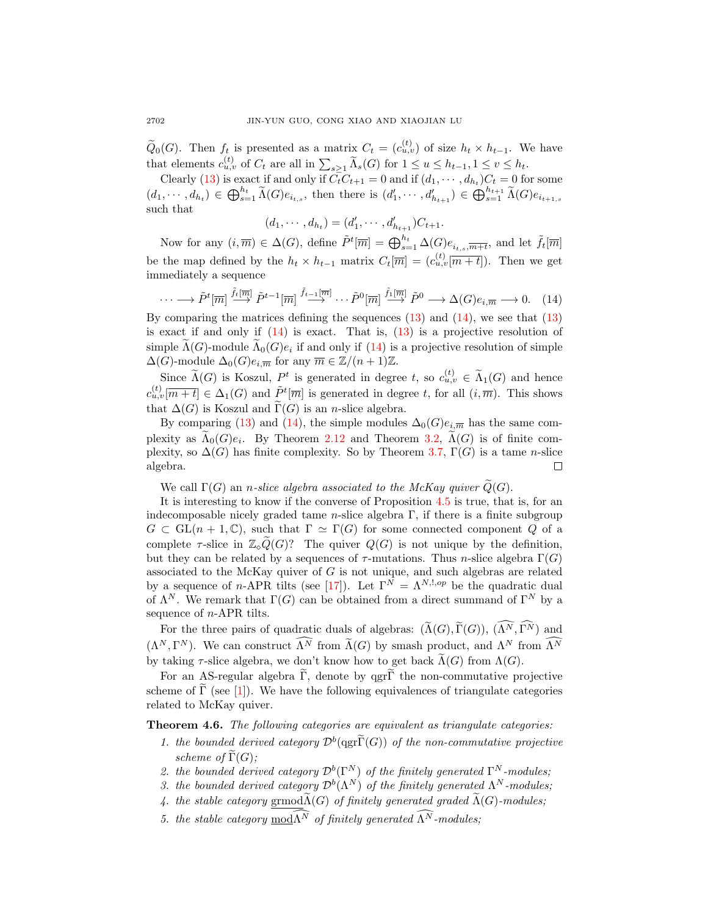$\widetilde{Q}_0(G)$ . Then  $f_t$  is presented as a matrix  $C_t = (c_{u,v}^{(t)})$  of size  $h_t \times h_{t-1}$ . We have that elements  $c_{u,v}^{(t)}$  of  $C_t$  are all in  $\sum_{s\geq 1} \widetilde{\Lambda}_s(G)$  for  $1 \leq u \leq h_{t-1}, 1 \leq v \leq h_t$ .

Clearly [\(13\)](#page-14-0) is exact if and only if  $C_t C_{t+1} = 0$  and if  $(d_1, \dots, d_{h_t}) C_t = 0$  for some  $(d_1, \dots, d_{h_t}) \in \bigoplus_{s=1}^{h_t} \widetilde{\Lambda}(G) e_{i_{t,s}},$  then there is  $(d'_1, \dots, d'_{h_{t+1}}) \in \bigoplus_{s=1}^{h_{t+1}} \widetilde{\Lambda}(G) e_{i_{t+1,s}}$ such that

 $(d_1, \dots, d_{h_t}) = (d'_1, \dots, d'_{h_{t+1}})C_{t+1}.$ 

Now for any  $(i, \overline{m}) \in \Delta(G)$ , define  $\tilde{P}^t[\overline{m}] = \bigoplus_{s=1}^{h_t} \Delta(G) e_{i_{t,s}, \overline{m+t}}$ , and let  $\tilde{f}_t[\overline{m}]$ be the map defined by the  $h_t \times h_{t-1}$  matrix  $C_t[\overline{m}] = (c_{u,v}^{(t)}[\overline{m+1}])$ . Then we get immediately a sequence

<span id="page-15-0"></span>
$$
\cdots \longrightarrow \tilde{P}^t[\overline{m}] \stackrel{\tilde{f}_t[\overline{m}]}{\longrightarrow} \tilde{P}^{t-1}[\overline{m}] \stackrel{\tilde{f}_{t-1}[\overline{m}]}{\longrightarrow} \cdots \tilde{P}^0[\overline{m}] \stackrel{\tilde{f}_1[\overline{m}]}{\longrightarrow} \tilde{P}^0 \longrightarrow \Delta(G)e_{i,\overline{m}} \longrightarrow 0. \quad (14)
$$

By comparing the matrices defining the sequences [\(13\)](#page-14-0) and [\(14\)](#page-15-0), we see that [\(13\)](#page-14-0) is exact if and only if [\(14\)](#page-15-0) is exact. That is, [\(13\)](#page-14-0) is a projective resolution of simple  $\Lambda(G)$ -module  $\Lambda_0(G)e_i$  if and only if  $(14)$  is a projective resolution of simple  $\Delta(G)$ -module  $\Delta_0(G)e_{i,\overline{m}}$  for any  $\overline{m} \in \mathbb{Z}/(n+1)\mathbb{Z}$ .

Since  $\widetilde{\Lambda}(G)$  is Koszul,  $P^t$  is generated in degree t, so  $c_{u,v}^{(t)} \in \widetilde{\Lambda}_1(G)$  and hence  $c_{u,v}^{(t)}[\overline{m+t}] \in \Delta_1(G)$  and  $\tilde{P}^t[\overline{m}]$  is generated in degree t, for all  $(i,\overline{m})$ . This shows that  $\Delta(G)$  is Koszul and  $\widetilde{\Gamma}(G)$  is an *n*-slice algebra.

By comparing [\(13\)](#page-14-0) and [\(14\)](#page-15-0), the simple modules  $\Delta_0(G)e_{i,\overline{m}}$  has the same complexity as  $\Lambda_0(G)e_i$ . By Theorem [2.12](#page-9-4) and Theorem [3.2,](#page-9-3)  $\Lambda(G)$  is of finite complexity, so  $\Delta(G)$  has finite complexity. So by Theorem [3.7,](#page-0-0)  $\Gamma(G)$  is a tame n-slice algebra.  $\Box$ 

We call  $\Gamma(G)$  an *n*-slice algebra associated to the McKay quiver  $Q(G)$ .

It is interesting to know if the converse of Proposition [4.5](#page-14-1) is true, that is, for an indecomposable nicely graded tame n-slice algebra  $\Gamma$ , if there is a finite subgroup  $G \subset GL(n+1,\mathbb{C})$ , such that  $\Gamma \simeq \Gamma(G)$  for some connected component Q of a complete  $\tau$ -slice in  $\mathbb{Z}_{\circ}\widetilde{Q}(G)$ ? The quiver  $Q(G)$  is not unique by the definition, but they can be related by a sequences of  $\tau$ -mutations. Thus *n*-slice algebra  $\Gamma(G)$ associated to the McKay quiver of  $G$  is not unique, and such algebras are related by a sequence of n-APR tilts (see [\[17\]](#page-30-4)). Let  $\Gamma^{N} = \Lambda^{N, l, op}$  be the quadratic dual of  $\Lambda^N$ . We remark that  $\Gamma(G)$  can be obtained from a direct summand of  $\Gamma^N$  by a sequence of *n*-APR tilts.

For the three pairs of quadratic duals of algebras:  $(\widetilde{\Lambda}(G), \widetilde{\Gamma}(G)), (\widehat{\Lambda^N}, \widehat{\Gamma^N})$  and  $(\Lambda^N, \Gamma^N)$ . We can construct  $\Lambda^N$  from  $\widetilde{\Lambda}(G)$  by smash product, and  $\Lambda^N$  from  $\Lambda^N$ by taking  $\tau$ -slice algebra, we don't know how to get back  $\Lambda(G)$  from  $\Lambda(G)$ .

For an AS-regular algebra  $\tilde{\Gamma}$ , denote by qgr $\tilde{\Gamma}$  the non-commutative projective scheme of  $\Gamma$  (see [[1\]](#page-30-16)). We have the following equivalences of triangulate categories related to McKay quiver.

<span id="page-15-1"></span>Theorem 4.6. The following categories are equivalent as triangulate categories:

- 1. the bounded derived category  $\mathcal{D}^b$ (qgr $\widetilde{\Gamma}(G)$ ) of the non-commutative projective scheme of  $\widetilde{\Gamma}(G)$ ;
- 2. the bounded derived category  $\mathcal{D}^b(\Gamma^N)$  of the finitely generated  $\Gamma^N$ -modules;
- 3. the bounded derived category  $\mathcal{D}^b(\Lambda^N)$  of the finitely generated  $\Lambda^N$ -modules;
- 4. the stable category grmod $\widetilde{\Lambda}(G)$  of finitely generated graded  $\widetilde{\Lambda}(G)$ -modules;
- 5. the stable category mod $\widehat{\Lambda^N}$  of finitely generated  $\widehat{\Lambda^N}$ -modules: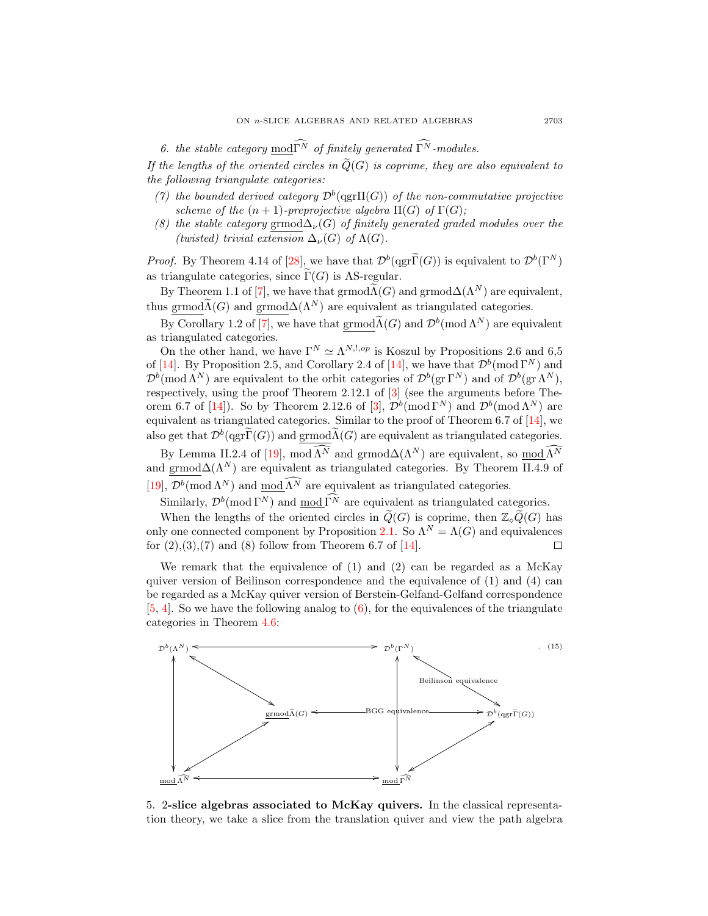6. the stable category mod $\widehat{\Gamma}^{\tilde{N}}$  of finitely generated  $\widehat{\Gamma}^{\tilde{N}}$ -modules.

If the lengths of the oriented circles in  $\widetilde{Q}(G)$  is coprime, they are also equivalent to the following triangulate categories:

- (7) the bounded derived category  $\mathcal{D}^b$ (qgr $\Pi(G)$ ) of the non-commutative projective scheme of the  $(n + 1)$ -preprojective algebra  $\Pi(G)$  of  $\Gamma(G)$ ;
- (8) the stable category grmod $\Delta_{\nu}(G)$  of finitely generated graded modules over the (twisted) trivial extension  $\Delta_{\nu}(G)$  of  $\Lambda(G)$ .

*Proof.* By Theorem 4.14 of [\[28\]](#page-31-6), we have that  $\mathcal{D}^b(\text{qgr}\tilde{\Gamma}(G))$  is equivalent to  $\mathcal{D}^b(\Gamma^N)$ as triangulate categories, since  $\Gamma(G)$  is AS-regular.

By Theorem 1.1 of [\[7\]](#page-30-17), we have that grmod $\widetilde{\Lambda}(G)$  and grmod $\Delta(\Lambda^N)$  are equivalent, thus grmod $\widetilde{\Lambda}(G)$  and grmod $\Delta(\Lambda^N)$  are equivalent as triangulated categories.

By Corollary 1.2 of [\[7\]](#page-30-17), we have that  $\underline{\mathrm{grmod}}\tilde{\Lambda}(G)$  and  $\mathcal{D}^b(\mathrm{mod}\,\Lambda^N)$  are equivalent as triangulated categories.

On the other hand, we have  $\Gamma^{N} \simeq \Lambda^{N,1,op}$  is Koszul by Propositions 2.6 and 6,5 of [\[14\]](#page-30-3). By Proposition 2.5, and Corollary 2.4 of [14], we have that  $\mathcal{D}^b(\text{mod }\Gamma^N)$  and  $\mathcal{D}^b(\text{mod }\Lambda^N)$  are equivalent to the orbit categories of  $\mathcal{D}^b(\text{gr }\Gamma^N)$  and of  $\mathcal{D}^b(\text{gr }\Lambda^N)$ , respectively, using the proof Theorem 2.12.1 of [\[3\]](#page-30-18) (see the arguments before The-orem 6.7 of [\[14\]](#page-30-3)). So by Theorem 2.12.6 of [\[3\]](#page-30-18),  $\mathcal{D}^b(\text{mod }\Gamma^N)$  and  $\mathcal{D}^b(\text{mod }\Lambda^N)$  are equivalent as triangulated categories. Similar to the proof of Theorem 6.7 of  $[14]$ , we also get that  $\mathcal{D}^b(\text{qgr}\tilde{\Gamma}(G))$  and  $\underbrace{\text{grmod}\tilde{\Lambda}(G)}$  are equivalent as triangulated categories.

By Lemma II.2.4 of [\[19\]](#page-30-19), mod  $\widehat{\Lambda^N}$  and grmod $\Delta(\Lambda^N)$  are equivalent, so  $\text{mod } \widehat{\Lambda^N}$ and grmod $\Delta(\Lambda^N)$  are equivalent as triangulated categories. By Theorem II.4.9 of [\[19\]](#page-30-19),  $\mathcal{D}^b(\text{mod }\Lambda^N)$  and  $\text{mod }\Lambda^N$  are equivalent as triangulated categories.

Similarly,  $\mathcal{D}^b(\text{mod }\Gamma^N)$  and  $\text{mod }\Gamma^N$  are equivalent as triangulated categories.

When the lengths of the oriented circles in  $\tilde{Q}(G)$  is coprime, then  $\mathbb{Z}_{\text{o}}\tilde{Q}(G)$  has only one connected component by Proposition [2.1.](#page-0-0) So  $\Lambda^N = \Lambda(G)$  and equivalences for  $(2),(3),(7)$  and  $(8)$  follow from Theorem 6.7 of [\[14\]](#page-30-3).  $\Box$ 

We remark that the equivalence of (1) and (2) can be regarded as a McKay quiver version of Beilinson correspondence and the equivalence of  $(1)$  and  $(4)$  can be regarded as a McKay quiver version of Berstein-Gelfand-Gelfand correspondence  $[5, 4]$  $[5, 4]$  $[5, 4]$ . So we have the following analog to  $(6)$ , for the equivalences of the triangulate categories in Theorem [4.6:](#page-15-1)



5. 2-slice algebras associated to McKay quivers. In the classical representation theory, we take a slice from the translation quiver and view the path algebra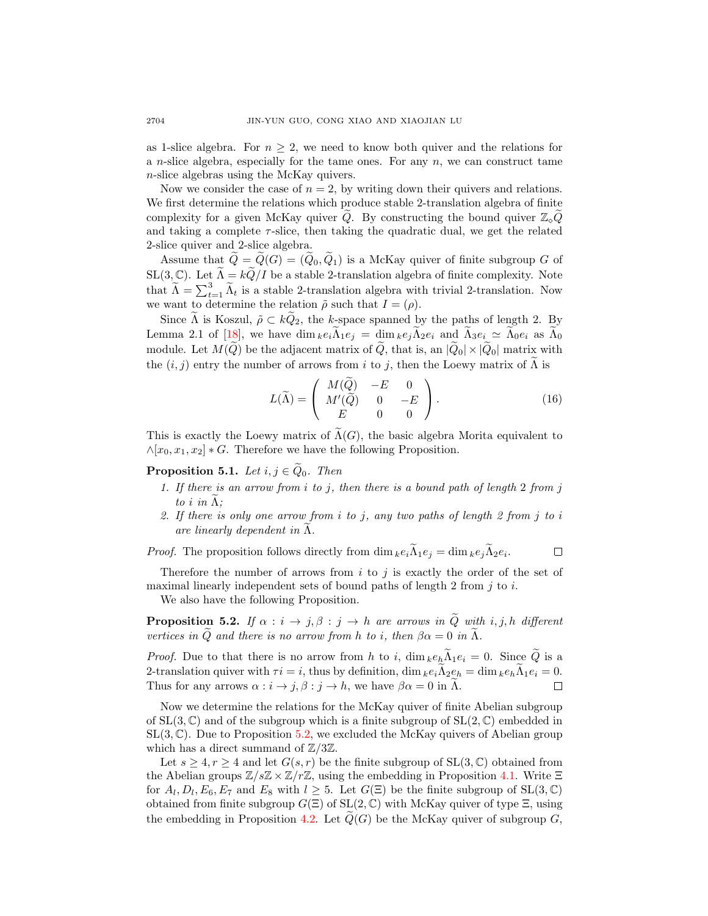as 1-slice algebra. For  $n \geq 2$ , we need to know both quiver and the relations for a *n*-slice algebra, especially for the tame ones. For any *n*, we can construct tame n-slice algebras using the McKay quivers.

Now we consider the case of  $n = 2$ , by writing down their quivers and relations. We first determine the relations which produce stable 2-translation algebra of finite complexity for a given McKay quiver  $\tilde{Q}$ . By constructing the bound quiver  $\mathbb{Z}_{\diamond} \tilde{Q}$ and taking a complete  $\tau$ -slice, then taking the quadratic dual, we get the related 2-slice quiver and 2-slice algebra.

Assume that  $\tilde{Q} = \tilde{Q}(G) = (\tilde{Q}_0, \tilde{Q}_1)$  is a McKay quiver of finite subgroup G of SL(3, C). Let  $\widetilde{\Lambda} = k\widetilde{Q}/I$  be a stable 2-translation algebra of finite complexity. Note that  $\widetilde{\Lambda} = \sum_{t=1}^{3} \widetilde{\Lambda}_t$  is a stable 2-translation algebra with trivial 2-translation. Now we want to determine the relation  $\tilde{\rho}$  such that  $I = (\rho)$ .

Since  $\tilde{\Lambda}$  is Koszul,  $\tilde{\rho} \subset k\tilde{Q}_2$ , the k-space spanned by the paths of length 2. By Lemma 2.1 of [\[18\]](#page-30-7), we have dim  $_{k}e_{i}\tilde{\Lambda}_{1}e_{j} = \dim_{k}e_{j}\tilde{\Lambda}_{2}e_{i}$  and  $\tilde{\Lambda}_{3}e_{i} \simeq \tilde{\Lambda}_{0}e_{i}$  as  $\tilde{\Lambda}_{0}$ module. Let  $M(\widetilde{Q})$  be the adjacent matrix of  $\widetilde{Q}$ , that is, an  $|\widetilde{Q}_0| \times |\widetilde{Q}_0|$  matrix with the  $(i, j)$  entry the number of arrows from i to j, then the Loewy matrix of  $\Lambda$  is

<span id="page-17-2"></span>
$$
L(\widetilde{\Lambda}) = \begin{pmatrix} M(\widetilde{Q}) & -E & 0 \\ M'(\widetilde{Q}) & 0 & -E \\ E & 0 & 0 \end{pmatrix}.
$$
 (16)

This is exactly the Loewy matrix of  $\Lambda(G)$ , the basic algebra Morita equivalent to  $\wedge$ [ $x_0, x_1, x_2$ ]  $\ast$  G. Therefore we have the following Proposition.

<span id="page-17-1"></span>**Proposition 5.1.** Let  $i, j \in \tilde{Q}_0$ . Then

- 1. If there is an arrow from i to j, then there is a bound path of length 2 from j to i in  $\Lambda$ ;
- 2. If there is only one arrow from  $i$  to  $j$ , any two paths of length 2 from  $j$  to  $i$ are linearly dependent in  $\Lambda$ .

 $\Box$ *Proof.* The proposition follows directly from dim  $_{k}e_{i}\Lambda_{1}e_{j} = \dim_{k}e_{j}\Lambda_{2}e_{i}$ .

Therefore the number of arrows from  $i$  to  $j$  is exactly the order of the set of maximal linearly independent sets of bound paths of length 2 from  $j$  to  $i$ .

We also have the following Proposition.

<span id="page-17-0"></span>**Proposition 5.2.** If  $\alpha : i \to j, \beta : j \to h$  are arrows in Q with i, j, h different vertices in Q and there is no arrow from h to i, then  $\beta \alpha = 0$  in  $\Lambda$ .

*Proof.* Due to that there is no arrow from h to i,  $\dim_k e_h \widetilde{\Lambda}_1 e_i = 0$ . Since  $\widetilde{Q}$  is a 2-translation quiver with  $\tau i = i$ , thus by definition, dim  $_{k}e_{i}\tilde{\Lambda}_{2}e_{h} = \dim_{k}e_{h}\tilde{\Lambda}_{1}e_{i} = 0$ .<br>Thus for any arrows  $\alpha : i \to j, \beta : j \to h$ , we have  $\beta \alpha = 0$  in  $\tilde{\Lambda}$ . Thus for any arrows  $\alpha : i \to j, \beta : j \to h$ , we have  $\beta \alpha = 0$  in  $\tilde{\Lambda}$ .

Now we determine the relations for the McKay quiver of finite Abelian subgroup of  $SL(3,\mathbb{C})$  and of the subgroup which is a finite subgroup of  $SL(2,\mathbb{C})$  embedded in  $SL(3,\mathbb{C})$ . Due to Proposition [5.2,](#page-17-0) we excluded the McKay quivers of Abelian group which has a direct summand of  $\mathbb{Z}/3\mathbb{Z}$ .

Let  $s \geq 4, r \geq 4$  and let  $G(s, r)$  be the finite subgroup of  $SL(3, \mathbb{C})$  obtained from the Abelian groups  $\mathbb{Z}/s\mathbb{Z} \times \mathbb{Z}/r\mathbb{Z}$ , using the embedding in Proposition [4.1.](#page-12-0) Write  $\Xi$ for  $A_l, D_l, E_6, E_7$  and  $E_8$  with  $l \geq 5$ . Let  $G(\Xi)$  be the finite subgroup of  $SL(3,\mathbb{C})$ obtained from finite subgroup  $G(\Xi)$  of  $SL(2,\mathbb{C})$  with McKay quiver of type  $\Xi$ , using the embedding in Proposition [4.2.](#page-13-1) Let  $Q(G)$  be the McKay quiver of subgroup G,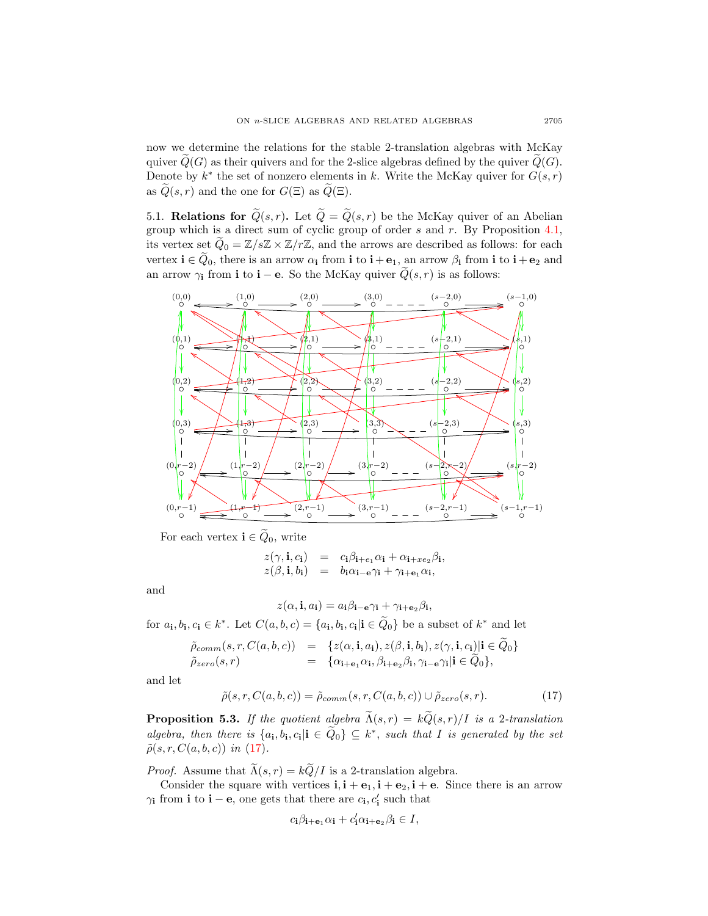now we determine the relations for the stable 2-translation algebras with McKay quiver  $\tilde{Q}(G)$  as their quivers and for the 2-slice algebras defined by the quiver  $\tilde{Q}(G)$ . Denote by  $k^*$  the set of nonzero elements in k. Write the McKay quiver for  $G(s, r)$ as  $\widetilde{Q}(s,r)$  and the one for  $G(\Xi)$  as  $\widetilde{Q}(\Xi)$ .

5.1. Relations for  $\widetilde{Q}(s,r)$ . Let  $\widetilde{Q} = \widetilde{Q}(s,r)$  be the McKay quiver of an Abelian group which is a direct sum of cyclic group of order  $s$  and  $r$ . By Proposition [4.1,](#page-12-0) its vertex set  $\tilde{Q}_0 = \mathbb{Z}/s\mathbb{Z} \times \mathbb{Z}/r\mathbb{Z}$ , and the arrows are described as follows: for each vertex  $\mathbf{i} \in \tilde{Q}_0$ , there is an arrow  $\alpha_i$  from  $\mathbf{i}$  to  $\mathbf{i} + \mathbf{e}_1$ , an arrow  $\beta_i$  from  $\mathbf{i}$  to  $\mathbf{i} + \mathbf{e}_2$  and an arrow  $\gamma_i$  from i to i – e. So the McKay quiver  $\tilde{Q}(s, r)$  is as follows:



For each vertex  $\mathbf{i} \in \widetilde{Q}_0$ , write

$$
z(\gamma, \mathbf{i}, c_{\mathbf{i}}) = c_{\mathbf{i}} \beta_{\mathbf{i}+e_1} \alpha_{\mathbf{i}} + \alpha_{\mathbf{i}+xe_2} \beta_{\mathbf{i}},
$$
  
\n
$$
z(\beta, \mathbf{i}, b_{\mathbf{i}}) = b_{\mathbf{i}} \alpha_{\mathbf{i}-e} \gamma_{\mathbf{i}} + \gamma_{\mathbf{i}+e_1} \alpha_{\mathbf{i}},
$$

and

$$
z(\alpha, \mathbf{i}, a_{\mathbf{i}}) = a_{\mathbf{i}}\beta_{\mathbf{i} - \mathbf{e}}\gamma_{\mathbf{i}} + \gamma_{\mathbf{i} + \mathbf{e}_2}\beta_{\mathbf{i}},
$$

for  $a_{\mathbf{i}}, b_{\mathbf{i}}, c_{\mathbf{i}} \in k^*$ . Let  $C(a, b, c) = \{a_{\mathbf{i}}, b_{\mathbf{i}}, c_{\mathbf{i}} | \mathbf{i} \in \widetilde{Q}_0\}$  be a subset of  $k^*$  and let

$$
\tilde{\rho}_{comm}(s,r,C(a,b,c)) = \{z(\alpha, \mathbf{i}, a_{\mathbf{i}}), z(\beta, \mathbf{i}, b_{\mathbf{i}}), z(\gamma, \mathbf{i}, c_{\mathbf{i}})|\mathbf{i} \in \tilde{Q}_0\} \n\tilde{\rho}_{zero}(s,r) = \{\alpha_{\mathbf{i}+\mathbf{e}_1}\alpha_{\mathbf{i}}, \beta_{\mathbf{i}+\mathbf{e}_2}\beta_{\mathbf{i}}, \gamma_{\mathbf{i}-\mathbf{e}}\gamma_{\mathbf{i}}|\mathbf{i} \in \tilde{Q}_0\},
$$

and let

<span id="page-18-0"></span>
$$
\tilde{\rho}(s,r,C(a,b,c)) = \tilde{\rho}_{comm}(s,r,C(a,b,c)) \cup \tilde{\rho}_{zero}(s,r). \tag{17}
$$

<span id="page-18-1"></span>**Proposition 5.3.** If the quotient algebra  $\widetilde{\Lambda}(s,r) = k\widetilde{Q}(s,r)/I$  is a 2-translation algebra, then there is  $\{a_i, b_i, c_i | i \in \tilde{Q}_0\} \subseteq k^*$ , such that I is generated by the set  $\tilde{\rho}(s, r, C(a, b, c))$  in [\(17\)](#page-18-0).

*Proof.* Assume that  $\widetilde{\Lambda}(s,r) = k\widetilde{Q}/I$  is a 2-translation algebra.

Consider the square with vertices  $\mathbf{i}, \mathbf{i} + \mathbf{e}_1, \mathbf{i} + \mathbf{e}_2, \mathbf{i} + \mathbf{e}$ . Since there is an arrow  $\gamma_{\mathbf{i}}$  from **i** to **i** – **e**, one gets that there are  $c_{\mathbf{i}}, c'_{\mathbf{i}}$  such that

$$
c_{\mathbf{i}}\beta_{\mathbf{i}+\mathbf{e}_1}\alpha_{\mathbf{i}}+c'_{\mathbf{i}}\alpha_{\mathbf{i}+\mathbf{e}_2}\beta_{\mathbf{i}}\in I,
$$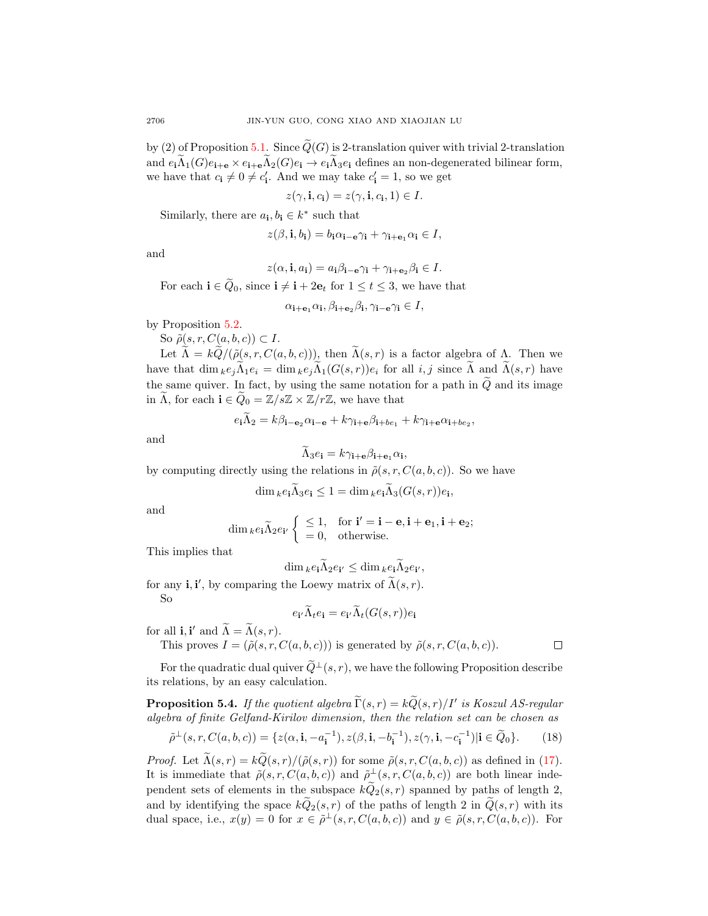by (2) of Proposition [5.1.](#page-17-1) Since  $\widetilde{Q}(G)$  is 2-translation quiver with trivial 2-translation and  $e_i\widetilde{\Lambda}_1(G)e_{i+\mathbf{e}} \times e_{i+\mathbf{e}}\widetilde{\Lambda}_2(G)e_i \to e_i\widetilde{\Lambda}_3e_i$  defines an non-degenerated bilinear form, we have that  $c_i \neq 0 \neq c'_i$ . And we may take  $c'_i = 1$ , so we get

$$
z(\gamma, \mathbf{i}, c_{\mathbf{i}}) = z(\gamma, \mathbf{i}, c_{\mathbf{i}}, 1) \in I.
$$

Similarly, there are  $a_i, b_i \in k^*$  such that

$$
z(\beta, \mathbf{i}, b_{\mathbf{i}}) = b_{\mathbf{i}} \alpha_{\mathbf{i} - \mathbf{e}} \gamma_{\mathbf{i}} + \gamma_{\mathbf{i} + \mathbf{e}_1} \alpha_{\mathbf{i}} \in I,
$$

and

$$
z(\alpha, \mathbf{i}, a_{\mathbf{i}}) = a_{\mathbf{i}}\beta_{\mathbf{i}-\mathbf{e}}\gamma_{\mathbf{i}} + \gamma_{\mathbf{i}+\mathbf{e}_2}\beta_{\mathbf{i}} \in I.
$$

For each  $\mathbf{i} \in \widetilde{Q}_0$ , since  $\mathbf{i} \neq \mathbf{i} + 2\mathbf{e}_t$  for  $1 \leq t \leq 3$ , we have that

$$
\alpha_{\mathbf{i}+\mathbf{e}_1}\alpha_{\mathbf{i}}, \beta_{\mathbf{i}+\mathbf{e}_2}\beta_{\mathbf{i}}, \gamma_{\mathbf{i}-\mathbf{e}}\gamma_{\mathbf{i}} \in I,
$$

by Proposition [5.2.](#page-17-0)

So  $\tilde{\rho}(s, r, C(a, b, c)) \subset I$ .

Let  $\widetilde{\Lambda} = k\widetilde{Q}/(\widetilde{\rho}(s,r,C(a,b,c)))$ , then  $\widetilde{\Lambda}(s,r)$  is a factor algebra of  $\Lambda$ . Then we have that  $\dim_k e_j \widetilde{\Lambda}_1 e_i = \dim_k e_j \widetilde{\Lambda}_1(G(s,r)) e_i$  for all  $i, j$  since  $\widetilde{\Lambda}$  and  $\widetilde{\Lambda}(s,r)$  have the same quiver. In fact, by using the same notation for a path in  $\tilde{Q}$  and its image in  $\Lambda$ , for each  $\mathbf{i} \in \mathcal{Q}_0 = \mathbb{Z}/s\mathbb{Z} \times \mathbb{Z}/r\mathbb{Z}$ , we have that

$$
e_{\mathbf{i}}\Lambda_2 = k\beta_{\mathbf{i}-\mathbf{e}_2}\alpha_{\mathbf{i}-\mathbf{e}} + k\gamma_{\mathbf{i}+\mathbf{e}}\beta_{\mathbf{i}+be_1} + k\gamma_{\mathbf{i}+\mathbf{e}}\alpha_{\mathbf{i}+be_2},
$$

and

$$
\Lambda_3 e_{\mathbf{i}} = k \gamma_{\mathbf{i} + \mathbf{e}} \beta_{\mathbf{i} + \mathbf{e}_1} \alpha_{\mathbf{i}},
$$

by computing directly using the relations in  $\tilde{\rho}(s,r,C(a,b,c))$ . So we have

$$
\dim_k e_i \Lambda_3 e_i \le 1 = \dim_k e_i \Lambda_3(G(s, r)) e_i,
$$

and

$$
\dim_k e_i \widetilde{\Lambda}_2 e_{i'} \begin{cases} \leq 1, & \text{for } i' = i - e, i + e_1, i + e_2; \\ = 0, & \text{otherwise.} \end{cases}
$$

This implies that

$$
\dim_k e_{\mathbf{i}} \Lambda_2 e_{\mathbf{i'}} \le \dim_k e_{\mathbf{i}} \Lambda_2 e_{\mathbf{i'}},
$$

for any **i**, **i'**, by comparing the Loewy matrix of  $\tilde{\Lambda}(s,r)$ . So

$$
e_{\mathbf{i}'}\widetilde{\Lambda}_t e_{\mathbf{i}} = e_{\mathbf{i}'}\widetilde{\Lambda}_t(G(s,r))e_{\mathbf{i}}
$$

 $\Box$ 

for all **i**, **i'** and  $\widetilde{\Lambda} = \widetilde{\Lambda}(s, r)$ .

This proves  $I = (\tilde{\rho}(s, r, C(a, b, c)))$  is generated by  $\tilde{\rho}(s, r, C(a, b, c))$ .

For the quadratic dual quiver  $\tilde{Q}^{\perp}(s, r)$ , we have the following Proposition describe its relations, by an easy calculation.

<span id="page-19-0"></span>**Proposition 5.4.** If the quotient algebra  $\widetilde{\Gamma}(s,r) = k\widetilde{Q}(s,r)/I'$  is Koszul AS-regular algebra of finite Gelfand-Kirilov dimension, then the relation set can be chosen as

$$
\tilde{\rho}^{\perp}(s, r, C(a, b, c)) = \{z(\alpha, \mathbf{i}, -a_{\mathbf{i}}^{-1}), z(\beta, \mathbf{i}, -b_{\mathbf{i}}^{-1}), z(\gamma, \mathbf{i}, -c_{\mathbf{i}}^{-1}) | \mathbf{i} \in \tilde{Q}_0\}.
$$
 (18)

*Proof.* Let  $\widetilde{\Lambda}(s,r) = k\widetilde{Q}(s,r)/(\widetilde{\rho}(s,r))$  for some  $\widetilde{\rho}(s,r,C(a,b,c))$  as defined in [\(17\)](#page-18-0). It is immediate that  $\tilde{\rho}(s,r,C(a,b,c))$  and  $\tilde{\rho}^{\perp}(s,r,C(a,b,c))$  are both linear independent sets of elements in the subspace  $k\widetilde{Q}_2(s,r)$  spanned by paths of length 2, and by identifying the space  $k\tilde{Q}_2(s,r)$  of the paths of length 2 in  $\tilde{Q}(s,r)$  with its dual space, i.e.,  $x(y) = 0$  for  $x \in \tilde{\rho}^{\perp}(s, r, C(a, b, c))$  and  $y \in \tilde{\rho}(s, r, C(a, b, c))$ . For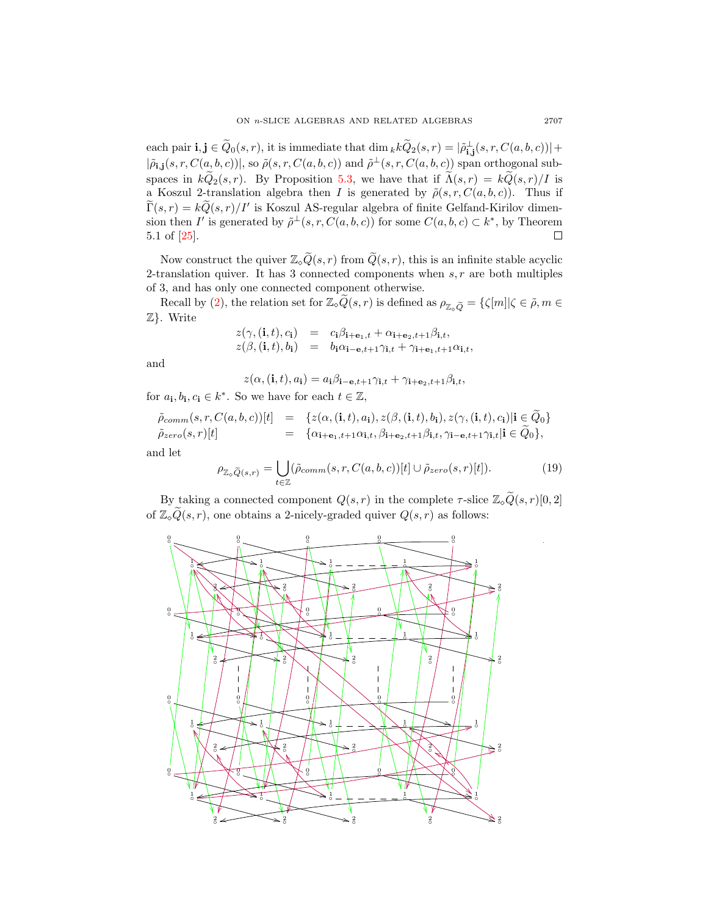each pair  $\mathbf{i}, \mathbf{j} \in \tilde{Q}_0(s,r)$ , it is immediate that  $\dim_k k \tilde{Q}_2(s,r) = |\tilde{\rho}_{\mathbf{i},\mathbf{j}}^{\perp}(s,r,C(a,b,c))| +$  $|\tilde{\rho}_{i,j}(s,r,C(a,b,c))|$ , so  $\tilde{\rho}(s,r,C(a,b,c))$  and  $\tilde{\rho}^{\perp}(s,r,C(a,b,c))$  span orthogonal subspaces in  $k\widetilde{Q}_2(s,r)$ . By Proposition [5.3,](#page-18-1) we have that if  $\widetilde{\Lambda}(s,r) = k\widetilde{Q}(s,r)/I$  is a Koszul 2-translation algebra then I is generated by  $\tilde{\rho}(s,r,C(a,b,c))$ . Thus if  $\widetilde{\Gamma}(s,r) = k\widetilde{Q}(s,r)/I'$  is Koszul AS-regular algebra of finite Gelfand-Kirilov dimension then I' is generated by  $\tilde{\rho}^{\perp}(s, r, C(a, b, c))$  for some  $C(a, b, c) \subset k^*$ , by Theorem 5.1 of [\[25\]](#page-31-7).  $\Box$ 

Now construct the quiver  $\mathbb{Z}_{\infty}\widetilde{Q}(s,r)$  from  $\widetilde{Q}(s,r)$ , this is an infinite stable acyclic 2-translation quiver. It has 3 connected components when  $s, r$  are both multiples of 3, and has only one connected component otherwise.

Recall by [\(2\)](#page-4-0), the relation set for  $\mathbb{Z}_{\diamond}\tilde{Q}(s,r)$  is defined as  $\rho_{\mathbb{Z}_{\diamond}\tilde{Q}} = {\{\zeta[m]|\zeta \in \tilde{\rho}, m \in \mathbb{Z}\}}$ Z}. Write

$$
z(\gamma, (\mathbf{i}, t), c_{\mathbf{i}}) = c_{\mathbf{i}}\beta_{\mathbf{i}+\mathbf{e}_1, t} + \alpha_{\mathbf{i}+\mathbf{e}_2, t+1}\beta_{\mathbf{i}, t},
$$
  
\n
$$
z(\beta, (\mathbf{i}, t), b_{\mathbf{i}}) = b_{\mathbf{i}}\alpha_{\mathbf{i}-\mathbf{e}, t+1}\gamma_{\mathbf{i}, t} + \gamma_{\mathbf{i}+\mathbf{e}_1, t+1}\alpha_{\mathbf{i}, t},
$$

and

$$
z(\alpha, (\mathbf{i}, t), a_{\mathbf{i}}) = a_{\mathbf{i}} \beta_{\mathbf{i} - \mathbf{e}, t+1} \gamma_{\mathbf{i}, t} + \gamma_{\mathbf{i} + \mathbf{e}_2, t+1} \beta_{\mathbf{i}, t},
$$

for  $a_i, b_i, c_i \in k^*$ . So we have for each  $t \in \mathbb{Z}$ ,

$$
\tilde{\rho}_{\text{comm}}(s,r,C(a,b,c))[t] = \{z(\alpha,(i,t),a_i),z(\beta,(i,t),b_i),z(\gamma,(i,t),c_i)|i \in Q_0\} \n\tilde{\rho}_{\text{zero}}(s,r)[t] = \{\alpha_{i+\mathbf{e}_1,t+1}\alpha_{i,t},\beta_{i+\mathbf{e}_2,t+1}\beta_{i,t},\gamma_{i-\mathbf{e},t+1}\gamma_{i,t}|i \in \widetilde{Q}_0\},
$$

and let

$$
\rho_{\mathbb{Z}_{\diamond}\widetilde{Q}(s,r)} = \bigcup_{t \in \mathbb{Z}} (\widetilde{\rho}_{comm}(s,r,C(a,b,c))[t] \cup \widetilde{\rho}_{zero}(s,r)[t]). \tag{19}
$$

By taking a connected component  $Q(s, r)$  in the complete  $\tau$ -slice  $\mathbb{Z}_{\diamond} \widetilde{Q}(s, r)[0, 2]$ of  $\mathbb{Z}_\diamond \widetilde{Q}(s,r)$ , one obtains a 2-nicely-graded quiver  $Q(s,r)$  as follows:



.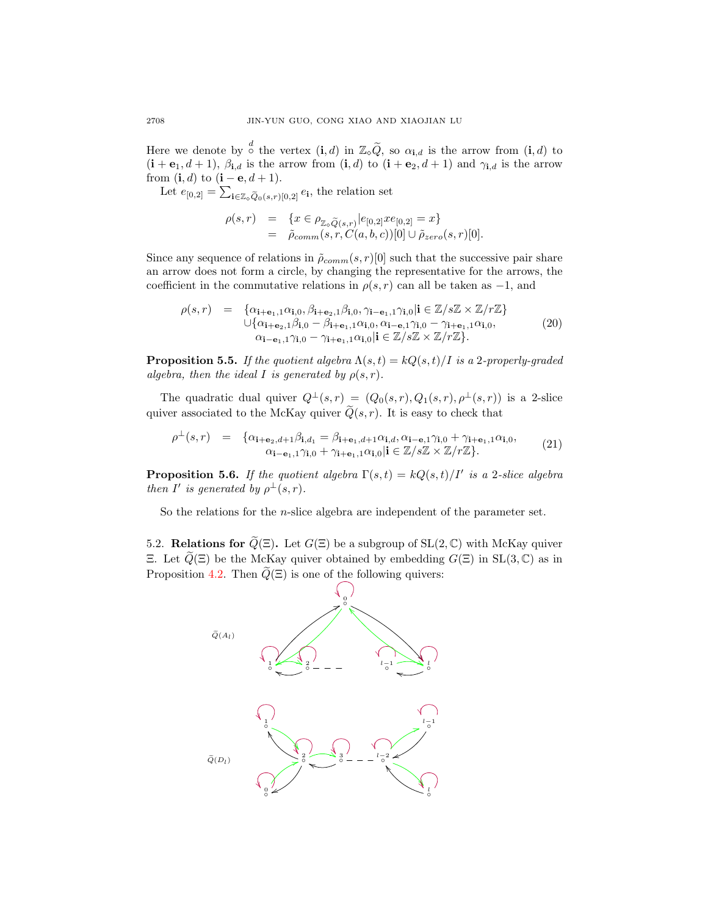Here we denote by  $\stackrel{d}{\circ}$  the vertex  $(i, d)$  in  $\mathbb{Z}_9 \widetilde{Q}$ , so  $\alpha_{i, d}$  is the arrow from  $(i, d)$  to  $(i + e_1, d + 1)$ ,  $\beta_{i,d}$  is the arrow from  $(i, d)$  to  $(i + e_2, d + 1)$  and  $\gamma_{i,d}$  is the arrow from  $(i, d)$  to  $(i - e, d + 1)$ .

Let  $e_{[0,2]} = \sum_{\mathbf{i} \in \mathbb{Z}_\circ \widetilde{Q}_0(s,r)[0,2]} e_{\mathbf{i}},$  the relation set

$$
\rho(s,r) = \{x \in \rho_{\mathbb{Z}_\circ \widetilde{Q}(s,r)} | e_{[0,2]} x e_{[0,2]} = x\}
$$
  
=  $\tilde{\rho}_{comm}(s,r,C(a,b,c))[0] \cup \tilde{\rho}_{zero}(s,r)[0].$ 

Since any sequence of relations in  $\tilde{\rho}_{comm}(s, r)[0]$  such that the successive pair share an arrow does not form a circle, by changing the representative for the arrows, the coefficient in the commutative relations in  $\rho(s, r)$  can all be taken as -1, and

$$
\rho(s,r) = \begin{cases}\n\alpha_{\mathbf{i}+\mathbf{e}_1,1}\alpha_{\mathbf{i},0}, \beta_{\mathbf{i}+\mathbf{e}_2,1}\beta_{\mathbf{i},0}, \gamma_{\mathbf{i}-\mathbf{e}_1,1}\gamma_{\mathbf{i},0}|\mathbf{i} \in \mathbb{Z}/s\mathbb{Z} \times \mathbb{Z}/r\mathbb{Z}\n\end{cases}\n\cup \{\alpha_{\mathbf{i}+\mathbf{e}_2,1}\beta_{\mathbf{i},0} - \beta_{\mathbf{i}+\mathbf{e}_1,1}\alpha_{\mathbf{i},0}, \alpha_{\mathbf{i}-\mathbf{e}_1,1}\gamma_{\mathbf{i},0} - \gamma_{\mathbf{i}+\mathbf{e}_1,1}\alpha_{\mathbf{i},0},\n\alpha_{\mathbf{i}-\mathbf{e}_1,1}\gamma_{\mathbf{i},0} - \gamma_{\mathbf{i}+\mathbf{e}_1,1}\alpha_{\mathbf{i},0}|\mathbf{i} \in \mathbb{Z}/s\mathbb{Z} \times \mathbb{Z}/r\mathbb{Z}\}.\n\tag{20}
$$

**Proposition 5.5.** If the quotient algebra  $\Lambda(s,t) = kQ(s,t)/I$  is a 2-properly-graded algebra, then the ideal I is generated by  $\rho(s,r)$ .

The quadratic dual quiver  $Q^{\perp}(s,r) = (Q_0(s,r), Q_1(s,r), \rho^{\perp}(s,r))$  is a 2-slice quiver associated to the McKay quiver  $\widetilde{Q}(s, r)$ . It is easy to check that

$$
\rho^{\perp}(s,r) = \{ \alpha_{\mathbf{i}+\mathbf{e}_2,d+1}\beta_{\mathbf{i},d_1} = \beta_{\mathbf{i}+\mathbf{e}_1,d+1}\alpha_{\mathbf{i},d}, \alpha_{\mathbf{i}-\mathbf{e},1}\gamma_{\mathbf{i},0} + \gamma_{\mathbf{i}+\mathbf{e}_1,1}\alpha_{\mathbf{i},0}, \alpha_{\mathbf{i}-\mathbf{e}_1,1}\gamma_{\mathbf{i},0} + \gamma_{\mathbf{i}+\mathbf{e}_1,1}\alpha_{\mathbf{i},0} | \mathbf{i} \in \mathbb{Z}/s\mathbb{Z} \times \mathbb{Z}/r\mathbb{Z} \}.
$$
\n(21)

<span id="page-21-0"></span>**Proposition 5.6.** If the quotient algebra  $\Gamma(s,t) = kQ(s,t)/I'$  is a 2-slice algebra then I' is generated by  $\rho^{\perp}(s,r)$ .

So the relations for the n-slice algebra are independent of the parameter set.

5.2. Relations for  $\widetilde{Q}(\Xi)$ . Let  $G(\Xi)$  be a subgroup of  $SL(2,\mathbb{C})$  with McKay quiver Ξ. Let  $\widetilde{Q}(\Xi)$  be the McKay quiver obtained by embedding  $G(\Xi)$  in SL(3, C) as in Proposition [4.2.](#page-13-1) Then  $Q(\Xi)$  is one of the following quivers:

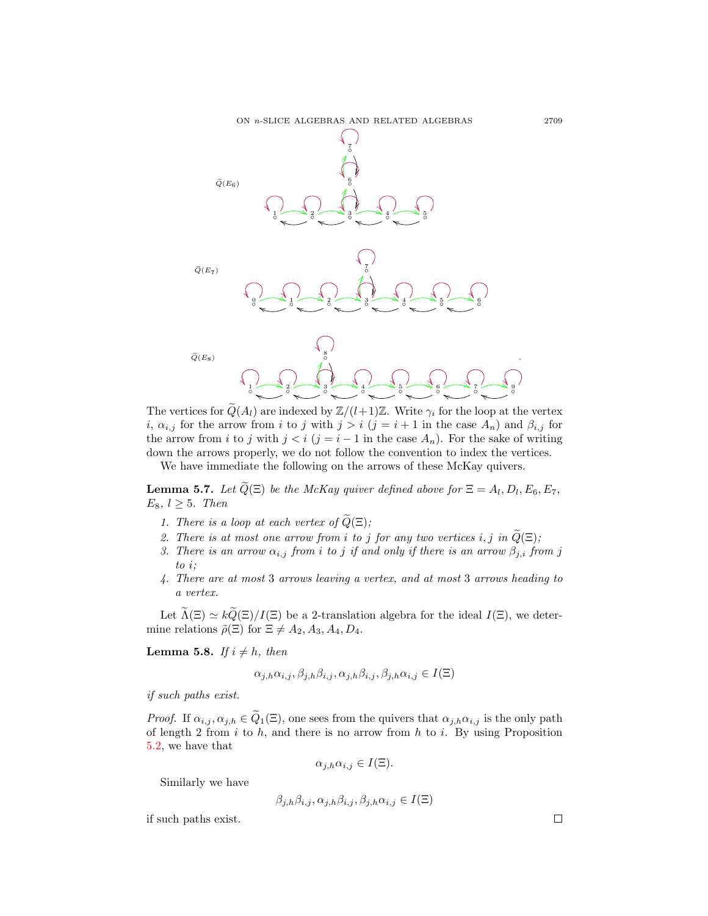

The vertices for  $\tilde{Q}(A_l)$  are indexed by  $\mathbb{Z}/(l+1)\mathbb{Z}$ . Write  $\gamma_i$  for the loop at the vertex i,  $\alpha_{i,j}$  for the arrow from i to j with  $j > i$  (j = i + 1 in the case  $A_n$ ) and  $\beta_{i,j}$  for the arrow from i to j with  $j < i$  ( $j = i - 1$  in the case  $A_n$ ). For the sake of writing down the arrows properly, we do not follow the convention to index the vertices.

We have immediate the following on the arrows of these McKay quivers.

<span id="page-22-1"></span>**Lemma 5.7.** Let  $Q(\Xi)$  be the McKay quiver defined above for  $\Xi = A_l, D_l, E_6, E_7,$  $E_8, l \geq 5$ . Then

- 1. There is a loop at each vertex of  $\widetilde{Q}(\Xi)$ ;
- 2. There is at most one arrow from i to j for any two vertices i, j in  $\widetilde{Q}(\Xi)$ ;
- 3. There is an arrow  $\alpha_{i,j}$  from i to j if and only if there is an arrow  $\beta_{j,i}$  from j to i;
- 4. There are at most 3 arrows leaving a vertex, and at most 3 arrows heading to a vertex.

Let  $\Lambda(\Xi) \simeq kQ(\Xi)/I(\Xi)$  be a 2-translation algebra for the ideal  $I(\Xi)$ , we determine relations  $\tilde{\rho}(\Xi)$  for  $\Xi \neq A_2, A_3, A_4, D_4$ .

<span id="page-22-0"></span>**Lemma 5.8.** If  $i \neq h$ , then

$$
\alpha_{j,h}\alpha_{i,j}, \beta_{j,h}\beta_{i,j}, \alpha_{j,h}\beta_{i,j}, \beta_{j,h}\alpha_{i,j} \in I(\Xi)
$$

if such paths exist.

*Proof.* If  $\alpha_{i,j}, \alpha_{j,h} \in Q_1(\Xi)$ , one sees from the quivers that  $\alpha_{j,h}\alpha_{i,j}$  is the only path of length 2 from i to h, and there is no arrow from h to i. By using Proposition [5.2,](#page-17-0) we have that

$$
\alpha_{j,h}\alpha_{i,j}\in I(\Xi).
$$

Similarly we have

$$
\beta_{j,h}\beta_{i,j}, \alpha_{j,h}\beta_{i,j}, \beta_{j,h}\alpha_{i,j} \in I(\Xi)
$$

if such paths exist.

 $\Box$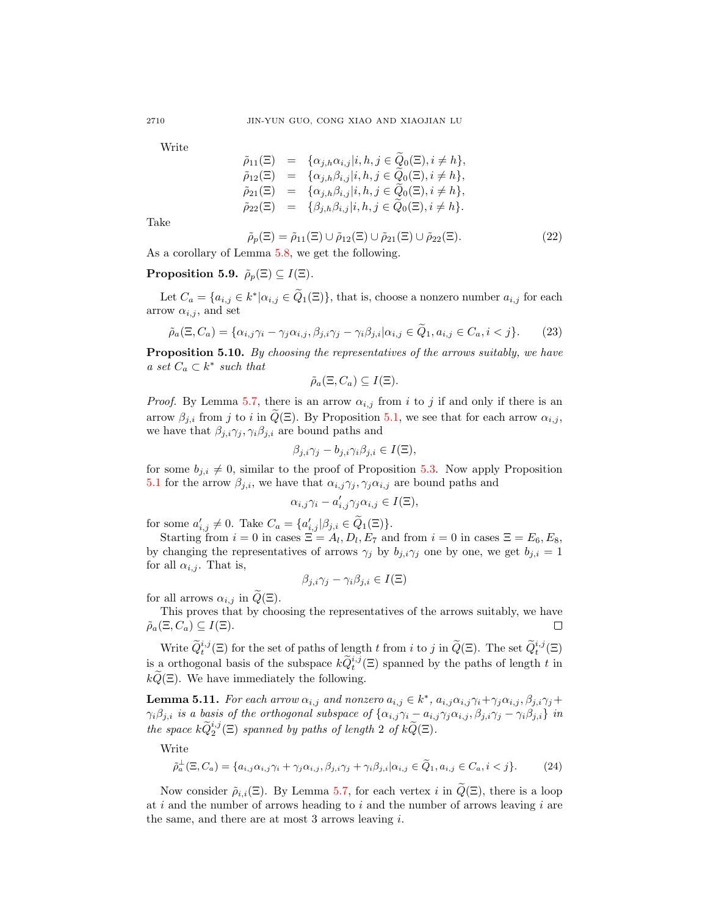Write

$$
\tilde{\rho}_{11}(\Xi) = \{ \alpha_{j,h} \alpha_{i,j} | i, h, j \in Q_0(\Xi), i \neq h \}, \n\tilde{\rho}_{12}(\Xi) = \{ \alpha_{j,h} \beta_{i,j} | i, h, j \in \widetilde{Q}_0(\Xi), i \neq h \}, \n\tilde{\rho}_{21}(\Xi) = \{ \alpha_{j,h} \beta_{i,j} | i, h, j \in \widetilde{Q}_0(\Xi), i \neq h \}, \n\tilde{\rho}_{22}(\Xi) = \{ \beta_{j,h} \beta_{i,j} | i, h, j \in \widetilde{Q}_0(\Xi), i \neq h \}.
$$

Take

$$
\tilde{\rho}_p(\Xi) = \tilde{\rho}_{11}(\Xi) \cup \tilde{\rho}_{12}(\Xi) \cup \tilde{\rho}_{21}(\Xi) \cup \tilde{\rho}_{22}(\Xi). \tag{22}
$$

As a corollary of Lemma [5.8,](#page-22-0) we get the following.

## <span id="page-23-1"></span>**Proposition 5.9.**  $\tilde{\rho}_p(\Xi) \subseteq I(\Xi)$ .

Let  $C_a = \{a_{i,j} \in k^* | \alpha_{i,j} \in \tilde{Q}_1(\Xi)\}\$ , that is, choose a nonzero number  $a_{i,j}$  for each arrow  $\alpha_{i,j}$ , and set

$$
\tilde{\rho}_a(\Xi, C_a) = \{ \alpha_{i,j}\gamma_i - \gamma_j \alpha_{i,j}, \beta_{j,i}\gamma_j - \gamma_i \beta_{j,i} | \alpha_{i,j} \in \tilde{Q}_1, a_{i,j} \in C_a, i < j \}. \tag{23}
$$

<span id="page-23-2"></span>**Proposition 5.10.** By choosing the representatives of the arrows suitably, we have a set  $C_a \subset k^*$  such that

$$
\tilde{\rho}_a(\Xi, C_a) \subseteq I(\Xi).
$$

*Proof.* By Lemma [5.7,](#page-22-1) there is an arrow  $\alpha_{i,j}$  from i to j if and only if there is an arrow  $\beta_{j,i}$  from j to i in  $\widetilde{Q}(\Xi)$ . By Proposition [5.1,](#page-17-1) we see that for each arrow  $\alpha_{i,j}$ , we have that  $\beta_{j,i}\gamma_j, \gamma_i\beta_{j,i}$  are bound paths and

$$
\beta_{j,i}\gamma_j - b_{j,i}\gamma_i\beta_{j,i} \in I(\Xi),
$$

for some  $b_{j,i} \neq 0$ , similar to the proof of Proposition [5.3.](#page-18-1) Now apply Proposition [5.1](#page-17-1) for the arrow  $\beta_{j,i}$ , we have that  $\alpha_{i,j}\gamma_j, \gamma_j\alpha_{i,j}$  are bound paths and

$$
\alpha_{i,j}\gamma_i - a'_{i,j}\gamma_j\alpha_{i,j} \in I(\Xi),
$$

for some  $a'_{i,j} \neq 0$ . Take  $C_a = \{a'_{i,j} | \beta_{j,i} \in \tilde{Q}_1(\Xi) \}.$ 

Starting from  $i = 0$  in cases  $\Xi = A_l, D_l, E_7$  and from  $i = 0$  in cases  $\Xi = E_6, E_8$ , by changing the representatives of arrows  $\gamma_j$  by  $b_{j,i}\gamma_j$  one by one, we get  $b_{j,i} = 1$ for all  $\alpha_{i,j}$ . That is,

$$
\beta_{j,i}\gamma_j-\gamma_i\beta_{j,i}\in I(\Xi)
$$

for all arrows  $\alpha_{i,j}$  in  $\widetilde{Q}(\Xi)$ .

This proves that by choosing the representatives of the arrows suitably, we have  $\tilde{\rho}_a(\Xi, C_a) \subseteq I(\Xi).$ 

Write  $\widetilde{Q}_{t}^{i,j}(\Xi)$  for the set of paths of length t from i to j in  $\widetilde{Q}(\Xi)$ . The set  $\widetilde{Q}_{t}^{i,j}(\Xi)$ is a orthogonal basis of the subspace  $k\widetilde{Q}^{i,j}_t(\Xi)$  spanned by the paths of length t in  $kQ(\Xi)$ . We have immediately the following.

<span id="page-23-0"></span>**Lemma 5.11.** For each arrow  $\alpha_{i,j}$  and nonzero  $a_{i,j} \in k^*$ ,  $a_{i,j} \alpha_{i,j} \gamma_i + \gamma_j \alpha_{i,j}$ ,  $\beta_{j,i} \gamma_j + \gamma_j \alpha_{i,j}$  $\gamma_i\beta_{j,i}$  is a basis of the orthogonal subspace of  $\{\alpha_{i,j}\gamma_i-a_{i,j}\gamma_j\alpha_{i,j},\beta_{j,i}\gamma_j-\gamma_i\beta_{j,i}\}\;$  in the space  $k\widetilde{Q}_2^{i,j}(\Xi)$  spanned by paths of length 2 of  $k\widetilde{Q}(\Xi)$ .

Write

$$
\tilde{\rho}_a^{\perp}(\Xi, C_a) = \{a_{i,j}\alpha_{i,j}\gamma_i + \gamma_j\alpha_{i,j}, \beta_{j,i}\gamma_j + \gamma_i\beta_{j,i}|\alpha_{i,j} \in \tilde{Q}_1, a_{i,j} \in C_a, i < j\}.\tag{24}
$$

Now consider  $\tilde{\rho}_{i,i}(\Xi)$ . By Lemma [5.7,](#page-22-1) for each vertex i in  $\tilde{Q}(\Xi)$ , there is a loop at i and the number of arrows heading to i and the number of arrows leaving i are the same, and there are at most 3 arrows leaving i.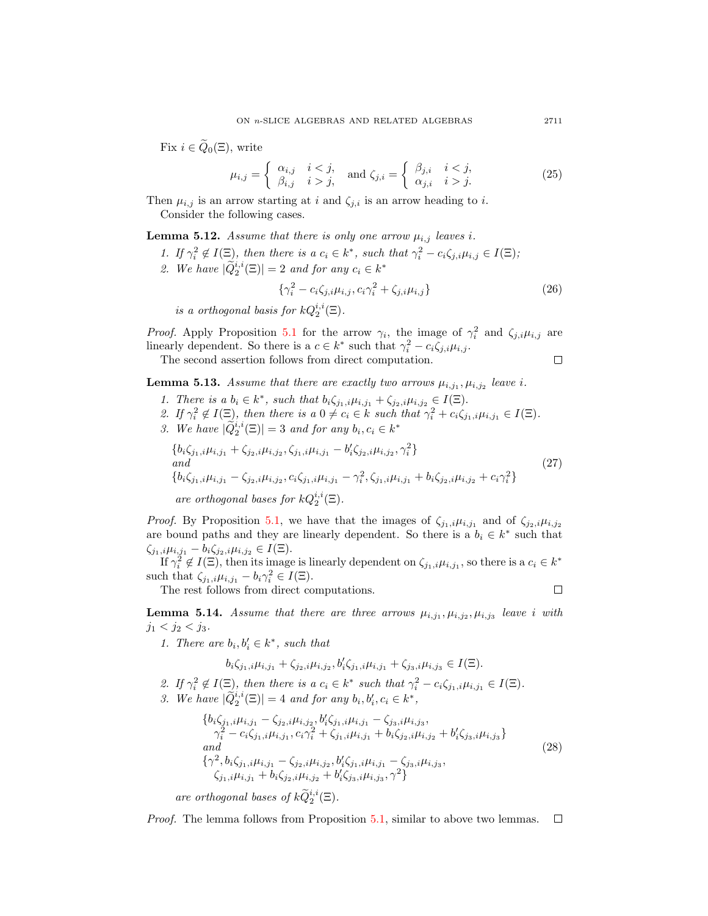Fix  $i \in \widetilde{Q}_0(\Xi)$ , write

$$
\mu_{i,j} = \begin{cases} \alpha_{i,j} & i < j, \\ \beta_{i,j} & i > j, \end{cases} \quad \text{and } \zeta_{j,i} = \begin{cases} \beta_{j,i} & i < j, \\ \alpha_{j,i} & i > j. \end{cases} \tag{25}
$$

Then  $\mu_{i,j}$  is an arrow starting at i and  $\zeta_{j,i}$  is an arrow heading to i. Consider the following cases.

<span id="page-24-0"></span>**Lemma 5.12.** Assume that there is only one arrow  $\mu_{i,j}$  leaves i.

1. If  $\gamma_i^2 \notin I(\Xi)$ , then there is a  $c_i \in k^*$ , such that  $\gamma_i^2 - c_i \zeta_{j,i} \mu_{i,j} \in I(\Xi)$ ; 2. We have  $|\widetilde{Q}_2^{i,i}(\Xi)| = 2$  and for any  $c_i \in k^*$ 

$$
\{\gamma_i^2 - c_i \zeta_{j,i} \mu_{i,j}, c_i \gamma_i^2 + \zeta_{j,i} \mu_{i,j}\}\
$$
 (26)

is a orthogonal basis for  $kQ_2^{i,i}(\Xi)$ .

*Proof.* Apply Proposition [5.1](#page-17-1) for the arrow  $\gamma_i$ , the image of  $\gamma_i^2$  and  $\zeta_{j,i}\mu_{i,j}$  are linearly dependent. So there is a  $c \in k^*$  such that  $\gamma_i^2 - c_i \zeta_{j,i} \mu_{i,j}$ .

The second assertion follows from direct computation.

 $\Box$ 

<span id="page-24-1"></span>**Lemma 5.13.** Assume that there are exactly two arrows  $\mu_{i,j_1}, \mu_{i,j_2}$  leave i.

1. There is a  $b_i \in k^*$ , such that  $b_i \zeta_{j_1,i} \mu_{i,j_1} + \zeta_{j_2,i} \mu_{i,j_2} \in I(\Xi)$ .

2. If  $\gamma_i^2 \notin I(\Xi)$ , then there is a  $0 \neq c_i \in k$  such that  $\gamma_i^2 + c_i \zeta_{j_1,i} \mu_{i,j_1} \in I(\Xi)$ .

3. We have  $|\widetilde{Q}_2^{i,i}(\Xi)|=3$  and for any  $b_i, c_i \in k^*$ 

$$
\{b_i\zeta_{j_1,i}\mu_{i,j_1} + \zeta_{j_2,i}\mu_{i,j_2}, \zeta_{j_1,i}\mu_{i,j_1} - b'_i\zeta_{j_2,i}\mu_{i,j_2}, \gamma_i^2\}
$$
  
and  

$$
\{b_i\zeta_{j_1,i}\mu_{i,j_1} - \zeta_{j_2,i}\mu_{i,j_2}, c_i\zeta_{j_1,i}\mu_{i,j_1} - \gamma_i^2, \zeta_{j_1,i}\mu_{i,j_1} + b_i\zeta_{j_2,i}\mu_{i,j_2} + c_i\gamma_i^2\}
$$
  
are orthogonal bases for  $kQ_2^{i,i}(\Xi)$ . (27)

*Proof.* By Proposition [5.1,](#page-17-1) we have that the images of  $\zeta_{j_1,i}\mu_{i,j_1}$  and of  $\zeta_{j_2,i}\mu_{i,j_2}$ are bound paths and they are linearly dependent. So there is a  $b_i \in k^*$  such that  $\zeta_{j_1,i}\mu_{i,j_1} - b_i\zeta_{j_2,i}\mu_{i,j_2} \in I(\Xi).$ 

If  $\gamma_i^2 \notin I(\Xi)$ , then its image is linearly dependent on  $\zeta_{j_1,i}\mu_{i,j_1}$ , so there is a  $c_i \in k^*$ such that  $\zeta_{j_1,i}\mu_{i,j_1} - b_i\gamma_i^2 \in I(\Xi)$ .

The rest follows from direct computations.

 $\Box$ 

<span id="page-24-2"></span>**Lemma 5.14.** Assume that there are three arrows  $\mu_{i,j_1}, \mu_{i,j_2}, \mu_{i,j_3}$  leave i with  $j_1 < j_2 < j_3$ .

1. There are  $b_i, b'_i \in k^*$ , such that

$$
b_i\zeta_{j_1,i}\mu_{i,j_1} + \zeta_{j_2,i}\mu_{i,j_2}, b_i'\zeta_{j_1,i}\mu_{i,j_1} + \zeta_{j_3,i}\mu_{i,j_3} \in I(\Xi).
$$

2. If  $\gamma_i^2 \notin I(\Xi)$ , then there is a  $c_i \in k^*$  such that  $\gamma_i^2 - c_i \zeta_{j_1,i} \mu_{i,j_1} \in I(\Xi)$ . 3. We have  $|\widetilde{Q}_2^{i,i}(\Xi)| = 4$  and for any  $b_i, b'_i, c_i \in k^*$ ,

$$
\{b_{i}\zeta_{j_{1},i}\mu_{i,j_{1}} - \zeta_{j_{2},i}\mu_{i,j_{2}}, b'_{i}\zeta_{j_{1},i}\mu_{i,j_{1}} - \zeta_{j_{3},i}\mu_{i,j_{3}},\n\gamma_{i}^{2} - c_{i}\zeta_{j_{1},i}\mu_{i,j_{1}}, c_{i}\gamma_{i}^{2} + \zeta_{j_{1},i}\mu_{i,j_{1}} + b_{i}\zeta_{j_{2},i}\mu_{i,j_{2}} + b'_{i}\zeta_{j_{3},i}\mu_{i,j_{3}}\}\nand\n\{\gamma^{2}, b_{i}\zeta_{j_{1},i}\mu_{i,j_{1}} - \zeta_{j_{2},i}\mu_{i,j_{2}}, b'_{i}\zeta_{j_{1},i}\mu_{i,j_{1}} - \zeta_{j_{3},i}\mu_{i,j_{3}},\n\zeta_{j_{1},i}\mu_{i,j_{1}} + b_{i}\zeta_{j_{2},i}\mu_{i,j_{2}} + b'_{i}\zeta_{j_{3},i}\mu_{i,j_{3}}, \gamma^{2}\}
$$
\n(28)

are orthogonal bases of  $k\widetilde{Q}_2^{i,i}(\Xi)$ .

Proof. The lemma follows from Proposition [5.1,](#page-17-1) similar to above two lemmas.  $\Box$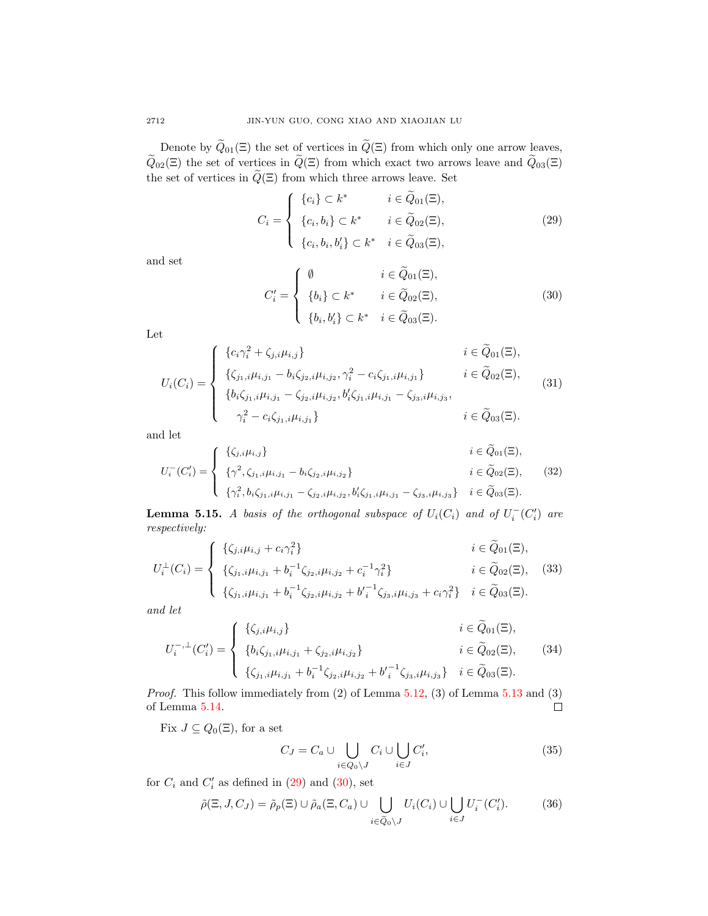Denote by  $\widetilde{Q}_{01}(\Xi)$  the set of vertices in  $\widetilde{Q}(\Xi)$  from which only one arrow leaves,  $\widetilde{Q}_{02}(\Xi)$  the set of vertices in  $\widetilde{Q}(\Xi)$  from which exact two arrows leave and  $\widetilde{Q}_{03}(\Xi)$ the set of vertices in  $\widetilde{Q}(\Xi)$  from which three arrows leave. Set

<span id="page-25-0"></span>
$$
C_i = \begin{cases} \{c_i\} \subset k^* & i \in \widetilde{Q}_{01}(\Xi), \\ \{c_i, b_i\} \subset k^* & i \in \widetilde{Q}_{02}(\Xi), \\ \{c_i, b_i, b_i'\} \subset k^* & i \in \widetilde{Q}_{03}(\Xi), \end{cases}
$$
(29)

and set

<span id="page-25-1"></span>
$$
C'_{i} = \begin{cases} \emptyset & i \in \widetilde{Q}_{01}(\Xi), \\ \{b_{i}\} \subset k^{*} & i \in \widetilde{Q}_{02}(\Xi), \\ \{b_{i}, b'_{i}\} \subset k^{*} & i \in \widetilde{Q}_{03}(\Xi). \end{cases}
$$
(30)

 $\sim$ 

Let

$$
U_i(C_i) = \begin{cases} \n\{c_i \gamma_i^2 + \zeta_{j,i} \mu_{i,j}\} & i \in \tilde{Q}_{01}(\Xi), \\
\{\zeta_{j_1,i} \mu_{i,j_1} - b_i \zeta_{j_2,i} \mu_{i,j_2}, \gamma_i^2 - c_i \zeta_{j_1,i} \mu_{i,j_1}\} & i \in \tilde{Q}_{02}(\Xi), \\
\{b_i \zeta_{j_1,i} \mu_{i,j_1} - \zeta_{j_2,i} \mu_{i,j_2}, b'_i \zeta_{j_1,i} \mu_{i,j_1} - \zeta_{j_3,i} \mu_{i,j_3}, \\
\gamma_i^2 - c_i \zeta_{j_1,i} \mu_{i,j_1}\} & i \in \tilde{Q}_{03}(\Xi). \n\end{cases}
$$
\n(31)

and let

$$
U_i^-(C_i') = \begin{cases} \{\zeta_{j,i}\mu_{i,j}\} & i \in Q_{01}(\Xi), \\ \{\gamma^2, \zeta_{j1,i}\mu_{i,j1} - b_i\zeta_{j2,i}\mu_{i,j2}\} & i \in \widetilde{Q}_{02}(\Xi), \\ \{\gamma_i^2, b_i\zeta_{j1,i}\mu_{i,j1} - \zeta_{j2,i}\mu_{i,j2}, b_i'\zeta_{j1,i}\mu_{i,j1} - \zeta_{j3,i}\mu_{i,j3}\} & i \in \widetilde{Q}_{03}(\Xi). \end{cases}
$$
(32)

<span id="page-25-2"></span>**Lemma 5.15.** A basis of the orthogonal subspace of  $U_i(C_i)$  and of  $U_i^-(C_i')$  are respectively: J.

$$
U_i^{\perp}(C_i) = \begin{cases} {\{\zeta_{j,i}\mu_{i,j} + c_i\gamma_i^2\}} & i \in \widetilde{Q}_{01}(\Xi), \\ {\{\zeta_{j1,i}\mu_{i,j1} + b_i^{-1}\zeta_{j2,i}\mu_{i,j2} + c_i^{-1}\gamma_i^2\}} & i \in \widetilde{Q}_{02}(\Xi), \\ {\{\zeta_{j1,i}\mu_{i,j1} + b_i^{-1}\zeta_{j2,i}\mu_{i,j2} + b'_i^{-1}\zeta_{j3,i}\mu_{i,j3} + c_i\gamma_i^2\}} & i \in \widetilde{Q}_{03}(\Xi). \end{cases}
$$
(33)

and let

$$
U_{i}^{-,\perp}(C_{i}') = \begin{cases} \{\zeta_{j,i}\mu_{i,j}\} & i \in \widetilde{Q}_{01}(\Xi), \\ \{b_{i}\zeta_{j1,i}\mu_{i,j1} + \zeta_{j2,i}\mu_{i,j2}\} & i \in \widetilde{Q}_{02}(\Xi), \\ \{\zeta_{j1,i}\mu_{i,j1} + b_{i}^{-1}\zeta_{j2,i}\mu_{i,j2} + b_{i}^{\prime -1}\zeta_{j3,i}\mu_{i,j3}\} & i \in \widetilde{Q}_{03}(\Xi). \end{cases}
$$
(34)

Proof. This follow immediately from (2) of Lemma [5.12,](#page-24-0) (3) of Lemma [5.13](#page-24-1) and (3) of Lemma [5.14.](#page-24-2)  $\Box$ 

Fix  $J \subseteq Q_0(\Xi)$ , for a set

$$
C_J = C_a \cup \bigcup_{i \in Q_0 \setminus J} C_i \cup \bigcup_{i \in J} C'_i,\tag{35}
$$

for  $C_i$  and  $C'_i$  as defined in  $(29)$  and  $(30)$ , set

$$
\tilde{\rho}(\Xi, J, C_J) = \tilde{\rho}_p(\Xi) \cup \tilde{\rho}_a(\Xi, C_a) \cup \bigcup_{i \in \tilde{Q}_0 \setminus J} U_i(C_i) \cup \bigcup_{i \in J} U_i^-(C_i'). \tag{36}
$$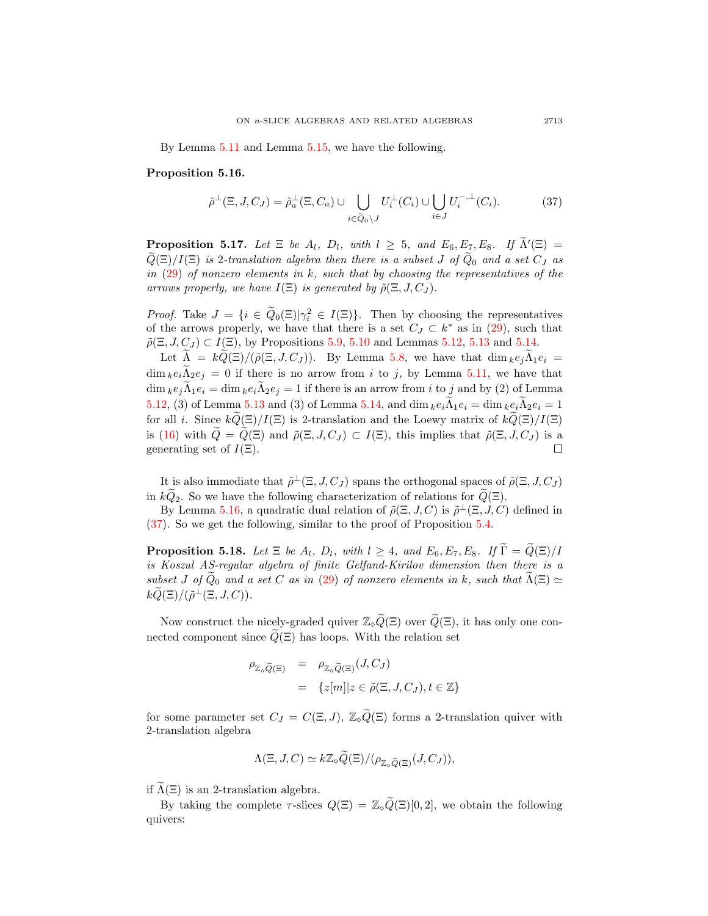By Lemma [5.11](#page-23-0) and Lemma [5.15,](#page-25-2) we have the following.

#### <span id="page-26-0"></span>Proposition 5.16.

<span id="page-26-1"></span>
$$
\tilde{\rho}^{\perp}(\Xi, J, C_J) = \tilde{\rho}_a^{\perp}(\Xi, C_a) \cup \bigcup_{i \in \tilde{Q}_0 \setminus J} U_i^{\perp}(C_i) \cup \bigcup_{i \in J} U_i^{-, \perp}(C_i). \tag{37}
$$

**Proposition 5.17.** Let  $\Xi$  be  $A_l$ ,  $D_l$ , with  $l \geq 5$ , and  $E_6, E_7, E_8$ . If  $\widetilde{\Lambda}'(\Xi) = \widetilde{\Xi}(\Xi)$  $\widetilde{Q}(\Xi)/I(\Xi)$  is 2-translation algebra then there is a subset J of  $\widetilde{Q}_0$  and a set  $C_J$  as in  $(29)$  of nonzero elements in k, such that by choosing the representatives of the arrows properly, we have  $I(\Xi)$  is generated by  $\tilde{\rho}(\Xi, J, C_J)$ .

*Proof.* Take  $J = \{i \in \tilde{Q}_0(\Xi) | \gamma_i^2 \in I(\Xi) \}$ . Then by choosing the representatives of the arrows properly, we have that there is a set  $C_J \subset k^*$  as in [\(29\)](#page-25-0), such that  $\tilde{\rho}(\Xi, J, C_J) \subset I(\Xi)$ , by Propositions [5.9,](#page-23-1) [5.10](#page-23-2) and Lemmas [5.12,](#page-24-0) [5.13](#page-24-1) and [5.14.](#page-24-2)

Let  $\widetilde{\Lambda} = k\widetilde{Q}(\Xi)/(\widetilde{\rho}(\Xi, J, C_I)).$  By Lemma [5.8,](#page-22-0) we have that  $\dim_k e_i \widetilde{\Lambda}_1 e_i =$  $\dim_k e_i \tilde{\Lambda}_2 e_j = 0$  if there is no arrow from i to j, by Lemma [5.11,](#page-23-0) we have that  $\dim_k e_j \tilde{\Lambda}_1 e_i = \dim_k e_i \tilde{\Lambda}_2 e_j = 1$  if there is an arrow from i to j and by (2) of Lemma [5.12,](#page-24-0) (3) of Lemma [5.13](#page-24-1) and (3) of Lemma [5.14,](#page-24-2) and dim  $ke_i\Lambda_1e_i = \dim ke_i\Lambda_2e_i = 1$ for all *i*. Since  $k\tilde{Q}(\Xi)/I(\Xi)$  is 2-translation and the Loewy matrix of  $k\tilde{Q}(\Xi)/I(\Xi)$ is [\(16\)](#page-17-2) with  $\widetilde{Q} = \widetilde{Q}(\Xi)$  and  $\widetilde{\rho}(\Xi, J, C_J) \subset I(\Xi)$ , this implies that  $\widetilde{\rho}(\Xi, J, C_J)$  is a generating set of  $I(\Xi)$ . generating set of  $I(\Xi)$ .

It is also immediate that  $\tilde{\rho}^{\perp}(\Xi, J, C_J)$  spans the orthogonal spaces of  $\tilde{\rho}(\Xi, J, C_J)$ in  $k\widetilde{Q}_2$ . So we have the following characterization of relations for  $\widetilde{Q}(\Xi)$ .

By Lemma [5.16,](#page-26-0) a quadratic dual relation of  $\tilde{\rho}(\Xi, J, C)$  is  $\tilde{\rho}^{\perp}(\Xi, J, C)$  defined in [\(37\)](#page-26-1). So we get the following, similar to the proof of Proposition [5.4.](#page-19-0)

**Proposition 5.18.** Let  $\Xi$  be  $A_l$ ,  $D_l$ , with  $l \geq 4$ , and  $E_6$ ,  $E_7$ ,  $E_8$ . If  $\widetilde{\Gamma} = \widetilde{Q}(\Xi)/I$ is Koszul AS-regular algebra of finite Gelfand-Kirilov dimension then there is a subset J of  $\tilde{Q}_0$  and a set C as in [\(29\)](#page-25-0) of nonzero elements in k, such that  $\tilde{\Lambda}(\Xi) \simeq$  $k\widetilde{Q}(\Xi)/(\tilde{\rho}^{\perp}(\Xi,J,C)).$ 

Now construct the nicely-graded quiver  $\mathbb{Z}_{\tilde{\varphi}}(\tilde{\varphi}(\Xi))$  over  $\tilde{Q}(\Xi)$ , it has only one connected component since  $\widetilde{Q}(\Xi)$  has loops. With the relation set

$$
\rho_{\mathbb{Z}_{\circ}\widetilde{Q}(\Xi)} = \rho_{\mathbb{Z}_{\circ}\widetilde{Q}(\Xi)}(J, C_J)
$$
  
= {z[m]|z \in \widetilde{\rho}(\Xi, J, C\_J), t \in \mathbb{Z}}

for some parameter set  $C_J = C(\Xi, J)$ ,  $\mathbb{Z}_\circ \widetilde{Q}(\Xi)$  forms a 2-translation quiver with 2-translation algebra

$$
\Lambda(\Xi, J, C) \simeq k\mathbb{Z}_{\diamond} \widetilde{Q}(\Xi)/(\rho_{\mathbb{Z}_{\diamond} \widetilde{Q}(\Xi)}(J, C_J)),
$$

if  $\widetilde{\Lambda}(\Xi)$  is an 2-translation algebra.

By taking the complete  $\tau$ -slices  $Q(\Xi) = \mathbb{Z}_\circ \widetilde{Q}(\Xi)[0,2]$ , we obtain the following quivers: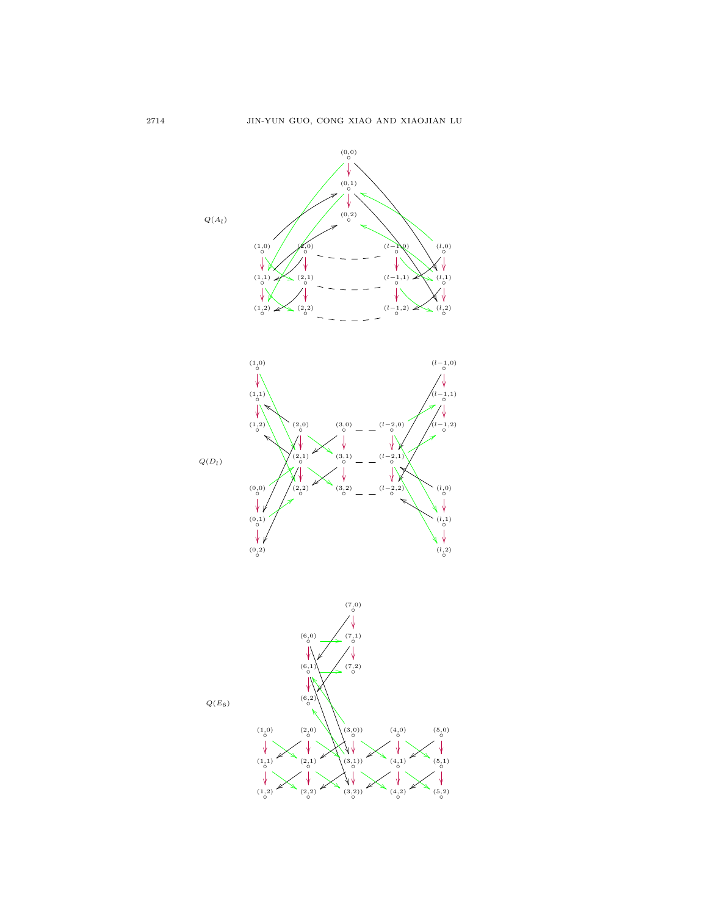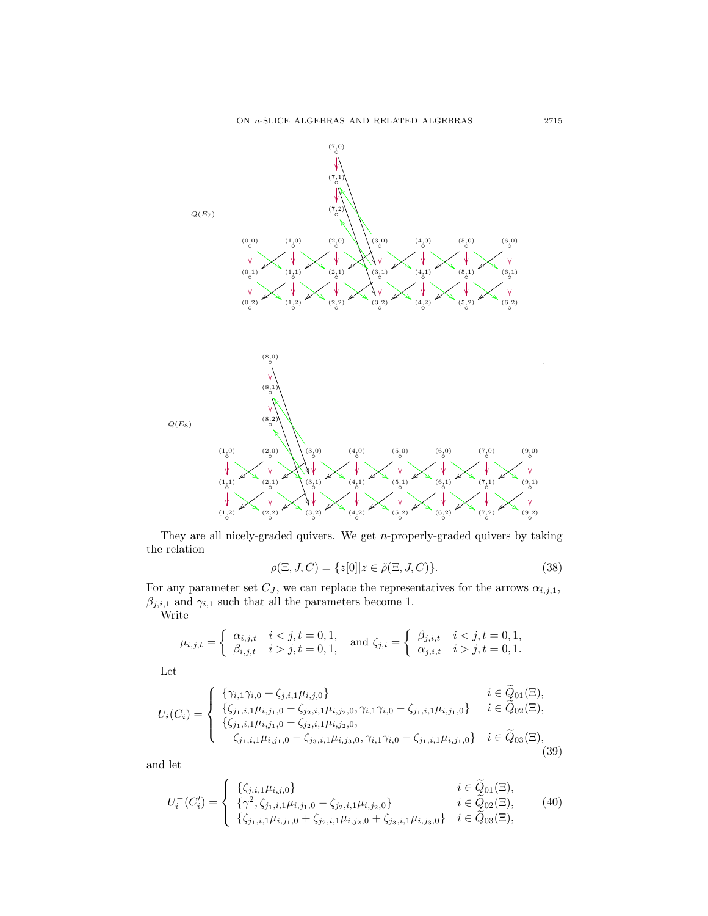

They are all nicely-graded quivers. We get  $n$ -properly-graded quivers by taking the relation

$$
\rho(\Xi, J, C) = \{z[0]| z \in \tilde{\rho}(\Xi, J, C)\}.
$$
\n(38)

For any parameter set  $C_J$ , we can replace the representatives for the arrows  $\alpha_{i,j,1}$ ,  $\beta_{j,i,1}$  and  $\gamma_{i,1}$  such that all the parameters become 1.

Write

$$
\mu_{i,j,t} = \begin{cases} \alpha_{i,j,t} & i < j, t = 0, 1, \\ \beta_{i,j,t} & i > j, t = 0, 1, \end{cases} \quad \text{and } \zeta_{j,i} = \begin{cases} \beta_{j,i,t} & i < j, t = 0, 1, \\ \alpha_{j,i,t} & i > j, t = 0, 1. \end{cases}
$$

Let

$$
U_i(C_i) = \begin{cases} \n\{\gamma_{i,1}\gamma_{i,0} + \zeta_{j,i,1}\mu_{i,j,0}\} & i \in \tilde{Q}_{01}(\Xi), \\
\{\zeta_{j_1,i,1}\mu_{i,j_1,0} - \zeta_{j_2,i,1}\mu_{i,j_2,0}, \gamma_{i,1}\gamma_{i,0} - \zeta_{j_1,i,1}\mu_{i,j_1,0}\} & i \in \tilde{Q}_{02}(\Xi), \\
\{\zeta_{j_1,i,1}\mu_{i,j_1,0} - \zeta_{j_2,i,1}\mu_{i,j_2,0}, \\
\zeta_{j_1,i,1}\mu_{i,j_1,0} - \zeta_{j_3,i,1}\mu_{i,j_3,0}, \gamma_{i,1}\gamma_{i,0} - \zeta_{j_1,i,1}\mu_{i,j_1,0}\} & i \in \tilde{Q}_{03}(\Xi),\n\end{cases}
$$
\n(39)

and let

$$
U_i^-(C_i') = \begin{cases} \{\zeta_{j,i,1}\mu_{i,j,0}\} & i \in \tilde{Q}_{01}(\Xi), \\ \{\gamma^2, \zeta_{j_1,i,1}\mu_{i,j_1,0} - \zeta_{j_2,i,1}\mu_{i,j_2,0}\} & i \in \tilde{Q}_{02}(\Xi), \\ \{\zeta_{j_1,i,1}\mu_{i,j_1,0} + \zeta_{j_2,i,1}\mu_{i,j_2,0} + \zeta_{j_3,i,1}\mu_{i,j_3,0}\} & i \in \tilde{Q}_{03}(\Xi), \end{cases}
$$
(40)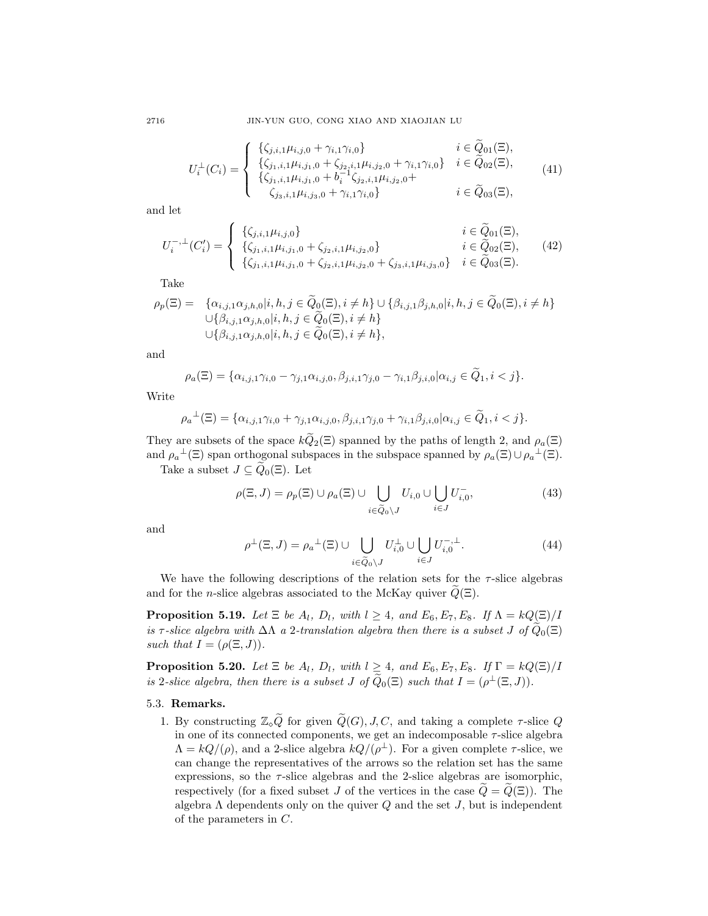2716 JIN-YUN GUO, CONG XIAO AND XIAOJIAN LU

$$
U_i^{\perp}(C_i) = \begin{cases} {\{\zeta_{j,i,1}\mu_{i,j,0} + \gamma_{i,1}\gamma_{i,0}\}} & i \in \widetilde{Q}_{01}(\Xi), \\ {\{\zeta_{j1,i,1}\mu_{i,j1,0} + \zeta_{j2,i,1}\mu_{i,j2,0} + \gamma_{i,1}\gamma_{i,0}\}} & i \in \widetilde{Q}_{02}(\Xi), \\ {\{\zeta_{j1,i,1}\mu_{i,j1,0} + b_i^{-1}\zeta_{j2,i,1}\mu_{i,j2,0} + \gamma_{i,1}\gamma_{i,0}\}} & i \in \widetilde{Q}_{03}(\Xi), \end{cases}
$$
(41)

and let

$$
U_i^{-,\perp}(C_i') = \begin{cases} {\{\zeta_{j,i,1}\mu_{i,j,0}\}} & i \in \widetilde{Q}_{01}(\Xi), \\ {\{\zeta_{j_1,i,1}\mu_{i,j_1,0} + \zeta_{j_2,i,1}\mu_{i,j_2,0}\}} & i \in \widetilde{Q}_{02}(\Xi), \\ {\{\zeta_{j_1,i,1}\mu_{i,j_1,0} + \zeta_{j_2,i,1}\mu_{i,j_2,0} + \zeta_{j_3,i,1}\mu_{i,j_3,0}\}} & i \in \widetilde{Q}_{03}(\Xi). \end{cases}
$$
(42)

Take

$$
\rho_p(\Xi) = \{ \alpha_{i,j,1} \alpha_{j,h,0} | i, h, j \in Q_0(\Xi), i \neq h \} \cup \{ \beta_{i,j,1} \beta_{j,h,0} | i, h, j \in Q_0(\Xi), i \neq h \} \n\cup \{ \beta_{i,j,1} \alpha_{j,h,0} | i, h, j \in \widetilde{Q}_0(\Xi), i \neq h \} \n\cup \{ \beta_{i,j,1} \alpha_{j,h,0} | i, h, j \in \widetilde{Q}_0(\Xi), i \neq h \},
$$

and

$$
\rho_a(\Xi) = \{ \alpha_{i,j,1} \gamma_{i,0} - \gamma_{j,1} \alpha_{i,j,0}, \beta_{j,i,1} \gamma_{j,0} - \gamma_{i,1} \beta_{j,i,0} | \alpha_{i,j} \in \widetilde{Q}_1, i < j \}.
$$

Write

$$
\rho_a^{\perp}(\Xi) = \{ \alpha_{i,j,1} \gamma_{i,0} + \gamma_{j,1} \alpha_{i,j,0}, \beta_{j,i,1} \gamma_{j,0} + \gamma_{i,1} \beta_{j,i,0} | \alpha_{i,j} \in \widetilde{Q}_1, i < j \}.
$$

They are subsets of the space  $k\widetilde{Q}_2(\Xi)$  spanned by the paths of length 2, and  $\rho_a(\Xi)$ and  $\rho_a^{\perp}(\Xi)$  span orthogonal subspaces in the subspace spanned by  $\rho_a(\Xi) \cup \rho_a^{\perp}(\Xi)$ .

Take a subset  $J \subseteq \widetilde{Q}_0(\Xi)$ . Let

$$
\rho(\Xi, J) = \rho_p(\Xi) \cup \rho_a(\Xi) \cup \bigcup_{i \in \tilde{Q}_0 \setminus J} U_{i,0} \cup \bigcup_{i \in J} U_{i,0}^-,
$$
\n(43)

and

$$
\rho^{\perp}(\Xi, J) = \rho_a^{\perp}(\Xi) \cup \bigcup_{i \in \widetilde{Q}_0 \setminus J} U_{i,0}^{\perp} \cup \bigcup_{i \in J} U_{i,0}^{-, \perp}.
$$
\n(44)

We have the following descriptions of the relation sets for the  $\tau$ -slice algebras and for the *n*-slice algebras associated to the McKay quiver  $Q(\Xi)$ .

**Proposition 5.19.** Let  $\Xi$  be  $A_l$ ,  $D_l$ , with  $l \geq 4$ , and  $E_6, E_7, E_8$ . If  $\Lambda = kQ(\Xi)/I$ is τ-slice algebra with  $\Delta\Lambda$  a 2-translation algebra then there is a subset J of  $\tilde{Q}_0(\Xi)$ such that  $I = (\rho(\Xi, J)).$ 

<span id="page-29-0"></span>**Proposition 5.20.** Let  $\Xi$  be  $A_l$ ,  $D_l$ , with  $l \geq 4$ , and  $E_6$ ,  $E_7$ ,  $E_8$ . If  $\Gamma = kQ(\Xi)/I$ is 2-slice algebra, then there is a subset J of  $\widetilde{Q}_0(\Xi)$  such that  $I = (\rho^{\perp}(\Xi, J)).$ 

### 5.3. Remarks.

1. By constructing  $\mathbb{Z}_{\diamond} \widetilde{Q}$  for given  $\widetilde{Q}(G), J, C$ , and taking a complete  $\tau$ -slice Q in one of its connected components, we get an indecomposable  $\tau$ -slice algebra  $\Lambda = kQ/(\rho)$ , and a 2-slice algebra  $kQ/(\rho^{\perp})$ . For a given complete  $\tau$ -slice, we can change the representatives of the arrows so the relation set has the same expressions, so the  $\tau$ -slice algebras and the 2-slice algebras are isomorphic, respectively (for a fixed subset J of the vertices in the case  $\tilde{Q} = \tilde{Q}(\Xi)$ ). The algebra  $\Lambda$  dependents only on the quiver  $Q$  and the set  $J$ , but is independent of the parameters in C.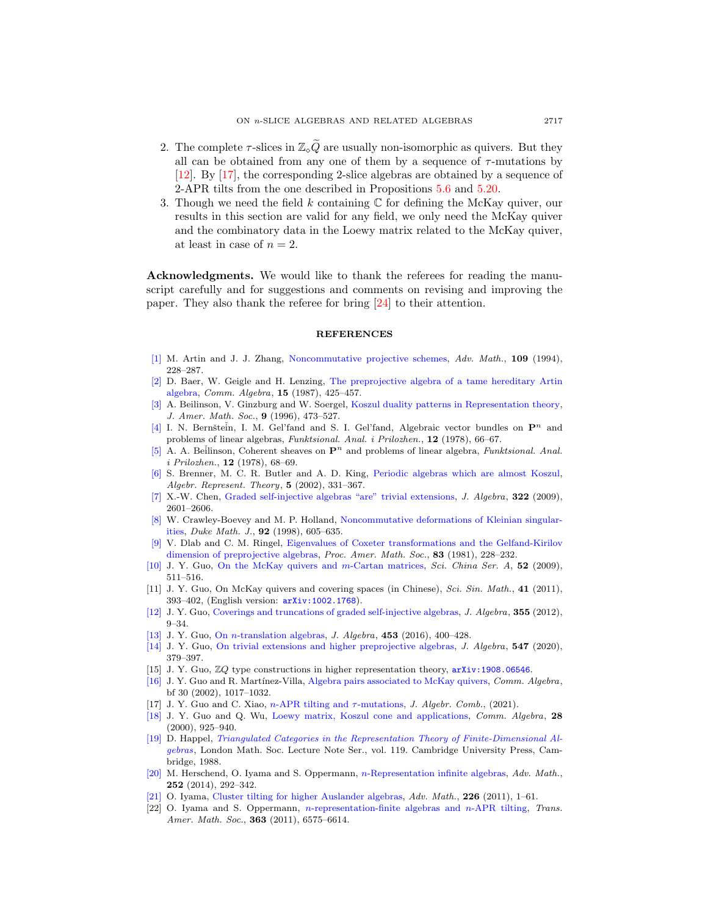- 2. The complete  $\tau$ -slices in  $\mathbb{Z}_q\widetilde{Q}$  are usually non-isomorphic as quivers. But they all can be obtained from any one of them by a sequence of  $\tau$ -mutations by [\[12\]](#page-30-11). By [\[17\]](#page-30-4), the corresponding 2-slice algebras are obtained by a sequence of 2-APR tilts from the one described in Propositions [5.6](#page-21-0) and [5.20.](#page-29-0)
- 3. Though we need the field  $k$  containing  $\mathbb C$  for defining the McKay quiver, our results in this section are valid for any field, we only need the McKay quiver and the combinatory data in the Loewy matrix related to the McKay quiver, at least in case of  $n = 2$ .

Acknowledgments. We would like to thank the referees for reading the manuscript carefully and for suggestions and comments on revising and improving the paper. They also thank the referee for bring [\[24\]](#page-31-1) to their attention.

#### **REFERENCES**

- <span id="page-30-16"></span>[\[1\]](http://www.ams.org/mathscinet-getitem?mr=MR1304753&return=pdf) M. Artin and J. J. Zhang, [Noncommutative projective schemes,](http://dx.doi.org/10.1006/aima.1994.1087) Adv. Math., 109 (1994), 228–287.
- <span id="page-30-13"></span>[\[2\]](http://www.ams.org/mathscinet-getitem?mr=MR876985&return=pdf) D. Baer, W. Geigle and H. Lenzing, [The preprojective algebra of a tame hereditary Artin](http://dx.doi.org/10.1080/00927878708823425) [algebra,](http://dx.doi.org/10.1080/00927878708823425) Comm. Algebra, 15 (1987), 425–457.
- <span id="page-30-18"></span>[\[3\]](http://www.ams.org/mathscinet-getitem?mr=MR1322847&return=pdf) A. Beilinson, V. Ginzburg and W. Soergel, [Koszul duality patterns in Representation theory,](http://dx.doi.org/10.1090/S0894-0347-96-00192-0) J. Amer. Math. Soc., 9 (1996), 473–527.
- <span id="page-30-21"></span>[\[4\]](http://www.ams.org/mathscinet-getitem?mr=MR509387&return=pdf) I. N. Bernštein, I. M. Gel'fand and S. I. Gel'fand, Algebraic vector bundles on  $\mathbf{P}^n$  and problems of linear algebras, Funktsional. Anal. i Prilozhen., 12 (1978), 66–67.
- <span id="page-30-20"></span> $[5]$  A. A. Beilinson, Coherent sheaves on  $\mathbf{P}^n$  and problems of linear algebra, Funktsional. Anal. i Prilozhen., 12 (1978), 68–69.
- <span id="page-30-12"></span>[\[6\]](http://www.ams.org/mathscinet-getitem?mr=MR1930968&return=pdf) S. Brenner, M. C. R. Butler and A. D. King, [Periodic algebras which are almost Koszul,](http://dx.doi.org/10.1023/A:1020146502185) Algebr. Represent. Theory, 5 (2002), 331–367.
- <span id="page-30-17"></span>[\[7\]](http://www.ams.org/mathscinet-getitem?mr=MR2553699&return=pdf) X.-W. Chen, [Graded self-injective algebras "are" trivial extensions,](http://dx.doi.org/10.1016/j.jalgebra.2009.05.034) J. Algebra, 322 (2009), 2601–2606.
- <span id="page-30-8"></span>[\[8\]](http://www.ams.org/mathscinet-getitem?mr=MR1620538&return=pdf) W. Crawley-Boevey and M. P. Holland, [Noncommutative deformations of Kleinian singular](http://dx.doi.org/10.1215/S0012-7094-98-09218-3)[ities,](http://dx.doi.org/10.1215/S0012-7094-98-09218-3) Duke Math. J., 92 (1998), 605–635.
- <span id="page-30-6"></span>[\[9\]](http://www.ams.org/mathscinet-getitem?mr=MR624903&return=pdf) V. Dlab and C. M. Ringel, [Eigenvalues of Coxeter transformations and the Gelfand-Kirilov](http://dx.doi.org/10.2307/2043500) [dimension of preprojective algebras,](http://dx.doi.org/10.2307/2043500) Proc. Amer. Math. Soc., 83 (1981), 228–232.
- <span id="page-30-14"></span>[\[10\]](http://www.ams.org/mathscinet-getitem?mr=MR2491769&return=pdf) J. Y. Guo, [On the McKay quivers and](http://dx.doi.org/10.1007/s11425-008-0176-y) m-Cartan matrices, Sci. China Ser. A, 52 (2009), 511–516.
- <span id="page-30-15"></span>[11] J. Y. Guo, On McKay quivers and covering spaces (in Chinese), Sci. Sin. Math., 41 (2011), 393–402, (English version: [arXiv:1002.1768](http://arxiv.org/pdf/1002.1768)).
- <span id="page-30-11"></span>[\[12\]](http://www.ams.org/mathscinet-getitem?mr=MR2889529&return=pdf) J. Y. Guo, [Coverings and truncations of graded self-injective algebras,](http://dx.doi.org/10.1016/j.jalgebra.2012.01.009) J. Algebra, 355 (2012), 9–34.
- <span id="page-30-10"></span>[\[13\]](http://www.ams.org/mathscinet-getitem?mr=MR3465360&return=pdf) J. Y. Guo, On *n*[-translation algebras,](http://dx.doi.org/10.1016/j.jalgebra.2015.08.006) *J. Algebra*, **453** (2016), 400–428.
- <span id="page-30-3"></span>[\[14\]](http://www.ams.org/mathscinet-getitem?mr=MR4040728&return=pdf) J. Y. Guo, [On trivial extensions and higher preprojective algebras,](http://dx.doi.org/10.1016/j.jalgebra.2019.11.022) J. Algebra, 547 (2020), 379–397.
- <span id="page-30-2"></span>[15] J. Y. Guo, ZQ type constructions in higher representation theory, [arXiv:1908.06546](http://arxiv.org/pdf/1908.06546).
- <span id="page-30-9"></span>[\[16\]](http://www.ams.org/mathscinet-getitem?mr=MR1883038&return=pdf) J. Y. Guo and R. Martínez-Villa, [Algebra pairs associated to McKay quivers,](http://dx.doi.org/10.1081/AGB-120013196) Comm. Algebra, bf 30 (2002), 1017–1032.
- <span id="page-30-4"></span>[17] J. Y. Guo and C. Xiao, n[-APR tilting and](http://dx.doi.org/10.1007/s10801-021-01015-z) τ-mutations, J. Algebr. Comb., (2021).
- <span id="page-30-7"></span>[\[18\]](http://www.ams.org/mathscinet-getitem?mr=MR1736772&return=pdf) J. Y. Guo and Q. Wu, [Loewy matrix, Koszul cone and applications,](http://dx.doi.org/10.1080/00927870008826869) Comm. Algebra, 28 (2000), 925–940.
- <span id="page-30-19"></span>[\[19\]](http://www.ams.org/mathscinet-getitem?mr=MR935124&return=pdf) D. Happel, [Triangulated Categories in the Representation Theory of Finite-Dimensional Al](http://dx.doi.org/10.1017/CBO9780511629228)[gebras](http://dx.doi.org/10.1017/CBO9780511629228), London Math. Soc. Lecture Note Ser., vol. 119. Cambridge University Press, Cambridge, 1988.
- <span id="page-30-1"></span>[\[20\]](http://www.ams.org/mathscinet-getitem?mr=MR3144232&return=pdf) M. Herschend, O. Iyama and S. Oppermann, n[-Representation infinite algebras,](http://dx.doi.org/10.1016/j.aim.2013.09.023) Adv. Math., 252 (2014), 292–342.
- <span id="page-30-0"></span>[\[21\]](http://www.ams.org/mathscinet-getitem?mr=MR2735750&return=pdf) O. Iyama, [Cluster tilting for higher Auslander algebras,](http://dx.doi.org/10.1016/j.aim.2010.03.004) Adv. Math., 226 (2011), 1–61.
- <span id="page-30-5"></span>[22] O. Iyama and S. Oppermann, n[-representation-finite algebras and](http://dx.doi.org/10.1090/S0002-9947-2011-05312-2) n-APR tilting, Trans. Amer. Math. Soc., 363 (2011), 6575-6614.